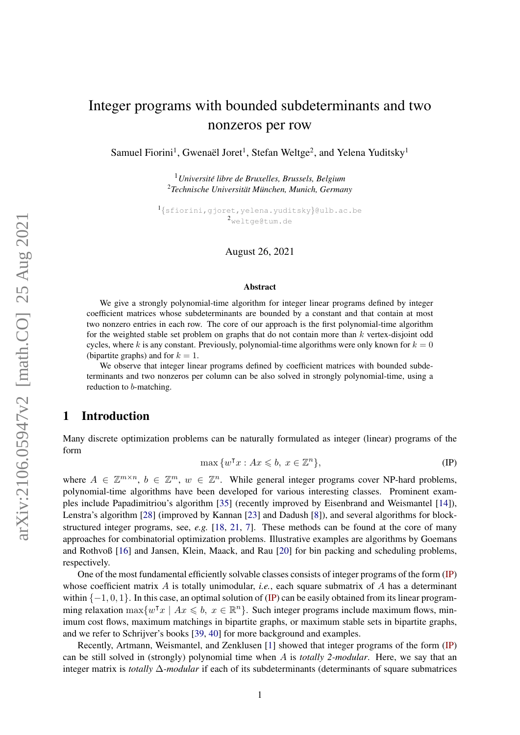# Integer programs with bounded subdeterminants and two nonzeros per row

Samuel Fiorini<sup>1</sup>, Gwenaël Joret<sup>1</sup>, Stefan Weltge<sup>2</sup>, and Yelena Yuditsky<sup>1</sup>

<sup>1</sup>*Universite libre de Bruxelles, Brussels, Belgium ´* <sup>2</sup>*Technische Universitat M¨ unchen, Munich, Germany ¨*

1 {sfiorini,gjoret,yelena.yuditsky}@ulb.ac.be <sup>2</sup>weltge@tum.de

August 26, 2021

#### Abstract

We give a strongly polynomial-time algorithm for integer linear programs defined by integer coefficient matrices whose subdeterminants are bounded by a constant and that contain at most two nonzero entries in each row. The core of our approach is the first polynomial-time algorithm for the weighted stable set problem on graphs that do not contain more than  $k$  vertex-disjoint odd cycles, where k is any constant. Previously, polynomial-time algorithms were only known for  $k = 0$ (bipartite graphs) and for  $k = 1$ .

We observe that integer linear programs defined by coefficient matrices with bounded subdeterminants and two nonzeros per column can be also solved in strongly polynomial-time, using a reduction to b-matching.

# 1 Introduction

Many discrete optimization problems can be naturally formulated as integer (linear) programs of the form

<span id="page-0-0"></span>
$$
\max \{ w^{\mathsf{T}} x : Ax \leqslant b, \ x \in \mathbb{Z}^n \},\tag{IP}
$$

where  $A \in \mathbb{Z}^{m \times n}$ ,  $b \in \mathbb{Z}^m$ ,  $w \in \mathbb{Z}^n$ . While general integer programs cover NP-hard problems, polynomial-time algorithms have been developed for various interesting classes. Prominent examples include Papadimitriou's algorithm [\[35\]](#page-41-0) (recently improved by Eisenbrand and Weismantel [\[14\]](#page-40-0)), Lenstra's algorithm [\[28\]](#page-41-1) (improved by Kannan [\[23\]](#page-41-2) and Dadush [\[8\]](#page-40-1)), and several algorithms for blockstructured integer programs, see, *e.g.* [\[18,](#page-40-2) [21,](#page-40-3) [7\]](#page-40-4). These methods can be found at the core of many approaches for combinatorial optimization problems. Illustrative examples are algorithms by Goemans and Rothvoß [\[16\]](#page-40-5) and Jansen, Klein, Maack, and Rau [\[20\]](#page-40-6) for bin packing and scheduling problems, respectively.

One of the most fundamental efficiently solvable classes consists of integer programs of the form [\(IP\)](#page-0-0) whose coefficient matrix A is totally unimodular, *i.e.*, each square submatrix of A has a determinant within  $\{-1, 0, 1\}$ . In this case, an optimal solution of [\(IP\)](#page-0-0) can be easily obtained from its linear programming relaxation  $\max\{w^\intercal x \mid Ax \leq b, x \in \mathbb{R}^n\}$ . Such integer programs include maximum flows, minimum cost flows, maximum matchings in bipartite graphs, or maximum stable sets in bipartite graphs, and we refer to Schrijver's books [\[39,](#page-41-3) [40\]](#page-41-4) for more background and examples.

Recently, Artmann, Weismantel, and Zenklusen [\[1\]](#page-39-0) showed that integer programs of the form [\(IP\)](#page-0-0) can be still solved in (strongly) polynomial time when A is *totally 2-modular*. Here, we say that an integer matrix is *totally* ∆*-modular* if each of its subdeterminants (determinants of square submatrices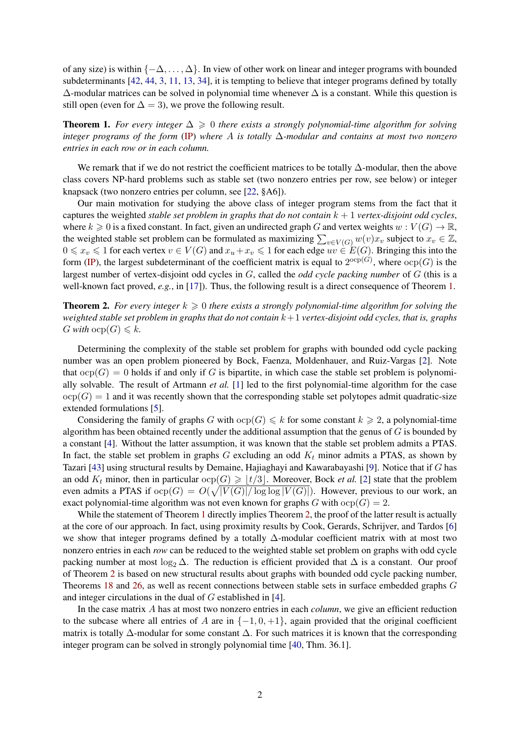of any size) is within  $\{-\Delta, \ldots, \Delta\}$ . In view of other work on linear and integer programs with bounded subdeterminants [\[42,](#page-42-0) [44,](#page-42-1) [3,](#page-39-1) [11,](#page-40-7) [13,](#page-40-8) [34\]](#page-41-5), it is tempting to believe that integer programs defined by totally  $\Delta$ -modular matrices can be solved in polynomial time whenever  $\Delta$  is a constant. While this question is still open (even for  $\Delta = 3$ ), we prove the following result.

<span id="page-1-0"></span>**Theorem 1.** For every integer  $\Delta \geq 0$  there exists a strongly polynomial-time algorithm for solving *integer programs of the form* [\(IP\)](#page-0-0) *where* A *is totally* ∆*-modular and contains at most two nonzero entries in each row or in each column.*

We remark that if we do not restrict the coefficient matrices to be totally ∆-modular, then the above class covers NP-hard problems such as stable set (two nonzero entries per row, see below) or integer knapsack (two nonzero entries per column, see [\[22,](#page-40-9) §A6]).

Our main motivation for studying the above class of integer program stems from the fact that it captures the weighted *stable set problem in graphs that do not contain*  $k + 1$  *vertex-disjoint odd cycles,* where  $k \geq 0$  is a fixed constant. In fact, given an undirected graph G and vertex weights  $w : V(G) \to \mathbb{R}$ , the weighted stable set problem can be formulated as maximizing  $\sum_{v \in V(G)} w(v) x_v$  subject to  $x_v \in \mathbb{Z}$ ,  $0 \leq x_v \leq 1$  for each vertex  $v \in V(G)$  and  $x_u + x_v \leq 1$  for each edge  $uv \in E(G)$ . Bringing this into the form [\(IP\)](#page-0-0), the largest subdeterminant of the coefficient matrix is equal to  $2^{\text{ocp}(G)}$ , where  $\text{ocp}(G)$  is the largest number of vertex-disjoint odd cycles in G, called the *odd cycle packing number* of G (this is a well-known fact proved, *e.g.*, in [\[17\]](#page-40-10)). Thus, the following result is a direct consequence of Theorem [1.](#page-1-0)

<span id="page-1-1"></span>**Theorem 2.** For every integer  $k \geq 0$  there exists a strongly polynomial-time algorithm for solving the *weighted stable set problem in graphs that do not contain* k+1 *vertex-disjoint odd cycles, that is, graphs* G with  $ocp(G) \leq k$ .

Determining the complexity of the stable set problem for graphs with bounded odd cycle packing number was an open problem pioneered by Bock, Faenza, Moldenhauer, and Ruiz-Vargas [\[2\]](#page-39-2). Note that  $ocp(G) = 0$  holds if and only if G is bipartite, in which case the stable set problem is polynomially solvable. The result of Artmann *et al.* [\[1\]](#page-39-0) led to the first polynomial-time algorithm for the case  $\text{ocp}(G) = 1$  and it was recently shown that the corresponding stable set polytopes admit quadratic-size extended formulations [\[5\]](#page-39-3).

Considering the family of graphs G with  $\text{ocp}(G) \leq k$  for some constant  $k \geq 2$ , a polynomial-time algorithm has been obtained recently under the additional assumption that the genus of  $G$  is bounded by a constant [\[4\]](#page-39-4). Without the latter assumption, it was known that the stable set problem admits a PTAS. In fact, the stable set problem in graphs G excluding an odd  $K_t$  minor admits a PTAS, as shown by Tazari [\[43\]](#page-42-2) using structural results by Demaine, Hajiaghayi and Kawarabayashi [\[9\]](#page-40-11). Notice that if G has an odd  $K_t$  minor, then in particular  $\text{ocp}(G) \geq |t/3|$ . Moreover, Bock *et al.* [\[2\]](#page-39-2) state that the problem even admits a PTAS if  $\text{ocp}(G) = O(\sqrt{|V(G)| / \log \log |V(G)|})$ . However, previous to our work, an exact polynomial-time algorithm was not even known for graphs G with  $\text{ocp}(G) = 2$ .

While the statement of Theorem [1](#page-1-0) directly implies Theorem [2,](#page-1-1) the proof of the latter result is actually at the core of our approach. In fact, using proximity results by Cook, Gerards, Schrijver, and Tardos [\[6\]](#page-40-12) we show that integer programs defined by a totally ∆-modular coefficient matrix with at most two nonzero entries in each *row* can be reduced to the weighted stable set problem on graphs with odd cycle packing number at most log<sub>2</sub>  $\Delta$ . The reduction is efficient provided that  $\Delta$  is a constant. Our proof of Theorem [2](#page-1-1) is based on new structural results about graphs with bounded odd cycle packing number, Theorems [18](#page-13-0) and [26,](#page-19-0) as well as recent connections between stable sets in surface embedded graphs G and integer circulations in the dual of G established in [\[4\]](#page-39-4).

In the case matrix A has at most two nonzero entries in each *column*, we give an efficient reduction to the subcase where all entries of A are in  $\{-1, 0, +1\}$ , again provided that the original coefficient matrix is totally  $\Delta$ -modular for some constant  $\Delta$ . For such matrices it is known that the corresponding integer program can be solved in strongly polynomial time [\[40,](#page-41-4) Thm. 36.1].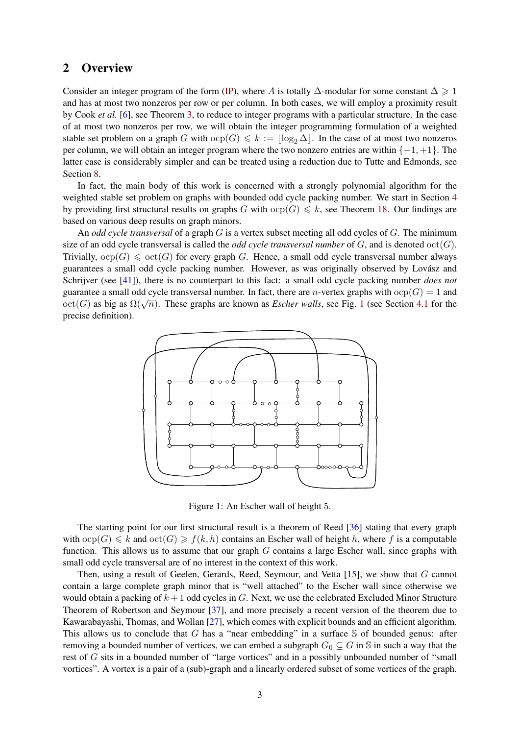# 2 Overview

Consider an integer program of the form [\(IP\)](#page-0-0), where A is totally  $\Delta$ -modular for some constant  $\Delta \geq 1$ and has at most two nonzeros per row or per column. In both cases, we will employ a proximity result by Cook *et al.* [\[6\]](#page-40-12), see Theorem [3,](#page-5-0) to reduce to integer programs with a particular structure. In the case of at most two nonzeros per row, we will obtain the integer programming formulation of a weighted stable set problem on a graph G with  $\text{ocp}(G) \leq k := \lfloor \log_2 \Delta \rfloor$ . In the case of at most two nonzeros per column, we will obtain an integer program where the two nonzero entries are within  $\{-1, +1\}$ . The latter case is considerably simpler and can be treated using a reduction due to Tutte and Edmonds, see Section [8.](#page-38-0)

In fact, the main body of this work is concerned with a strongly polynomial algorithm for the weighted stable set problem on graphs with bounded odd cycle packing number. We start in Section [4](#page-9-0) by providing first structural results on graphs G with  $\text{ocp}(G) \leq k$ , see Theorem [18.](#page-13-0) Our findings are based on various deep results on graph minors.

An *odd cycle transversal* of a graph G is a vertex subset meeting all odd cycles of G. The minimum size of an odd cycle transversal is called the *odd cycle transversal number* of  $G$ , and is denoted  $\text{oct}(G)$ . Trivially,  $ocp(G) \leqslant oct(G)$  for every graph G. Hence, a small odd cycle transversal number always guarantees a small odd cycle packing number. However, as was originally observed by Lovász and Schrijver (see [\[41\]](#page-41-6)), there is no counterpart to this fact: a small odd cycle packing number *does not* guarantee a small odd cycle transversal number. In fact, there are *n*-vertex graphs with  $ocp(G) = 1$  and guarance a small odd cycle transversal number. In fact, there are *h*-vertex graphs with  $\text{otp}(G) = 1$  $\text{otp}(G) = 1$  and  $\text{oct}(G)$  as big as  $\Omega(\sqrt{n})$ . These graphs are known as *Escher walls*, see Fig. 1 (see Section [4.1](#page-9-1) for the precise definition).



<span id="page-2-0"></span>Figure 1: An Escher wall of height 5.

The starting point for our first structural result is a theorem of Reed [\[36\]](#page-41-7) stating that every graph with  $\text{ocp}(G) \le k$  and  $\text{oct}(G) \ge f(k, h)$  contains an Escher wall of height h, where f is a computable function. This allows us to assume that our graph G contains a large Escher wall, since graphs with small odd cycle transversal are of no interest in the context of this work.

Then, using a result of Geelen, Gerards, Reed, Seymour, and Vetta [\[15\]](#page-40-13), we show that G cannot contain a large complete graph minor that is "well attached" to the Escher wall since otherwise we would obtain a packing of  $k + 1$  odd cycles in G. Next, we use the celebrated Excluded Minor Structure Theorem of Robertson and Seymour [\[37\]](#page-41-8), and more precisely a recent version of the theorem due to Kawarabayashi, Thomas, and Wollan [\[27\]](#page-41-9), which comes with explicit bounds and an efficient algorithm. This allows us to conclude that G has a "near embedding" in a surface  $S$  of bounded genus: after removing a bounded number of vertices, we can embed a subgraph  $G_0 \subseteq G$  in S in such a way that the rest of G sits in a bounded number of "large vortices" and in a possibly unbounded number of "small vortices". A vortex is a pair of a (sub)-graph and a linearly ordered subset of some vertices of the graph.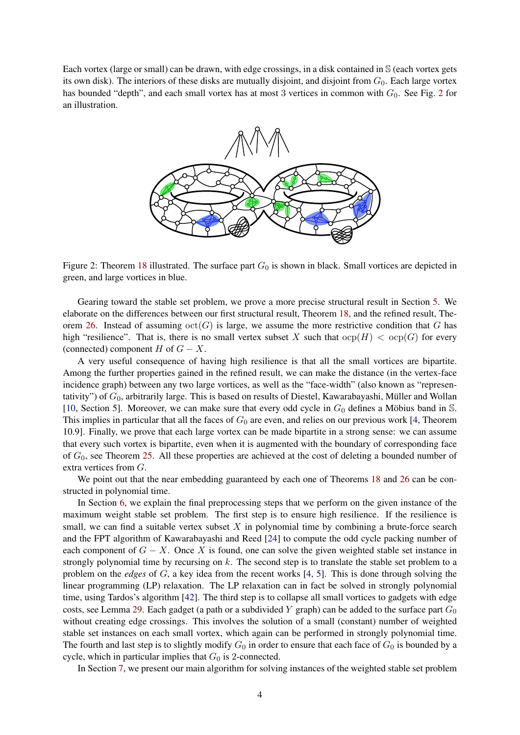Each vortex (large or small) can be drawn, with edge crossings, in a disk contained in S (each vortex gets its own disk). The interiors of these disks are mutually disjoint, and disjoint from  $G_0$ . Each large vortex has bounded "depth", and each small vortex has at most 3 vertices in common with  $G_0$ . See Fig. [2](#page-3-0) for an illustration.



<span id="page-3-0"></span>Figure 2: Theorem [18](#page-13-0) illustrated. The surface part  $G_0$  is shown in black. Small vortices are depicted in green, and large vortices in blue.

Gearing toward the stable set problem, we prove a more precise structural result in Section [5.](#page-14-0) We elaborate on the differences between our first structural result, Theorem [18,](#page-13-0) and the refined result, The-orem [26.](#page-19-0) Instead of assuming  $\text{oct}(G)$  is large, we assume the more restrictive condition that G has high "resilience". That is, there is no small vertex subset X such that  $\text{ocp}(H) < \text{ocp}(G)$  for every (connected) component H of  $G - X$ .

A very useful consequence of having high resilience is that all the small vortices are bipartite. Among the further properties gained in the refined result, we can make the distance (in the vertex-face incidence graph) between any two large vortices, as well as the "face-width" (also known as "representativity") of  $G_0$ , arbitrarily large. This is based on results of Diestel, Kawarabayashi, Müller and Wollan [\[10,](#page-40-14) Section 5]. Moreover, we can make sure that every odd cycle in  $G_0$  defines a Möbius band in  $\mathbb{S}$ . This implies in particular that all the faces of  $G_0$  are even, and relies on our previous work [\[4,](#page-39-4) Theorem 10.9]. Finally, we prove that each large vortex can be made bipartite in a strong sense: we can assume that every such vortex is bipartite, even when it is augmented with the boundary of corresponding face of  $G_0$ , see Theorem [25.](#page-17-0) All these properties are achieved at the cost of deleting a bounded number of extra vertices from G.

We point out that the near embedding guaranteed by each one of Theorems [18](#page-13-0) and [26](#page-19-0) can be constructed in polynomial time.

In Section [6,](#page-21-0) we explain the final preprocessing steps that we perform on the given instance of the maximum weight stable set problem. The first step is to ensure high resilience. If the resilience is small, we can find a suitable vertex subset  $X$  in polynomial time by combining a brute-force search and the FPT algorithm of Kawarabayashi and Reed [\[24\]](#page-41-10) to compute the odd cycle packing number of each component of  $G - X$ . Once X is found, one can solve the given weighted stable set instance in strongly polynomial time by recursing on  $k$ . The second step is to translate the stable set problem to a problem on the *edges* of G, a key idea from the recent works [\[4,](#page-39-4) [5\]](#page-39-3). This is done through solving the linear programming (LP) relaxation. The LP relaxation can in fact be solved in strongly polynomial time, using Tardos's algorithm [\[42\]](#page-42-0). The third step is to collapse all small vortices to gadgets with edge costs, see Lemma [29.](#page-23-0) Each gadget (a path or a subdivided Y graph) can be added to the surface part  $G_0$ without creating edge crossings. This involves the solution of a small (constant) number of weighted stable set instances on each small vortex, which again can be performed in strongly polynomial time. The fourth and last step is to slightly modify  $G_0$  in order to ensure that each face of  $G_0$  is bounded by a cycle, which in particular implies that  $G_0$  is 2-connected.

In Section [7,](#page-28-0) we present our main algorithm for solving instances of the weighted stable set problem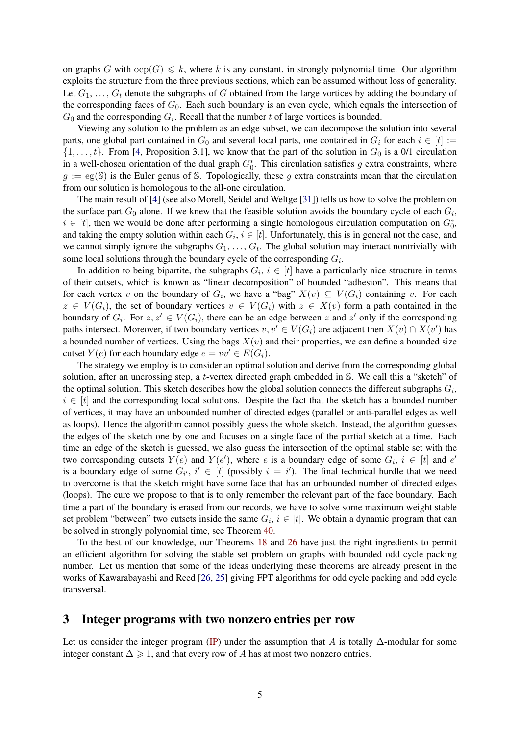on graphs G with  $\text{ocp}(G) \leq k$ , where k is any constant, in strongly polynomial time. Our algorithm exploits the structure from the three previous sections, which can be assumed without loss of generality. Let  $G_1, \ldots, G_t$  denote the subgraphs of G obtained from the large vortices by adding the boundary of the corresponding faces of  $G_0$ . Each such boundary is an even cycle, which equals the intersection of  $G_0$  and the corresponding  $G_i$ . Recall that the number t of large vortices is bounded.

Viewing any solution to the problem as an edge subset, we can decompose the solution into several parts, one global part contained in  $G_0$  and several local parts, one contained in  $G_i$  for each  $i \in [t] :=$  $\{1, \ldots, t\}$ . From [\[4,](#page-39-4) Proposition 3.1], we know that the part of the solution in  $G_0$  is a 0/1 circulation in a well-chosen orientation of the dual graph  $G_0^*$ . This circulation satisfies g extra constraints, where  $g := \text{eg}(\mathbb{S})$  is the Euler genus of S. Topologically, these g extra constraints mean that the circulation from our solution is homologous to the all-one circulation.

The main result of [\[4\]](#page-39-4) (see also Morell, Seidel and Weltge [\[31\]](#page-41-11)) tells us how to solve the problem on the surface part  $G_0$  alone. If we knew that the feasible solution avoids the boundary cycle of each  $G_i$ ,  $i \in [t]$ , then we would be done after performing a single homologous circulation computation on  $G_0^*$ , and taking the empty solution within each  $G_i$ ,  $i \in [t]$ . Unfortunately, this is in general not the case, and we cannot simply ignore the subgraphs  $G_1, \ldots, G_t$ . The global solution may interact nontrivially with some local solutions through the boundary cycle of the corresponding  $G_i$ .

In addition to being bipartite, the subgraphs  $G_i$ ,  $i \in [t]$  have a particularly nice structure in terms of their cutsets, which is known as "linear decomposition" of bounded "adhesion". This means that for each vertex v on the boundary of  $G_i$ , we have a "bag"  $X(v) \subseteq V(G_i)$  containing v. For each  $z \in V(G_i)$ , the set of boundary vertices  $v \in V(G_i)$  with  $z \in X(v)$  form a path contained in the boundary of  $G_i$ . For  $z, z' \in V(G_i)$ , there can be an edge between z and  $z'$  only if the corresponding paths intersect. Moreover, if two boundary vertices  $v, v' \in V(G_i)$  are adjacent then  $X(v) \cap X(v')$  has a bounded number of vertices. Using the bags  $X(v)$  and their properties, we can define a bounded size cutset  $Y(e)$  for each boundary edge  $e = vv' \in E(G_i)$ .

The strategy we employ is to consider an optimal solution and derive from the corresponding global solution, after an uncrossing step, a t-vertex directed graph embedded in S. We call this a "sketch" of the optimal solution. This sketch describes how the global solution connects the different subgraphs  $G_i$ ,  $i \in [t]$  and the corresponding local solutions. Despite the fact that the sketch has a bounded number of vertices, it may have an unbounded number of directed edges (parallel or anti-parallel edges as well as loops). Hence the algorithm cannot possibly guess the whole sketch. Instead, the algorithm guesses the edges of the sketch one by one and focuses on a single face of the partial sketch at a time. Each time an edge of the sketch is guessed, we also guess the intersection of the optimal stable set with the two corresponding cutsets  $Y(e)$  and  $Y(e')$ , where e is a boundary edge of some  $G_i$ ,  $i \in [t]$  and  $e'$ is a boundary edge of some  $G_{i'}$ ,  $i' \in [t]$  (possibly  $i = i'$ ). The final technical hurdle that we need to overcome is that the sketch might have some face that has an unbounded number of directed edges (loops). The cure we propose to that is to only remember the relevant part of the face boundary. Each time a part of the boundary is erased from our records, we have to solve some maximum weight stable set problem "between" two cutsets inside the same  $G_i$ ,  $i \in [t]$ . We obtain a dynamic program that can be solved in strongly polynomial time, see Theorem [40.](#page-37-0)

To the best of our knowledge, our Theorems [18](#page-13-0) and [26](#page-19-0) have just the right ingredients to permit an efficient algorithm for solving the stable set problem on graphs with bounded odd cycle packing number. Let us mention that some of the ideas underlying these theorems are already present in the works of Kawarabayashi and Reed [\[26,](#page-41-12) [25\]](#page-41-13) giving FPT algorithms for odd cycle packing and odd cycle transversal.

### 3 Integer programs with two nonzero entries per row

Let us consider the integer program [\(IP\)](#page-0-0) under the assumption that A is totally  $\Delta$ -modular for some integer constant  $\Delta \geq 1$ , and that every row of A has at most two nonzero entries.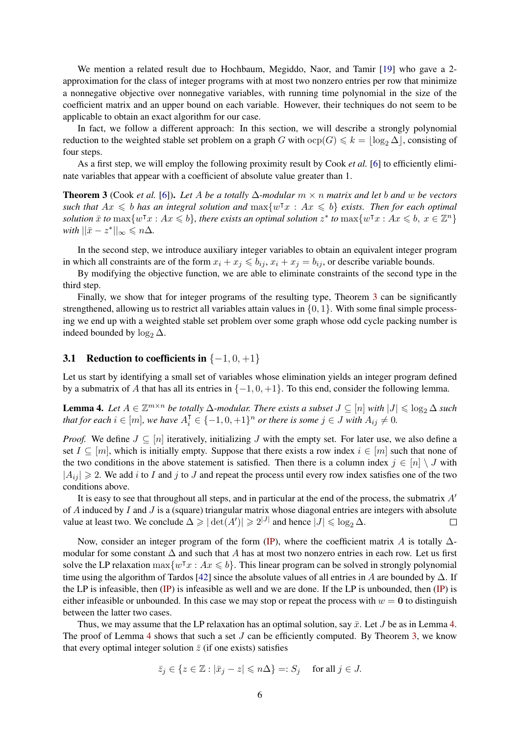We mention a related result due to Hochbaum, Megiddo, Naor, and Tamir [\[19\]](#page-40-15) who gave a 2 approximation for the class of integer programs with at most two nonzero entries per row that minimize a nonnegative objective over nonnegative variables, with running time polynomial in the size of the coefficient matrix and an upper bound on each variable. However, their techniques do not seem to be applicable to obtain an exact algorithm for our case.

In fact, we follow a different approach: In this section, we will describe a strongly polynomial reduction to the weighted stable set problem on a graph G with  $\text{ocp}(G) \leq k = \lfloor \log_2 \Delta \rfloor$ , consisting of four steps.

As a first step, we will employ the following proximity result by Cook *et al.* [\[6\]](#page-40-12) to efficiently eliminate variables that appear with a coefficient of absolute value greater than 1.

<span id="page-5-0"></span>Theorem 3 (Cook *et al.* [\[6\]](#page-40-12)). *Let* A *be a totally* ∆*-modular* m × n *matrix and let* b *and* w *be vectors* such that  $Ax \leq b$  has an integral solution and  $\max\{w^\intercal x : Ax \leq b\}$  *exists. Then for each optimal*  $solution \ \bar{x}$  *to*  $\max\{w^\intercal x : Ax \leqslant b\}$ , there exists an optimal solution  $z^*$  to  $\max\{w^\intercal x : Ax \leqslant b, x \in \mathbb{Z}^n\}$ *with*  $||\bar{x} - z^*||_{\infty} \le n\Delta$ *.* 

In the second step, we introduce auxiliary integer variables to obtain an equivalent integer program in which all constraints are of the form  $x_i + x_j \leq b_{ij}$ ,  $x_i + x_j = b_{ij}$ , or describe variable bounds.

By modifying the objective function, we are able to eliminate constraints of the second type in the third step.

Finally, we show that for integer programs of the resulting type, Theorem [3](#page-5-0) can be significantly strengthened, allowing us to restrict all variables attain values in  $\{0, 1\}$ . With some final simple processing we end up with a weighted stable set problem over some graph whose odd cycle packing number is indeed bounded by  $\log_2 \Delta$ .

### 3.1 Reduction to coefficients in  $\{-1, 0, +1\}$

Let us start by identifying a small set of variables whose elimination yields an integer program defined by a submatrix of A that has all its entries in  $\{-1, 0, +1\}$ . To this end, consider the following lemma.

<span id="page-5-1"></span>**Lemma 4.** Let  $A \in \mathbb{Z}^{m \times n}$  be totally  $\Delta$ -modular. There exists a subset  $J \subseteq [n]$  with  $|J| \leq \log_2 \Delta$  such *that for each*  $i \in [m]$ *, we have*  $A_i^{\mathsf{T}} \in \{-1, 0, +1\}^n$  *or there is some*  $j \in J$  *with*  $A_{ij} \neq 0$ *.* 

*Proof.* We define  $J \subseteq [n]$  iteratively, initializing J with the empty set. For later use, we also define a set  $I \subseteq [m]$ , which is initially empty. Suppose that there exists a row index  $i \in [m]$  such that none of the two conditions in the above statement is satisfied. Then there is a column index  $j \in [n] \setminus J$  with  $|A_{ij}| \geq 2$ . We add i to I and j to J and repeat the process until every row index satisfies one of the two conditions above.

It is easy to see that throughout all steps, and in particular at the end of the process, the submatrix  $A<sup>'</sup>$ of  $A$  induced by  $I$  and  $J$  is a (square) triangular matrix whose diagonal entries are integers with absolute value at least two. We conclude  $\Delta \geq |\det(A')| \geq 2^{|J|}$  and hence  $|J| \leq \log_2 \Delta$ .  $\Box$ 

Now, consider an integer program of the form [\(IP\)](#page-0-0), where the coefficient matrix A is totally  $\Delta$ modular for some constant  $\Delta$  and such that A has at most two nonzero entries in each row. Let us first solve the LP relaxation  $\max\{w^\intercal x : Ax \leq b\}$ . This linear program can be solved in strongly polynomial time using the algorithm of Tardos [\[42\]](#page-42-0) since the absolute values of all entries in A are bounded by  $\Delta$ . If the LP is infeasible, then [\(IP\)](#page-0-0) is infeasible as well and we are done. If the LP is unbounded, then [\(IP\)](#page-0-0) is either infeasible or unbounded. In this case we may stop or repeat the process with  $w = 0$  to distinguish between the latter two cases.

Thus, we may assume that the LP relaxation has an optimal solution, say  $\bar{x}$ . Let J be as in Lemma [4.](#page-5-1) The proof of Lemma [4](#page-5-1) shows that such a set J can be efficiently computed. By Theorem [3,](#page-5-0) we know that every optimal integer solution  $\bar{z}$  (if one exists) satisfies

$$
\bar{z}_j \in \{ z \in \mathbb{Z} : |\bar{x}_j - z| \leq n\Delta \} =: S_j \quad \text{ for all } j \in J.
$$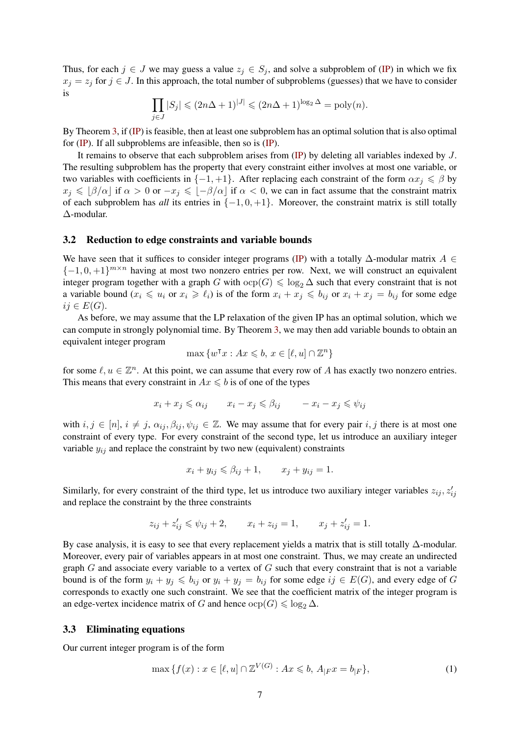Thus, for each  $j \in J$  we may guess a value  $z_j \in S_j$ , and solve a subproblem of [\(IP\)](#page-0-0) in which we fix  $x_j = z_j$  for  $j \in J$ . In this approach, the total number of subproblems (guesses) that we have to consider is

$$
\prod_{j\in J} |S_j| \leq (2n\Delta + 1)^{|J|} \leq (2n\Delta + 1)^{\log_2 \Delta} = \text{poly}(n).
$$

By Theorem [3,](#page-5-0) if [\(IP\)](#page-0-0) is feasible, then at least one subproblem has an optimal solution that is also optimal for [\(IP\)](#page-0-0). If all subproblems are infeasible, then so is [\(IP\)](#page-0-0).

It remains to observe that each subproblem arises from [\(IP\)](#page-0-0) by deleting all variables indexed by J. The resulting subproblem has the property that every constraint either involves at most one variable, or two variables with coefficients in  $\{-1, +1\}$ . After replacing each constraint of the form  $\alpha x_i \leq \beta$  by  $x_j \leq \lfloor \beta/\alpha \rfloor$  if  $\alpha > 0$  or  $-x_j \leq \lfloor -\beta/\alpha \rfloor$  if  $\alpha < 0$ , we can in fact assume that the constraint matrix of each subproblem has *all* its entries in {−1, 0, +1}. Moreover, the constraint matrix is still totally ∆-modular.

#### 3.2 Reduction to edge constraints and variable bounds

We have seen that it suffices to consider integer programs [\(IP\)](#page-0-0) with a totally  $\Delta$ -modular matrix  $A \in$  $\{-1,0,+1\}^{m \times n}$  having at most two nonzero entries per row. Next, we will construct an equivalent integer program together with a graph G with  $\text{ocp}(G) \leq \log_2 \Delta$  such that every constraint that is not a variable bound  $(x_i \leq u_i \text{ or } x_i \geq \ell_i)$  is of the form  $x_i + x_j \leq b_{ij}$  or  $x_i + x_j = b_{ij}$  for some edge  $ij \in E(G)$ .

As before, we may assume that the LP relaxation of the given IP has an optimal solution, which we can compute in strongly polynomial time. By Theorem [3,](#page-5-0) we may then add variable bounds to obtain an equivalent integer program

$$
\max \{ w^{\mathsf{T}} x : Ax \leqslant b, x \in [\ell, u] \cap \mathbb{Z}^n \}
$$

for some  $\ell, u \in \mathbb{Z}^n$ . At this point, we can assume that every row of A has exactly two nonzero entries. This means that every constraint in  $Ax \leq b$  is of one of the types

$$
x_i + x_j \leqslant \alpha_{ij} \qquad x_i - x_j \leqslant \beta_{ij} \qquad -x_i - x_j \leqslant \psi_{ij}
$$

with  $i, j \in [n], i \neq j$ ,  $\alpha_{ij}, \beta_{ij}, \psi_{ij} \in \mathbb{Z}$ . We may assume that for every pair  $i, j$  there is at most one constraint of every type. For every constraint of the second type, let us introduce an auxiliary integer variable  $y_{ij}$  and replace the constraint by two new (equivalent) constraints

$$
x_i + y_{ij} \le \beta_{ij} + 1, \qquad x_j + y_{ij} = 1.
$$

Similarly, for every constraint of the third type, let us introduce two auxiliary integer variables  $z_{ij}$ ,  $z'_{ij}$ and replace the constraint by the three constraints

$$
z_{ij} + z'_{ij} \le \psi_{ij} + 2
$$
,  $x_i + z_{ij} = 1$ ,  $x_j + z'_{ij} = 1$ .

By case analysis, it is easy to see that every replacement yields a matrix that is still totally  $\Delta$ -modular. Moreover, every pair of variables appears in at most one constraint. Thus, we may create an undirected graph  $G$  and associate every variable to a vertex of  $G$  such that every constraint that is not a variable bound is of the form  $y_i + y_j \leq b_{ij}$  or  $y_i + y_j = b_{ij}$  for some edge  $ij \in E(G)$ , and every edge of G corresponds to exactly one such constraint. We see that the coefficient matrix of the integer program is an edge-vertex incidence matrix of G and hence  $\text{ocp}(G) \leq \log_2 \Delta$ .

#### 3.3 Eliminating equations

Our current integer program is of the form

<span id="page-6-0"></span>
$$
\max\{f(x) : x \in [\ell, u] \cap \mathbb{Z}^{V(G)} : Ax \leq b, A_{|F}x = b_{|F}\},\tag{1}
$$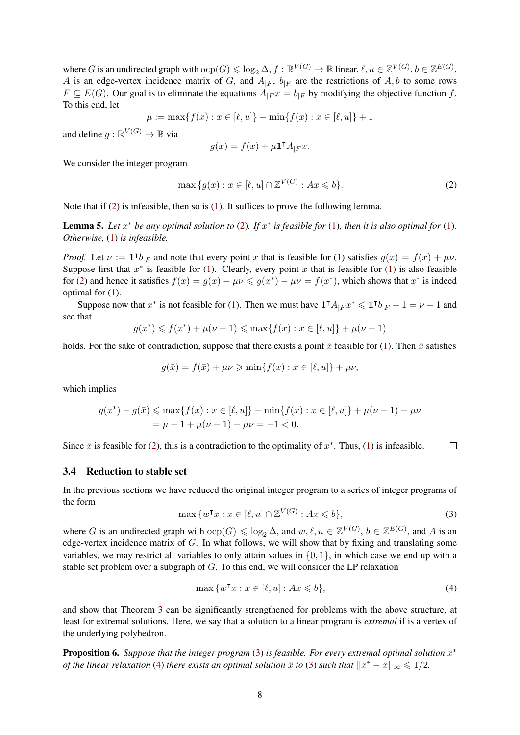where G is an undirected graph with  $\text{ocp}(G) \leq \log_2 \Delta$ ,  $f : \mathbb{R}^{V(G)} \to \mathbb{R}$  linear,  $\ell, u \in \mathbb{Z}^{V(G)}$ ,  $b \in \mathbb{Z}^{E(G)}$ , A is an edge-vertex incidence matrix of G, and  $A_{|F}$ ,  $b_{|F}$  are the restrictions of A, b to some rows  $F \subseteq E(G)$ . Our goal is to eliminate the equations  $A_{F}x = b_{F}$  by modifying the objective function f. To this end, let

$$
\mu := \max\{f(x) : x \in [\ell, u]\} - \min\{f(x) : x \in [\ell, u]\} + 1
$$

and define  $g : \mathbb{R}^{V(G)} \to \mathbb{R}$  via

$$
g(x) = f(x) + \mu \mathbf{1}^\mathsf{T} A_{|F} x.
$$

We consider the integer program

<span id="page-7-0"></span>
$$
\max\{g(x) : x \in [\ell, u] \cap \mathbb{Z}^{V(G)} : Ax \leq b\}.
$$
\n<sup>(2)</sup>

Note that if  $(2)$  is infeasible, then so is  $(1)$ . It suffices to prove the following lemma.

**Lemma 5.** Let  $x^*$  be any optimal solution to [\(2\)](#page-7-0). If  $x^*$  is feasible for [\(1\)](#page-6-0), then it is also optimal for (1). *Otherwise,* [\(1\)](#page-6-0) *is infeasible.*

*Proof.* Let  $\nu := \mathbf{1}^\intercal b_{|F}$  and note that every point x that is feasible for [\(1\)](#page-6-0) satisfies  $g(x) = f(x) + \mu \nu$ . Suppose first that  $x^*$  is feasible for [\(1\)](#page-6-0). Clearly, every point x that is feasible for (1) is also feasible for [\(2\)](#page-7-0) and hence it satisfies  $f(x) = g(x) - \mu \nu \leq g(x^*) - \mu \nu = f(x^*)$ , which shows that  $x^*$  is indeed optimal for [\(1\)](#page-6-0).

Suppose now that  $x^*$  is not feasible for [\(1\)](#page-6-0). Then we must have  $1^{\dagger} A_{\vert F} x^* \leq 1^{\dagger} b_{\vert F} - 1 = \nu - 1$  and see that

$$
g(x^*) \leq f(x^*) + \mu(\nu - 1) \leq \max\{f(x) : x \in [\ell, u]\} + \mu(\nu - 1)
$$

holds. For the sake of contradiction, suppose that there exists a point  $\bar{x}$  feasible for [\(1\)](#page-6-0). Then  $\bar{x}$  satisfies

$$
g(\bar{x}) = f(\bar{x}) + \mu \nu \ge \min\{f(x) : x \in [\ell, u]\} + \mu \nu,
$$

which implies

$$
g(x^*) - g(\bar{x}) \le \max\{f(x) : x \in [\ell, u]\} - \min\{f(x) : x \in [\ell, u]\} + \mu(\nu - 1) - \mu\nu
$$
  
=  $\mu - 1 + \mu(\nu - 1) - \mu\nu = -1 < 0.$ 

Since  $\bar{x}$  is feasible for [\(2\)](#page-7-0), this is a contradiction to the optimality of  $x^*$ . Thus, [\(1\)](#page-6-0) is infeasible.  $\Box$ 

#### 3.4 Reduction to stable set

In the previous sections we have reduced the original integer program to a series of integer programs of the form

<span id="page-7-1"></span>
$$
\max \{ w^{\mathsf{T}} x : x \in [\ell, u] \cap \mathbb{Z}^{V(G)} : Ax \leqslant b \},\tag{3}
$$

where G is an undirected graph with  $\text{ocp}(G) \leq \log_2 \Delta$ , and  $w, \ell, u \in \mathbb{Z}^{V(G)}$ ,  $b \in \mathbb{Z}^{E(G)}$ , and A is an edge-vertex incidence matrix of G. In what follows, we will show that by fixing and translating some variables, we may restrict all variables to only attain values in  $\{0, 1\}$ , in which case we end up with a stable set problem over a subgraph of  $G$ . To this end, we will consider the LP relaxation

<span id="page-7-2"></span>
$$
\max \{ w^{\mathsf{T}} x : x \in [\ell, u] : Ax \leqslant b \},\tag{4}
$$

and show that Theorem [3](#page-5-0) can be significantly strengthened for problems with the above structure, at least for extremal solutions. Here, we say that a solution to a linear program is *extremal* if is a vertex of the underlying polyhedron.

<span id="page-7-3"></span>**Proposition 6.** Suppose that the integer program [\(3\)](#page-7-1) is feasible. For every extremal optimal solution  $x^*$ *of the linear relaxation* [\(4\)](#page-7-2) *there exists an optimal solution*  $\bar{x}$  *to* [\(3\)](#page-7-1) *such that*  $||x^* - \bar{x}||_{\infty} \leq 1/2$ *.*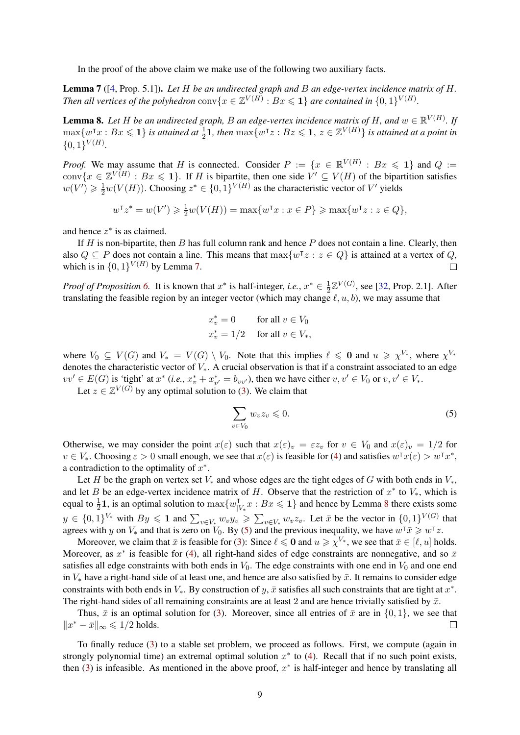In the proof of the above claim we make use of the following two auxiliary facts.

<span id="page-8-0"></span>Lemma 7 ([\[4,](#page-39-4) Prop. 5.1]). *Let* H *be an undirected graph and* B *an edge-vertex incidence matrix of* H*. Then all vertices of the polyhedron*  $conv\{x \in \mathbb{Z}^{V(H)} : Bx \leq 1\}$  are contained in  $\{0,1\}^{V(H)}$ .

<span id="page-8-1"></span>**Lemma 8.** Let H be an undirected graph, B an edge-vertex incidence matrix of H, and  $w \in \mathbb{R}^{V(H)}$ . If  $\max\{w^\intercal x : Bx \leqslant 1\}$  *is attained at*  $\frac{1}{2}\mathbf{1}$ *, then*  $\max\{w^\intercal z : Bz \leqslant 1, z \in \mathbb{Z}^{V(H)}\}$  *is attained at a point in*  $\{0,1\}^{V(H)}$ .

*Proof.* We may assume that H is connected. Consider  $P := \{x \in \mathbb{R}^{V(H)} : Bx \leq 1\}$  and  $Q :=$ conv $\{x \in \mathbb{Z}^{V(H)} : Bx \leq 1\}$ . If H is bipartite, then one side  $V' \subseteq V(H)$  of the bipartition satisfies  $w(V') \geq \frac{1}{2}w(V(H))$ . Choosing  $z^* \in \{0,1\}^{V(H)}$  as the characteristic vector of V' yields

$$
w^{\mathsf{T}} z^* = w(V') \geq \frac{1}{2} w(V(H)) = \max\{w^{\mathsf{T}} x : x \in P\} \geq \max\{w^{\mathsf{T}} z : z \in Q\},\
$$

and hence  $z^*$  is as claimed.

If  $H$  is non-bipartite, then  $B$  has full column rank and hence  $P$  does not contain a line. Clearly, then also  $Q \subseteq P$  does not contain a line. This means that  $\max\{w^{\intercal}z : z \in Q\}$  is attained at a vertex of Q, which is in  $\{0,1\}^{V(H)}$  by Lemma [7.](#page-8-0)  $\Box$ 

*Proof of Proposition [6.](#page-7-3)* It is known that  $x^*$  is half-integer, *i.e.*,  $x^* \in \frac{1}{2}$  $\frac{1}{2}\mathbb{Z}^{V(G)}$ , see [\[32,](#page-41-14) Prop. 2.1]. After translating the feasible region by an integer vector (which may change  $\ell, u, b$ ), we may assume that

$$
x_v^* = 0 \tfor all  $v \in V_0$   

$$
x_v^* = 1/2 \tfor all  $v \in V_*$ ,
$$
$$

where  $V_0 \subseteq V(G)$  and  $V_* = V(G) \setminus V_0$ . Note that this implies  $\ell \leq 0$  and  $u \geq \chi^{V_*}$ , where  $\chi^{V_*}$ denotes the characteristic vector of  $V_*$ . A crucial observation is that if a constraint associated to an edge  $vv' \in E(G)$  is 'tight' at  $x^*$  (*i.e.*,  $x_v^* + x_{v'}^* = b_{vv'}$ ), then we have either  $v, v' \in V_0$  or  $v, v' \in V_*$ .

Let  $z \in \mathbb{Z}^{V(G)}$  by any optimal solution to [\(3\)](#page-7-1). We claim that

<span id="page-8-2"></span>
$$
\sum_{v \in V_0} w_v z_v \leqslant 0. \tag{5}
$$

Otherwise, we may consider the point  $x(\varepsilon)$  such that  $x(\varepsilon)_v = \varepsilon z_v$  for  $v \in V_0$  and  $x(\varepsilon)_v = 1/2$  for  $v \in V_*$ . Choosing  $\varepsilon > 0$  small enough, we see that  $x(\varepsilon)$  is feasible for [\(4\)](#page-7-2) and satisfies  $w^\dagger x(\varepsilon) > w^\dagger x^*$ , a contradiction to the optimality of  $x^*$ .

Let H be the graph on vertex set  $V_*$  and whose edges are the tight edges of G with both ends in  $V_*$ , and let B be an edge-vertex incidence matrix of H. Observe that the restriction of  $x^*$  to  $V_*$ , which is equal to  $\frac{1}{2}$ **1**, is an optimal solution to  $\max\{w_{\parallel}^{\dagger}$  $\prod_{|V_*}^{\mathsf{T}} x : Bx \leq 1$  and hence by Lemma [8](#page-8-1) there exists some  $y \in \{0,1\}^{V_*}$  with  $By \leq 1$  and  $\sum_{v \in V_*} w_v y_v \geq \sum_{v \in V_*} w_v z_v$ . Let  $\bar{x}$  be the vector in  $\{0,1\}^{V(G)}$  that agrees with y on  $V_*$  and that is zero on  $V_0$ . By [\(5\)](#page-8-2) and the previous inequality, we have  $w^{\dagger} \bar{x} \geq w^{\dagger} z$ .

Moreover, we claim that  $\bar{x}$  is feasible for [\(3\)](#page-7-1): Since  $\ell \leq 0$  and  $u \geq \chi^{V_*}$ , we see that  $\bar{x} \in [\ell, u]$  holds. Moreover, as  $x^*$  is feasible for [\(4\)](#page-7-2), all right-hand sides of edge constraints are nonnegative, and so  $\bar{x}$ satisfies all edge constraints with both ends in  $V_0$ . The edge constraints with one end in  $V_0$  and one end in  $V_*$  have a right-hand side of at least one, and hence are also satisfied by  $\bar{x}$ . It remains to consider edge constraints with both ends in  $V_*$ . By construction of y,  $\bar{x}$  satisfies all such constraints that are tight at  $x^*$ . The right-hand sides of all remaining constraints are at least 2 and are hence trivially satisfied by  $\bar{x}$ .

Thus,  $\bar{x}$  is an optimal solution for [\(3\)](#page-7-1). Moreover, since all entries of  $\bar{x}$  are in {0, 1}, we see that  $||x^* - \bar{x}||_{\infty} \le 1/2$  holds.  $\Box$ 

To finally reduce [\(3\)](#page-7-1) to a stable set problem, we proceed as follows. First, we compute (again in strongly polynomial time) an extremal optimal solution  $x^*$  to [\(4\)](#page-7-2). Recall that if no such point exists, then [\(3\)](#page-7-1) is infeasible. As mentioned in the above proof,  $x^*$  is half-integer and hence by translating all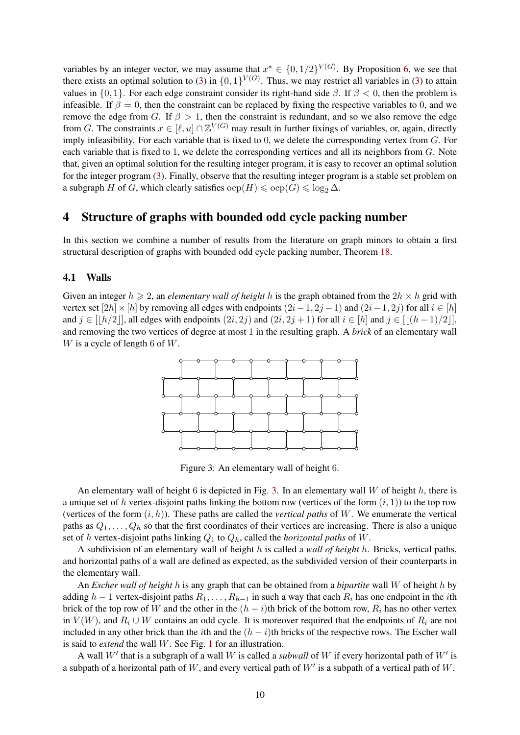variables by an integer vector, we may assume that  $x^* \in \{0, 1/2\}^{V(G)}$ . By Proposition [6,](#page-7-3) we see that there exists an optimal solution to [\(3\)](#page-7-1) in  $\{0,1\}^{V(G)}$ . Thus, we may restrict all variables in (3) to attain values in  $\{0, 1\}$ . For each edge constraint consider its right-hand side  $\beta$ . If  $\beta < 0$ , then the problem is infeasible. If  $\beta = 0$ , then the constraint can be replaced by fixing the respective variables to 0, and we remove the edge from G. If  $\beta > 1$ , then the constraint is redundant, and so we also remove the edge from G. The constraints  $x \in [\ell, u] \cap \mathbb{Z}^{V(G)}$  may result in further fixings of variables, or, again, directly imply infeasibility. For each variable that is fixed to 0, we delete the corresponding vertex from G. For each variable that is fixed to 1, we delete the corresponding vertices and all its neighbors from  $G$ . Note that, given an optimal solution for the resulting integer program, it is easy to recover an optimal solution for the integer program [\(3\)](#page-7-1). Finally, observe that the resulting integer program is a stable set problem on a subgraph H of G, which clearly satisfies  $\text{ocp}(H) \leq \text{ocp}(G) \leq \log_2 \Delta$ .

# <span id="page-9-0"></span>4 Structure of graphs with bounded odd cycle packing number

In this section we combine a number of results from the literature on graph minors to obtain a first structural description of graphs with bounded odd cycle packing number, Theorem [18.](#page-13-0)

#### <span id="page-9-1"></span>4.1 Walls

Given an integer  $h \ge 2$ , an *elementary wall of height* h is the graph obtained from the  $2h \times h$  grid with vertex set  $[2h] \times [h]$  by removing all edges with endpoints  $(2i-1, 2j-1)$  and  $(2i-1, 2j)$  for all  $i \in [h]$ and  $j \in [h/2]$ , all edges with endpoints  $(2i, 2j)$  and  $(2i, 2j + 1)$  for all  $i \in [h]$  and  $j \in [(h-1)/2]$ , and removing the two vertices of degree at most 1 in the resulting graph. A *brick* of an elementary wall W is a cycle of length 6 of  $W$ .



<span id="page-9-2"></span>Figure 3: An elementary wall of height 6.

An elementary wall of height 6 is depicted in Fig. [3.](#page-9-2) In an elementary wall  $W$  of height  $h$ , there is a unique set of h vertex-disjoint paths linking the bottom row (vertices of the form  $(i, 1)$ ) to the top row (vertices of the form  $(i, h)$ ). These paths are called the *vertical paths* of W. We enumerate the vertical paths as  $Q_1, \ldots, Q_h$  so that the first coordinates of their vertices are increasing. There is also a unique set of h vertex-disjoint paths linking  $Q_1$  to  $Q_h$ , called the *horizontal paths* of W.

A subdivision of an elementary wall of height h is called a *wall of height* h. Bricks, vertical paths, and horizontal paths of a wall are defined as expected, as the subdivided version of their counterparts in the elementary wall.

An *Escher wall of height* h is any graph that can be obtained from a *bipartite* wall W of height h by adding  $h-1$  vertex-disjoint paths  $R_1, \ldots, R_{h-1}$  in such a way that each  $R_i$  has one endpoint in the *i*th brick of the top row of W and the other in the  $(h - i)$ th brick of the bottom row,  $R_i$  has no other vertex in  $V(W)$ , and  $R_i \cup W$  contains an odd cycle. It is moreover required that the endpoints of  $R_i$  are not included in any other brick than the *i*th and the  $(h - i)$ th bricks of the respective rows. The Escher wall is said to *extend* the wall W. See Fig. [1](#page-2-0) for an illustration.

A wall  $W'$  that is a subgraph of a wall W is called a *subwall* of W if every horizontal path of  $W'$  is a subpath of a horizontal path of W, and every vertical path of  $W'$  is a subpath of a vertical path of W.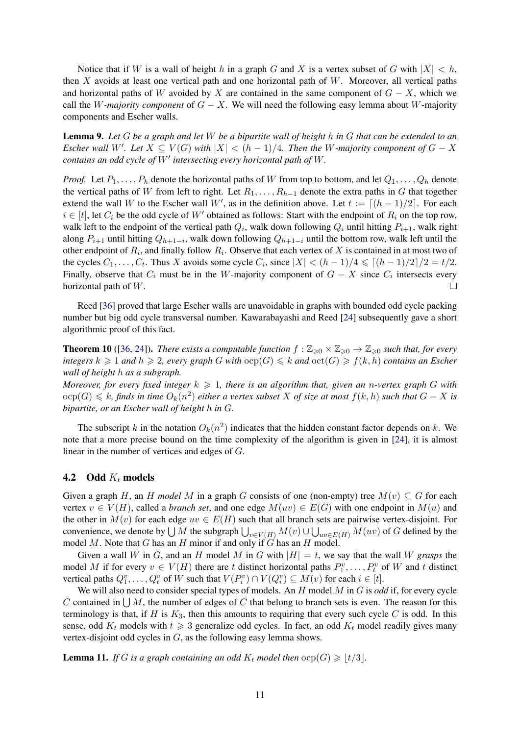Notice that if W is a wall of height h in a graph G and X is a vertex subset of G with  $|X| < h$ , then  $X$  avoids at least one vertical path and one horizontal path of  $W$ . Moreover, all vertical paths and horizontal paths of W avoided by X are contained in the same component of  $G - X$ , which we call the W-majority component of  $G - X$ . We will need the following easy lemma about W-majority components and Escher walls.

<span id="page-10-1"></span>Lemma 9. *Let* G *be a graph and let* W *be a bipartite wall of height* h *in* G *that can be extended to an Escher wall* W'. Let  $X \subseteq V(G)$  with  $|X| < (h - 1)/4$ . Then the W-majority component of  $G - X$ *contains an odd cycle of*  $W'$  intersecting every horizontal path of  $W$ .

*Proof.* Let  $P_1, \ldots, P_h$  denote the horizontal paths of W from top to bottom, and let  $Q_1, \ldots, Q_h$  denote the vertical paths of W from left to right. Let  $R_1, \ldots, R_{h-1}$  denote the extra paths in G that together extend the wall W to the Escher wall W', as in the definition above. Let  $t := [(h - 1)/2]$ . For each  $i \in [t]$ , let  $C_i$  be the odd cycle of W' obtained as follows: Start with the endpoint of  $R_i$  on the top row, walk left to the endpoint of the vertical path  $Q_i$ , walk down following  $Q_i$  until hitting  $P_{i+1}$ , walk right along  $P_{i+1}$  until hitting  $Q_{h+1-i}$ , walk down following  $Q_{h+1-i}$  until the bottom row, walk left until the other endpoint of  $R_i$ , and finally follow  $R_i$ . Observe that each vertex of X is contained in at most two of the cycles  $C_1, \ldots, C_t$ . Thus X avoids some cycle  $C_i$ , since  $|X| < (h-1)/4 \le |(h-1)/2|/2 = t/2$ . Finally, observe that  $C_i$  must be in the W-majority component of  $G - X$  since  $C_i$  intersects every horizontal path of W. П

Reed [\[36\]](#page-41-7) proved that large Escher walls are unavoidable in graphs with bounded odd cycle packing number but big odd cycle transversal number. Kawarabayashi and Reed [\[24\]](#page-41-10) subsequently gave a short algorithmic proof of this fact.

<span id="page-10-2"></span>**Theorem 10** ([\[36,](#page-41-7) [24\]](#page-41-10)). *There exists a computable function*  $f : \mathbb{Z}_{\geq 0} \times \mathbb{Z}_{\geq 0} \to \mathbb{Z}_{\geq 0}$  *such that, for every integers*  $k \geq 1$  *and*  $h \geq 2$ , every graph G with  $\text{ocp}(G) \leq k$  and  $\text{oct}(G) \geq f(k, h)$  *contains an Escher wall of height* h *as a subgraph.*

*Moreover, for every fixed integer*  $k \ge 1$ *, there is an algorithm that, given an n-vertex graph* G with  $\text{ocp}(G) \leqslant k$ , finds in time  $O_k(n^2)$  either a vertex subset  $X$  of size at most  $f(k, h)$  such that  $G - X$  is *bipartite, or an Escher wall of height* h *in* G*.*

The subscript k in the notation  $O_k(n^2)$  indicates that the hidden constant factor depends on k. We note that a more precise bound on the time complexity of the algorithm is given in [\[24\]](#page-41-10), it is almost linear in the number of vertices and edges of G.

#### 4.2 Odd  $K_t$  models

Given a graph H, an H model M in a graph G consists of one (non-empty) tree  $M(v) \subseteq G$  for each vertex  $v \in V(H)$ , called a *branch set*, and one edge  $M(uv) \in E(G)$  with one endpoint in  $M(u)$  and the other in  $M(v)$  for each edge  $uv \in E(H)$  such that all branch sets are pairwise vertex-disjoint. For convenience, we denote by  $\bigcup M$  the subgraph  $\bigcup_{v\in V(H)} M(v) \cup \bigcup_{uv\in E(H)} M(uv)$  of  $G$  defined by the model M. Note that G has an H minor if and only if  $G$  has an H model.

Given a wall W in G, and an H model M in G with  $|H| = t$ , we say that the wall W *grasps* the model M if for every  $v \in V(H)$  there are t distinct horizontal paths  $P_1^v, \ldots, P_t^v$  of W and t distinct vertical paths  $Q_1^v, \ldots, Q_t^v$  of W such that  $V(P_i^v) \cap V(Q_i^v) \subseteq M(v)$  for each  $i \in [t]$ .

We will also need to consider special types of models. An H model M in G is *odd* if, for every cycle C contained in  $\bigcup M$ , the number of edges of C that belong to branch sets is even. The reason for this terminology is that, if H is  $K_3$ , then this amounts to requiring that every such cycle C is odd. In this sense, odd  $K_t$  models with  $t \geq 3$  generalize odd cycles. In fact, an odd  $K_t$  model readily gives many vertex-disjoint odd cycles in G, as the following easy lemma shows.

<span id="page-10-0"></span>**Lemma 11.** *If* G *is a graph containing an odd*  $K_t$  *model then*  $\text{ocp}(G) \geq |t/3|$ *.*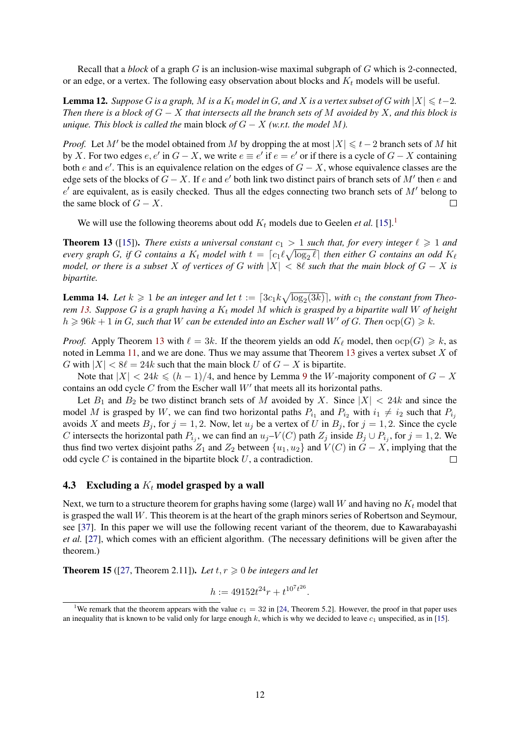Recall that a *block* of a graph G is an inclusion-wise maximal subgraph of G which is 2-connected, or an edge, or a vertex. The following easy observation about blocks and  $K_t$  models will be useful.

**Lemma 12.** *Suppose* G *is a graph,* M *is a*  $K_t$  *model in* G, and X *is a vertex subset of* G *with*  $|X| \le t-2$ *. Then there is a block of* G − X *that intersects all the branch sets of* M *avoided by* X*, and this block is unique. This block is called the main block of*  $G - X$  *(w.r.t. the model M).* 

*Proof.* Let M' be the model obtained from M by dropping the at most  $|X| \le t-2$  branch sets of M hit by X. For two edges  $e, e'$  in  $G - X$ , we write  $e \equiv e'$  if  $e = e'$  or if there is a cycle of  $G - X$  containing both e and e'. This is an equivalence relation on the edges of  $G - X$ , whose equivalence classes are the edge sets of the blocks of  $G - X$ . If e and e' both link two distinct pairs of branch sets of M' then e and  $e'$  are equivalent, as is easily checked. Thus all the edges connecting two branch sets of  $M'$  belong to the same block of  $G - X$ .  $\Box$ 

We will use the following theorems about odd  $K_t$  models due to Geelen *et al.* [\[15\]](#page-40-13).<sup>[1](#page-11-0)</sup>

<span id="page-11-1"></span>**Theorem 13** ([\[15\]](#page-40-13)). *There exists a universal constant*  $c_1 > 1$  *such that, for every integer*  $\ell \ge 1$  *and every graph* G, if G contains a  $K_t$  model with  $t = \lceil c_1 \ell \sqrt{\log_2 \ell} \rceil$  then either G contains an odd  $K_\ell$ *model, or there is a subset* X *of vertices of* G *with*  $|X| < 8\ell$  *such that the main block of*  $G - X$  *is bipartite.*

<span id="page-11-3"></span>**Lemma 14.** Let  $k \geq 1$  be an integer and let  $t := \lceil 3c_1k \sqrt{\log_2(3k)} \rceil$ , with  $c_1$  the constant from Theo*rem* [13.](#page-11-1) Suppose G is a graph having a  $K_t$  model M which is grasped by a bipartite wall W of height  $h \geq 96k + 1$  *in G*, such that *W* can be extended into an Escher wall *W'* of *G*. Then  $\text{ocp}(G) \geq k$ .

*Proof.* Apply Theorem [13](#page-11-1) with  $\ell = 3k$ . If the theorem yields an odd  $K_{\ell}$  model, then  $\text{ocp}(G) \geq k$ , as noted in Lemma [11,](#page-10-0) and we are done. Thus we may assume that Theorem [13](#page-11-1) gives a vertex subset  $X$  of G with  $|X| < 8\ell = 24k$  such that the main block U of  $G - X$  is bipartite.

Note that  $|X| < 24k \le (h-1)/4$ , and hence by Lemma [9](#page-10-1) the W-majority component of  $G - X$ contains an odd cycle  $C$  from the Escher wall  $W'$  that meets all its horizontal paths.

Let  $B_1$  and  $B_2$  be two distinct branch sets of M avoided by X. Since  $|X| < 24k$  and since the model M is grasped by W, we can find two horizontal paths  $P_{i_1}$  and  $P_{i_2}$  with  $i_1 \neq i_2$  such that  $P_{i_j}$ avoids X and meets  $B_j$ , for  $j = 1, 2$ . Now, let  $u_j$  be a vertex of U in  $B_j$ , for  $j = 1, 2$ . Since the cycle C intersects the horizontal path  $P_{i_j}$ , we can find an  $u_j$ – $V(C)$  path  $Z_j$  inside  $B_j \cup P_{i_j}$ , for  $j = 1, 2$ . We thus find two vertex disjoint paths  $Z_1$  and  $Z_2$  between  $\{u_1, u_2\}$  and  $V(C)$  in  $G - X$ , implying that the odd cycle  $C$  is contained in the bipartite block  $U$ , a contradiction.  $\Box$ 

#### 4.3 Excluding a  $K_t$  model grasped by a wall

Next, we turn to a structure theorem for graphs having some (large) wall W and having no  $K_t$  model that is grasped the wall  $W$ . This theorem is at the heart of the graph minors series of Robertson and Seymour, see [\[37\]](#page-41-8). In this paper we will use the following recent variant of the theorem, due to Kawarabayashi *et al.* [\[27\]](#page-41-9), which comes with an efficient algorithm. (The necessary definitions will be given after the theorem.)

<span id="page-11-2"></span>**Theorem 15** ([\[27,](#page-41-9) Theorem 2.11]). Let  $t, r \ge 0$  be integers and let

$$
h := 49152t^{24}r + t^{10^{7}t^{26}}.
$$

<span id="page-11-0"></span><sup>&</sup>lt;sup>1</sup>We remark that the theorem appears with the value  $c_1 = 32$  in [\[24,](#page-41-10) Theorem 5.2]. However, the proof in that paper uses an inequality that is known to be valid only for large enough  $k$ , which is why we decided to leave  $c_1$  unspecified, as in [\[15\]](#page-40-13).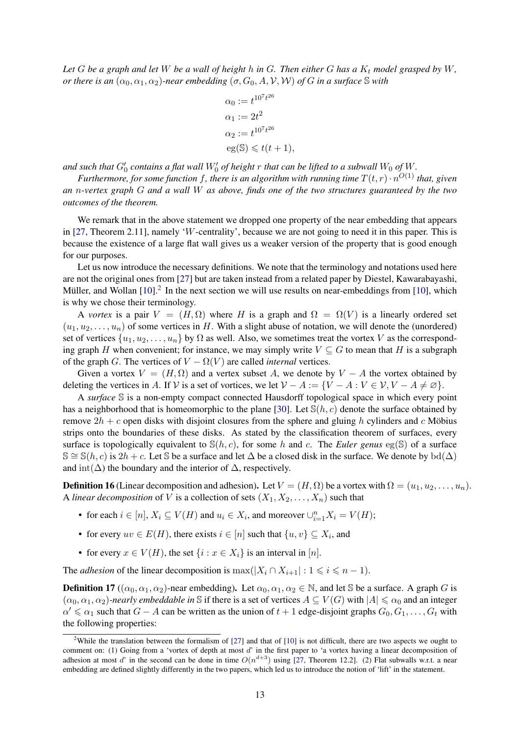*Let*  $G$  *be a graph and let*  $W$  *be a wall of height*  $h$  *in*  $G$ *. Then either*  $G$  *has a*  $K_t$  *model grasped by*  $W$ *, or there is an*  $(\alpha_0, \alpha_1, \alpha_2)$ *-near embedding*  $(\sigma, G_0, A, V, W)$  *of* G *in a surface* S *with* 

$$
\alpha_0 := t^{10^7 t^{26}}
$$
  
\n
$$
\alpha_1 := 2t^2
$$
  
\n
$$
\alpha_2 := t^{10^7 t^{26}}
$$
  
\n
$$
eg(\mathbb{S}) \leq t(t+1),
$$

and such that  $G_0'$  contains a flat wall  $W_0'$  of height  $r$  that can be lifted to a subwall  $W_0$  of  $W$ .

Furthermore, for some function f, there is an algorithm with running time  $T(t,r) \cdot n^{O(1)}$  that, given *an* n*-vertex graph* G *and a wall* W *as above, finds one of the two structures guaranteed by the two outcomes of the theorem.*

We remark that in the above statement we dropped one property of the near embedding that appears in [\[27,](#page-41-9) Theorem 2.11], namely 'W-centrality', because we are not going to need it in this paper. This is because the existence of a large flat wall gives us a weaker version of the property that is good enough for our purposes.

Let us now introduce the necessary definitions. We note that the terminology and notations used here are not the original ones from [\[27\]](#page-41-9) but are taken instead from a related paper by Diestel, Kawarabayashi, Müller, and Wollan  $[10]$  $[10]$ .<sup>[2](#page-12-0)</sup> In the next section we will use results on near-embeddings from [\[10\]](#page-40-14), which is why we chose their terminology.

A *vortex* is a pair  $V = (H, \Omega)$  where H is a graph and  $\Omega = \Omega(V)$  is a linearly ordered set  $(u_1, u_2, \ldots, u_n)$  of some vertices in H. With a slight abuse of notation, we will denote the (unordered) set of vertices  $\{u_1, u_2, \ldots, u_n\}$  by  $\Omega$  as well. Also, we sometimes treat the vortex V as the corresponding graph H when convenient; for instance, we may simply write  $V \subset G$  to mean that H is a subgraph of the graph G. The vertices of  $V - \Omega(V)$  are called *internal* vertices.

Given a vortex  $V = (H, \Omega)$  and a vertex subset A, we denote by  $V - A$  the vortex obtained by deleting the vertices in A. If V is a set of vortices, we let  $V - A := \{V - A : V \in V, V - A \neq \emptyset\}.$ 

A *surface* S is a non-empty compact connected Hausdorff topological space in which every point has a neighborhood that is homeomorphic to the plane [\[30\]](#page-41-15). Let  $\mathcal{S}(h, c)$  denote the surface obtained by remove  $2h + c$  open disks with disjoint closures from the sphere and gluing h cylinders and c Möbius strips onto the boundaries of these disks. As stated by the classification theorem of surfaces, every surface is topologically equivalent to  $\mathcal{S}(h, c)$ , for some h and c. The *Euler genus* eg( $\mathcal{S}$ ) of a surface  $\mathbb{S} \cong \mathbb{S}(h, c)$  is 2h + c. Let  $\mathbb{S}$  be a surface and let  $\Delta$  be a closed disk in the surface. We denote by  $\mathrm{bd}(\Delta)$ and int( $\Delta$ ) the boundary and the interior of  $\Delta$ , respectively.

**Definition 16** (Linear decomposition and adhesion). Let  $V = (H, \Omega)$  be a vortex with  $\Omega = (u_1, u_2, \dots, u_n)$ . A *linear decomposition* of V is a collection of sets  $(X_1, X_2, \ldots, X_n)$  such that

- for each  $i \in [n]$ ,  $X_i \subseteq V(H)$  and  $u_i \in X_i$ , and moreover  $\cup_{i=1}^n X_i = V(H)$ ;
- for every  $uv \in E(H)$ , there exists  $i \in [n]$  such that  $\{u, v\} \subseteq X_i$ , and
- for every  $x \in V(H)$ , the set  $\{i : x \in X_i\}$  is an interval in [n].

The *adhesion* of the linear decomposition is  $\max(|X_i \cap X_{i+1}| : 1 \leq i \leq n-1)$ .

**Definition 17** (( $\alpha_0, \alpha_1, \alpha_2$ )-near embedding). Let  $\alpha_0, \alpha_1, \alpha_2 \in \mathbb{N}$ , and let S be a surface. A graph G is  $(\alpha_0, \alpha_1, \alpha_2)$ -nearly embeddable in S if there is a set of vertices  $A \subseteq V(G)$  with  $|A| \leq \alpha_0$  and an integer  $\alpha' \leq \alpha_1$  such that  $G - A$  can be written as the union of  $t + 1$  edge-disjoint graphs  $G_0, G_1, \ldots, G_t$  with the following properties:

<span id="page-12-0"></span><sup>&</sup>lt;sup>2</sup>While the translation between the formalism of [\[27\]](#page-41-9) and that of [\[10\]](#page-40-14) is not difficult, there are two aspects we ought to comment on: (1) Going from a 'vortex of depth at most  $d'$  in the first paper to 'a vortex having a linear decomposition of adhesion at most d' in the second can be done in time  $O(n^{d+3})$  using [\[27,](#page-41-9) Theorem 12.2]. (2) Flat subwalls w.r.t. a near embedding are defined slightly differently in the two papers, which led us to introduce the notion of 'lift' in the statement.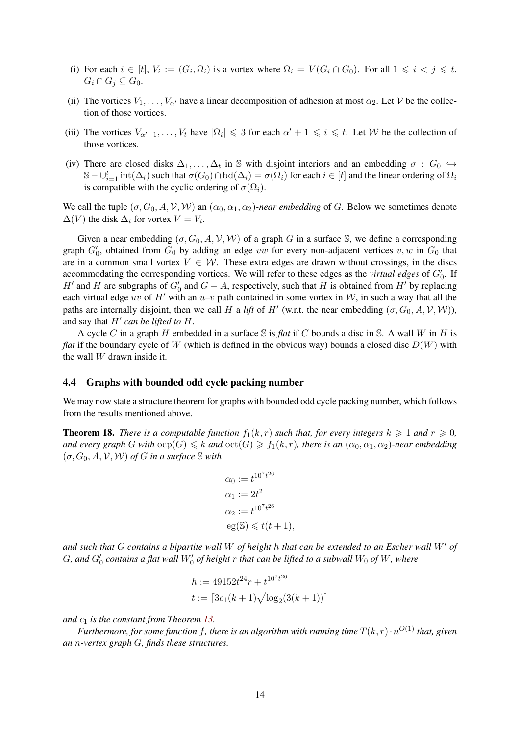- (i) For each  $i \in [t], V_i := (G_i, \Omega_i)$  is a vortex where  $\Omega_i = V(G_i \cap G_0)$ . For all  $1 \leq i < j \leq t$ ,  $G_i \cap G_j \subseteq G_0$ .
- (ii) The vortices  $V_1, \ldots, V_{\alpha'}$  have a linear decomposition of adhesion at most  $\alpha_2$ . Let V be the collection of those vortices.
- (iii) The vortices  $V_{\alpha'+1}, \ldots, V_t$  have  $|\Omega_i| \leq 3$  for each  $\alpha' + 1 \leq i \leq t$ . Let W be the collection of those vortices.
- (iv) There are closed disks  $\Delta_1, \ldots, \Delta_t$  in S with disjoint interiors and an embedding  $\sigma : G_0 \hookrightarrow$  $\mathbb{S}-\cup_{i=1}^t\text{int}(\Delta_i)$  such that  $\sigma(G_0)\cap\text{bd}(\Delta_i)=\sigma(\Omega_i)$  for each  $i\in[t]$  and the linear ordering of  $\Omega_i$ is compatible with the cyclic ordering of  $\sigma(\Omega_i)$ .

We call the tuple  $(\sigma, G_0, A, V, W)$  an  $(\alpha_0, \alpha_1, \alpha_2)$ *-near embedding* of G. Below we sometimes denote  $\Delta(V)$  the disk  $\Delta_i$  for vortex  $V = V_i$ .

Given a near embedding  $(\sigma, G_0, A, V, W)$  of a graph G in a surface S, we define a corresponding graph  $G'_0$ , obtained from  $G_0$  by adding an edge vw for every non-adjacent vertices v, w in  $G_0$  that are in a common small vortex  $V \in \mathcal{W}$ . These extra edges are drawn without crossings, in the discs accommodating the corresponding vortices. We will refer to these edges as the *virtual edges* of  $G_0'$ . If H' and H are subgraphs of  $G_0'$  and  $G - A$ , respectively, such that H is obtained from H' by replacing each virtual edge uv of H' with an u–v path contained in some vortex in W, in such a way that all the paths are internally disjoint, then we call H a *lift* of H' (w.r.t. the near embedding  $(\sigma, G_0, A, V, W)$ ), and say that  $H'$  can be lifted to  $H$ .

A cycle C in a graph H embedded in a surface S is *flat* if C bounds a disc in S. A wall W in H is *flat* if the boundary cycle of W (which is defined in the obvious way) bounds a closed disc  $D(W)$  with the wall  $W$  drawn inside it.

#### 4.4 Graphs with bounded odd cycle packing number

We may now state a structure theorem for graphs with bounded odd cycle packing number, which follows from the results mentioned above.

<span id="page-13-0"></span>**Theorem 18.** *There is a computable function*  $f_1(k, r)$  *such that, for every integers*  $k \geq 1$  *and*  $r \geq 0$ *, and every graph* G with  $\text{ocp}(G) \le k$  *and*  $\text{oct}(G) \ge f_1(k, r)$ *, there is an*  $(\alpha_0, \alpha_1, \alpha_2)$ *-near embedding*  $(\sigma, G_0, A, V, W)$  *of G in a surface* S with

$$
\alpha_0 := t^{10^7 t^{26}}
$$
  
\n
$$
\alpha_1 := 2t^2
$$
  
\n
$$
\alpha_2 := t^{10^7 t^{26}}
$$
  
\n
$$
eg(\mathbb{S}) \leq t(t+1),
$$

*and such that* G *contains a bipartite wall* W *of height* h *that can be extended to an Escher wall* W' *of*  $G$ , and  $G'_{0}$  contains a flat wall  $W'_{0}$  of height  $r$  that can be lifted to a subwall  $W_{0}$  of  $W$ , where

$$
h := 49152t^{24}r + t^{10^{7}t^{26}}
$$
  

$$
t := \lceil 3c_1(k+1)\sqrt{\log_2(3(k+1))} \rceil
$$

*and* c<sup>1</sup> *is the constant from Theorem [13.](#page-11-1)*

Furthermore, for some function f, there is an algorithm with running time  $T(k,r) \cdot n^{O(1)}$  that, given *an* n*-vertex graph* G*, finds these structures.*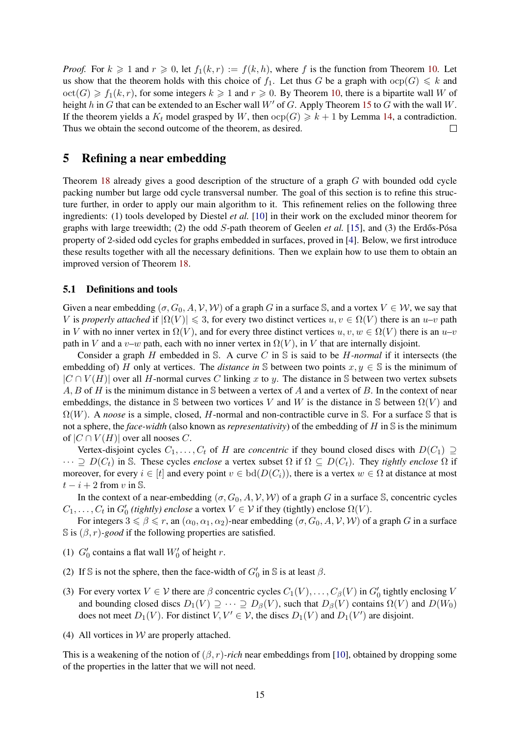*Proof.* For  $k \ge 1$  and  $r \ge 0$ , let  $f_1(k,r) := f(k, h)$ , where f is the function from Theorem [10.](#page-10-2) Let us show that the theorem holds with this choice of  $f_1$ . Let thus G be a graph with  $\text{ocp}(G) \leq k$  and  $\text{oct}(G) \ge f_1(k, r)$ , for some integers  $k \ge 1$  and  $r \ge 0$ . By Theorem [10,](#page-10-2) there is a bipartite wall W of height h in G that can be extended to an Escher wall  $W'$  of G. Apply Theorem [15](#page-11-2) to G with the wall W. If the theorem yields a  $K_t$  model grasped by W, then  $\text{ocp}(G) \geq k + 1$  by Lemma [14,](#page-11-3) a contradiction. Thus we obtain the second outcome of the theorem, as desired.  $\Box$ 

# <span id="page-14-0"></span>5 Refining a near embedding

Theorem [18](#page-13-0) already gives a good description of the structure of a graph G with bounded odd cycle packing number but large odd cycle transversal number. The goal of this section is to refine this structure further, in order to apply our main algorithm to it. This refinement relies on the following three ingredients: (1) tools developed by Diestel *et al.* [\[10\]](#page-40-14) in their work on the excluded minor theorem for graphs with large treewidth; (2) the odd  $S$ -path theorem of Geelen *et al.* [\[15\]](#page-40-13), and (3) the Erdős-Pósa property of 2-sided odd cycles for graphs embedded in surfaces, proved in [\[4\]](#page-39-4). Below, we first introduce these results together with all the necessary definitions. Then we explain how to use them to obtain an improved version of Theorem [18.](#page-13-0)

#### 5.1 Definitions and tools

Given a near embedding  $(\sigma, G_0, A, V, W)$  of a graph G in a surface S, and a vortex  $V \in W$ , we say that V is *properly attached* if  $|\Omega(V)| \leq 3$ , for every two distinct vertices  $u, v \in \Omega(V)$  there is an  $u-v$  path in V with no inner vertex in  $\Omega(V)$ , and for every three distinct vertices  $u, v, w \in \Omega(V)$  there is an  $u-v$ path in V and a v–w path, each with no inner vertex in  $\Omega(V)$ , in V that are internally disjoint.

Consider a graph H embedded in S. A curve C in S is said to be H*-normal* if it intersects (the embedding of) H only at vertices. The *distance in* S between two points  $x, y \in S$  is the minimum of  $|C \cap V(H)|$  over all H-normal curves C linking x to y. The distance in S between two vertex subsets  $A, B$  of H is the minimum distance in S between a vertex of A and a vertex of B. In the context of near embeddings, the distance in S between two vortices V and W is the distance in S between  $\Omega(V)$  and  $\Omega(W)$ . A *noose* is a simple, closed, H-normal and non-contractible curve in S. For a surface S that is not a sphere, the *face-width* (also known as *representativity*) of the embedding of H in S is the minimum of  $|C \cap V(H)|$  over all nooses C.

Vertex-disjoint cycles  $C_1, \ldots, C_t$  of H are *concentric* if they bound closed discs with  $D(C_1) \supseteq$  $\cdots \supseteq D(C_t)$  in S. These cycles *enclose* a vertex subset  $\Omega$  if  $\Omega \subseteq D(C_t)$ . They *tightly enclose*  $\Omega$  if moreover, for every  $i \in [t]$  and every point  $v \in bd(D(C_i))$ , there is a vertex  $w \in \Omega$  at distance at most  $t - i + 2$  from v in S.

In the context of a near-embedding  $(\sigma, G_0, A, V, W)$  of a graph G in a surface S, concentric cycles  $C_1, \ldots, C_t$  in  $G'_0$  (tightly) enclose a vortex  $V \in \mathcal{V}$  if they (tightly) enclose  $\Omega(V)$ .

For integers  $3 \le \beta \le r$ , an  $(\alpha_0, \alpha_1, \alpha_2)$ -near embedding  $(\sigma, G_0, A, V, W)$  of a graph G in a surface  $\mathbb{S}$  is  $(\beta, r)$ *-good* if the following properties are satisfied.

- <span id="page-14-1"></span>(1)  $G'_0$  contains a flat wall  $W'_0$  of height r.
- (2) If S is not the sphere, then the face-width of  $G'_0$  in S is at least  $\beta$ .
- (3) For every vortex  $V \in V$  there are  $\beta$  concentric cycles  $C_1(V), \ldots, C_\beta(V)$  in  $G'_0$  tightly enclosing V and bounding closed discs  $D_1(V) \supseteq \cdots \supseteq D_\beta(V)$ , such that  $D_\beta(V)$  contains  $\Omega(V)$  and  $D(W_0)$ does not meet  $D_1(V)$ . For distinct  $V, V' \in V$ , the discs  $D_1(V)$  and  $D_1(V')$  are disjoint.
- (4) All vortices in  $W$  are properly attached.

This is a weakening of the notion of  $(\beta, r)$ -rich near embeddings from [\[10\]](#page-40-14), obtained by dropping some of the properties in the latter that we will not need.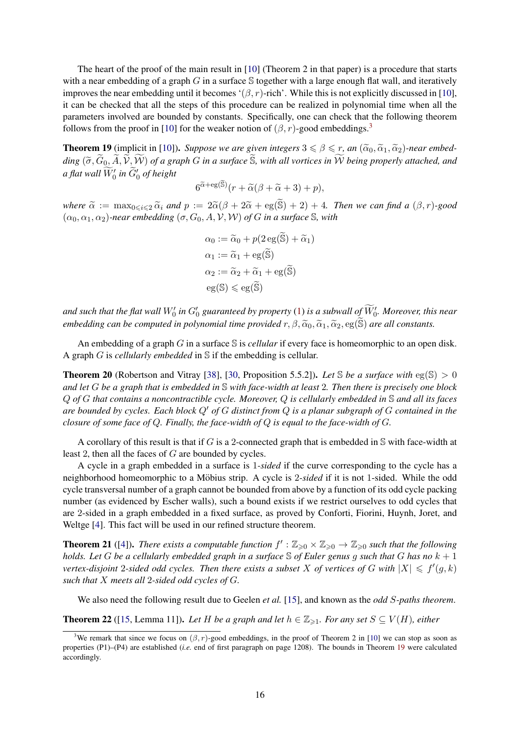The heart of the proof of the main result in [\[10\]](#page-40-14) (Theorem 2 in that paper) is a procedure that starts with a near embedding of a graph  $G$  in a surface  $S$  together with a large enough flat wall, and iteratively improves the near embedding until it becomes ' $(\beta, r)$ -rich'. While this is not explicitly discussed in [\[10\]](#page-40-14), it can be checked that all the steps of this procedure can be realized in polynomial time when all the parameters involved are bounded by constants. Specifically, one can check that the following theorem follows from the proof in [\[10\]](#page-40-14) for the weaker notion of  $(\beta, r)$ -good embeddings.<sup>[3](#page-15-0)</sup>

<span id="page-15-1"></span>**Theorem 19** (implicit in [\[10\]](#page-40-14)). *Suppose we are given integers*  $3 \le \beta \le r$ , an  $(\tilde{\alpha}_0, \tilde{\alpha}_1, \tilde{\alpha}_2)$ -near embed- $\dim g$  ( $\widetilde{\sigma}$ ,  $\widetilde{G}_0$ ,  $\widetilde{A}$ ,  $\widetilde{V}$ ,  $\widetilde{W}$ ) *of a graph* G *in a surface*  $\widetilde{S}$ *, with all vortices in*  $\widetilde{W}$  *being properly attached, and a flat wall*  $\widetilde{W}'_0$  *in*  $\widetilde{G}'_0$  *of height* 

$$
6^{\widetilde{\alpha} + \mathrm{eg}(\widetilde{\mathbb{S}})}(r + \widetilde{\alpha}(\beta + \widetilde{\alpha} + 3) + p),
$$

*where*  $\tilde{\alpha} := \max_{0 \le i \le 2} \tilde{\alpha}_i$  *and*  $p := 2\tilde{\alpha}(\beta + 2\tilde{\alpha} + \text{eg}(\tilde{\mathbb{S}}) + 2) + 4$ *. Then we can find a*  $(\beta, r)$ *-good*  $(\alpha_0, \alpha_1, \alpha_2)$ -near embedding  $(\sigma, G_0, A, V, W)$  of G in a surface S, with

$$
\alpha_0 := \widetilde{\alpha}_0 + p(2 \operatorname{eg}(\widetilde{\mathbb{S}}) + \widetilde{\alpha}_1)
$$
  
\n
$$
\alpha_1 := \widetilde{\alpha}_1 + \operatorname{eg}(\widetilde{\mathbb{S}})
$$
  
\n
$$
\alpha_2 := \widetilde{\alpha}_2 + \widetilde{\alpha}_1 + \operatorname{eg}(\widetilde{\mathbb{S}})
$$
  
\n
$$
\operatorname{eg}(\mathbb{S}) \leq \operatorname{eg}(\widetilde{\mathbb{S}})
$$

and such that the flat wall  $W'_0$  in  $G'_0$  guaranteed by property [\(1\)](#page-14-1) is a subwall of  $\widetilde{W}'_0$ . Moreover, this near *embedding can be computed in polynomial time provided*  $r, \beta, \tilde{\alpha}_0, \tilde{\alpha}_1, \tilde{\alpha}_2, \text{eg}(\tilde{\mathbb{S}})$  *are all constants.* 

An embedding of a graph G in a surface S is *cellular* if every face is homeomorphic to an open disk. A graph G is *cellularly embedded* in S if the embedding is cellular.

<span id="page-15-4"></span>**Theorem 20** (Robertson and Vitray [\[38\]](#page-41-16), [\[30,](#page-41-15) Proposition 5.5.2]). Let S be a surface with  $eg(S) > 0$ *and let* G *be a graph that is embedded in* S *with face-width at least* 2*. Then there is precisely one block* Q *of* G *that contains a noncontractible cycle. Moreover,* Q *is cellularly embedded in* S *and all its faces are bounded by cycles. Each block* Q' of G distinct from Q is a planar subgraph of G contained in the *closure of some face of* Q*. Finally, the face-width of* Q *is equal to the face-width of* G*.*

A corollary of this result is that if G is a 2-connected graph that is embedded in  $\mathbb S$  with face-width at least 2, then all the faces of G are bounded by cycles.

A cycle in a graph embedded in a surface is 1*-sided* if the curve corresponding to the cycle has a neighborhood homeomorphic to a Möbius strip. A cycle is 2-sided if it is not 1-sided. While the odd cycle transversal number of a graph cannot be bounded from above by a function of its odd cycle packing number (as evidenced by Escher walls), such a bound exists if we restrict ourselves to odd cycles that are 2-sided in a graph embedded in a fixed surface, as proved by Conforti, Fiorini, Huynh, Joret, and Weltge [\[4\]](#page-39-4). This fact will be used in our refined structure theorem.

<span id="page-15-3"></span>**Theorem 21** ([\[4\]](#page-39-4)). *There exists a computable function*  $f':\mathbb{Z}_{\geqslant 0}\times\mathbb{Z}_{\geqslant 0}\to\mathbb{Z}_{\geqslant 0}$  such that the following *holds. Let* G *be a cellularly embedded graph in a surface* S *of Euler genus* g *such that* G *has no* k + 1 *vertex-disjoint* 2-sided odd cycles. Then there exists a subset X of vertices of G with  $|X| \leq f'(g, k)$ *such that* X *meets all* 2*-sided odd cycles of* G*.*

We also need the following result due to Geelen *et al.* [\[15\]](#page-40-13), and known as the *odd* S*-paths theorem*.

<span id="page-15-2"></span>**Theorem 22** ([\[15,](#page-40-13) Lemma 11]). Let H be a graph and let  $h \in \mathbb{Z}_{\geq 1}$ . For any set  $S \subseteq V(H)$ , either

<span id="page-15-0"></span><sup>&</sup>lt;sup>3</sup>We remark that since we focus on  $(\beta, r)$ -good embeddings, in the proof of Theorem 2 in [\[10\]](#page-40-14) we can stop as soon as properties (P1)–(P4) are established (*i.e.* end of first paragraph on page 1208). The bounds in Theorem [19](#page-15-1) were calculated accordingly.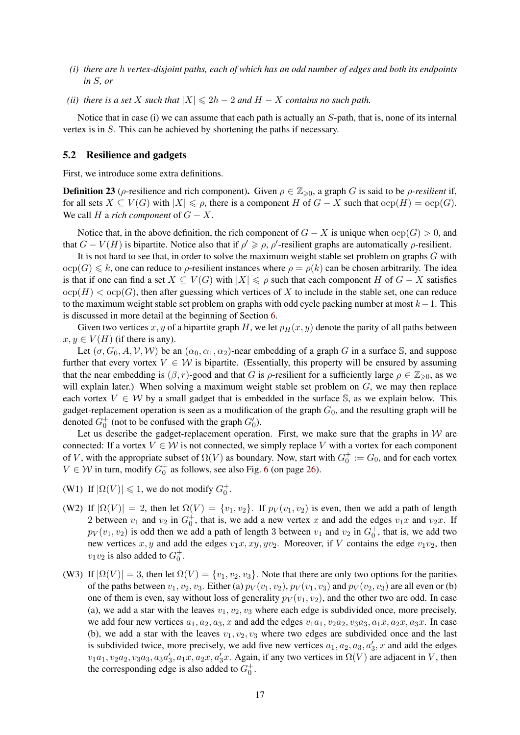- *(i) there are* h *vertex-disjoint paths, each of which has an odd number of edges and both its endpoints in* S*, or*
- *(ii) there is a set* X *such that*  $|X| \le 2h 2$  *and*  $H X$  *contains no such path.*

Notice that in case (i) we can assume that each path is actually an S-path, that is, none of its internal vertex is in S. This can be achieved by shortening the paths if necessary.

#### <span id="page-16-0"></span>5.2 Resilience and gadgets

First, we introduce some extra definitions.

**Definition 23** ( $\rho$ -resilience and rich component). Given  $\rho \in \mathbb{Z}_{\geq 0}$ , a graph G is said to be  $\rho$ -resilient if, for all sets  $X \subseteq V(G)$  with  $|X| \leq \rho$ , there is a component H of  $G - X$  such that  $\text{ocp}(H) = \text{ocp}(G)$ . We call H a *rich component* of  $G - X$ .

Notice that, in the above definition, the rich component of  $G - X$  is unique when  $\text{ocp}(G) > 0$ , and that  $G - V(H)$  is bipartite. Notice also that if  $\rho' \ge \rho, \rho'$ -resilient graphs are automatically  $\rho$ -resilient.

It is not hard to see that, in order to solve the maximum weight stable set problem on graphs G with  $\text{ocp}(G) \leq k$ , one can reduce to  $\rho$ -resilient instances where  $\rho = \rho(k)$  can be chosen arbitrarily. The idea is that if one can find a set  $X \subseteq V(G)$  with  $|X| \leq \rho$  such that each component H of  $G - X$  satisfies  $\text{ocp}(H) < \text{ocp}(G)$ , then after guessing which vertices of X to include in the stable set, one can reduce to the maximum weight stable set problem on graphs with odd cycle packing number at most  $k-1$ . This is discussed in more detail at the beginning of Section [6.](#page-21-0)

Given two vertices x, y of a bipartite graph H, we let  $p_H(x, y)$  denote the parity of all paths between  $x, y \in V(H)$  (if there is any).

Let  $(\sigma, G_0, A, V, W)$  be an  $(\alpha_0, \alpha_1, \alpha_2)$ -near embedding of a graph G in a surface S, and suppose further that every vortex  $V \in W$  is bipartite. (Essentially, this property will be ensured by assuming that the near embedding is  $(\beta, r)$ -good and that G is  $\rho$ -resilient for a sufficiently large  $\rho \in \mathbb{Z}_{\geqslant 0}$ , as we will explain later.) When solving a maximum weight stable set problem on  $G$ , we may then replace each vortex  $V \in \mathcal{W}$  by a small gadget that is embedded in the surface S, as we explain below. This gadget-replacement operation is seen as a modification of the graph  $G_0$ , and the resulting graph will be denoted  $G_0^+$  (not to be confused with the graph  $G'_0$ ).

Let us describe the gadget-replacement operation. First, we make sure that the graphs in  $W$  are connected: If a vortex  $V \in \mathcal{W}$  is not connected, we simply replace V with a vortex for each component of V, with the appropriate subset of  $\Omega(V)$  as boundary. Now, start with  $G_0^+ := G_0$ , and for each vortex  $V \in \mathcal{W}$  in turn, modify  $G_0^+$  as follows, see also Fig. [6](#page-25-0) (on page [26\)](#page-25-0).

- (W1) If  $|\Omega(V)| \leq 1$ , we do not modify  $G_0^+$ .
- (W2) If  $|\Omega(V)| = 2$ , then let  $\Omega(V) = \{v_1, v_2\}$ . If  $p_V(v_1, v_2)$  is even, then we add a path of length 2 between  $v_1$  and  $v_2$  in  $G_0^+$ , that is, we add a new vertex x and add the edges  $v_1x$  and  $v_2x$ . If  $p_V(v_1, v_2)$  is odd then we add a path of length 3 between  $v_1$  and  $v_2$  in  $G_0^+$ , that is, we add two new vertices x, y and add the edges  $v_1x, xy, yv_2$ . Moreover, if V contains the edge  $v_1v_2$ , then  $v_1v_2$  is also added to  $G_0^+$ .
- (W3) If  $|\Omega(V)| = 3$ , then let  $\Omega(V) = \{v_1, v_2, v_3\}$ . Note that there are only two options for the parities of the paths between  $v_1, v_2, v_3$ . Either (a)  $p_V(v_1, v_2)$ ,  $p_V(v_1, v_3)$  and  $p_V(v_2, v_3)$  are all even or (b) one of them is even, say without loss of generality  $p_V(v_1, v_2)$ , and the other two are odd. In case (a), we add a star with the leaves  $v_1, v_2, v_3$  where each edge is subdivided once, more precisely, we add four new vertices  $a_1, a_2, a_3, x$  and add the edges  $v_1a_1, v_2a_2, v_3a_3, a_1x, a_2x, a_3x$ . In case (b), we add a star with the leaves  $v_1, v_2, v_3$  where two edges are subdivided once and the last is subdivided twice, more precisely, we add five new vertices  $a_1, a_2, a_3, a'_3, x$  and add the edges  $v_1a_1, v_2a_2, v_3a_3, a_3a'_3, a_1x, a_2x, a'_3x$ . Again, if any two vertices in  $\Omega(V)$  are adjacent in V, then the corresponding edge is also added to  $G_0^+$ .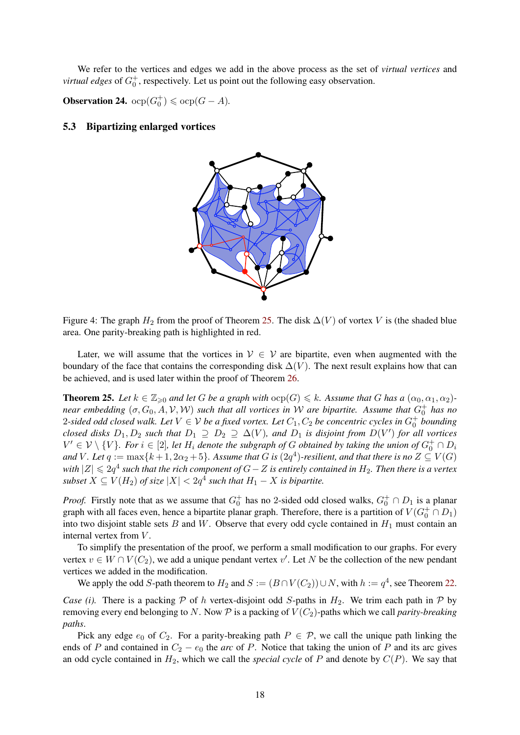We refer to the vertices and edges we add in the above process as the set of *virtual vertices* and *virtual edges* of  $G_0^+$ , respectively. Let us point out the following easy observation.

**Observation 24.**  $\text{ocp}(G_0^+) \leq \text{ocp}(G - A)$ .

#### 5.3 Bipartizing enlarged vortices



Figure 4: The graph  $H_2$  from the proof of Theorem [25.](#page-17-0) The disk  $\Delta(V)$  of vortex V is (the shaded blue area. One parity-breaking path is highlighted in red.

Later, we will assume that the vortices in  $V \in V$  are bipartite, even when augmented with the boundary of the face that contains the corresponding disk  $\Delta(V)$ . The next result explains how that can be achieved, and is used later within the proof of Theorem [26.](#page-19-0)

<span id="page-17-0"></span>**Theorem 25.** Let  $k \in \mathbb{Z}_{\geq 0}$  and let G be a graph with  $\text{ocp}(G) \leq k$ . Assume that G has a  $(\alpha_0, \alpha_1, \alpha_2)$ *near embedding*  $(\sigma, G_0, A, V, W)$  *such that all vortices in W are bipartite. Assume that*  $G_0^+$  *has no* 2-sided odd closed walk. Let  $V \in V$  be a fixed vortex. Let  $C_1, C_2$  be concentric cycles in  $G_0^+$  bounding *closed disks*  $D_1, D_2$  *such that*  $D_1 \supseteq D_2 \supseteq \Delta(V)$ *, and*  $D_1$  *is disjoint from*  $D(V')$  *for all vortices*  $V' \in \mathcal{V} \setminus \{V\}$ . For  $i \in [2]$ , let  $H_i$  denote the subgraph of G obtained by taking the union of  $G_0^+ \cap D_i$ and V . Let  $q := \max\{k+1, 2\alpha_2 + 5\}$ . Assume that  $G$  is  $(2q^4)$ -resilient, and that there is no  $Z \subseteq V(G)$ *with*  $|Z|$   $\leqslant 2q^4$  such that the rich component of  $G-Z$  is entirely contained in  $H_2$ . Then there is a vertex  $subset X \subseteq V(H_2)$  of size  $|X| < 2q^4$  such that  $H_1 - X$  is bipartite.

*Proof.* Firstly note that as we assume that  $G_0^+$  has no 2-sided odd closed walks,  $G_0^+ \cap D_1$  is a planar graph with all faces even, hence a bipartite planar graph. Therefore, there is a partition of  $V(G_0^+ \cap D_1)$ into two disjoint stable sets  $B$  and  $W$ . Observe that every odd cycle contained in  $H_1$  must contain an internal vertex from  $V$ .

To simplify the presentation of the proof, we perform a small modification to our graphs. For every vertex  $v \in W \cap V(C_2)$ , we add a unique pendant vertex v'. Let N be the collection of the new pendant vertices we added in the modification.

We apply the odd S-path theorem to  $H_2$  and  $S := (B \cap V(C_2)) \cup N$ , with  $h := q^4$ , see Theorem [22.](#page-15-2)

*Case (i).* There is a packing  $P$  of h vertex-disjoint odd S-paths in  $H_2$ . We trim each path in  $P$  by removing every end belonging to N. Now  $P$  is a packing of  $V(C_2)$ -paths which we call *parity-breaking paths*.

Pick any edge  $e_0$  of  $C_2$ . For a parity-breaking path  $P \in \mathcal{P}$ , we call the unique path linking the ends of P and contained in  $C_2 - e_0$  the *arc* of P. Notice that taking the union of P and its arc gives an odd cycle contained in  $H_2$ , which we call the *special cycle* of P and denote by  $C(P)$ . We say that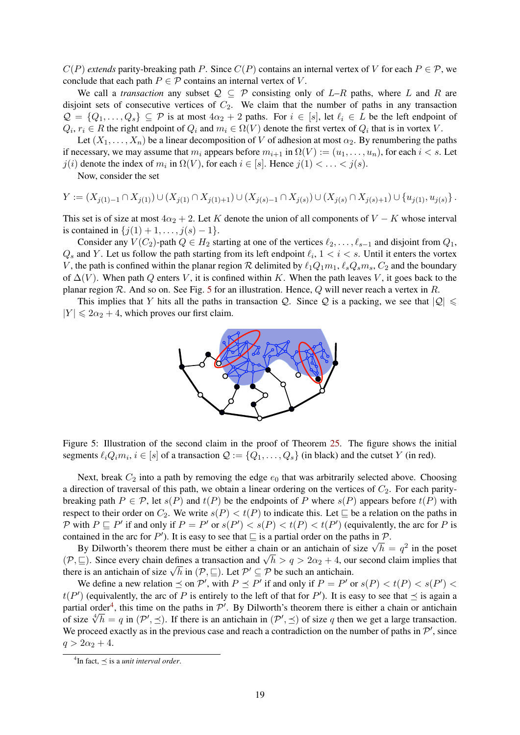$C(P)$  *extends* parity-breaking path P. Since  $C(P)$  contains an internal vertex of V for each  $P \in \mathcal{P}$ , we conclude that each path  $P \in \mathcal{P}$  contains an internal vertex of V.

We call a *transaction* any subset  $Q \subseteq P$  consisting only of  $L-R$  paths, where L and R are disjoint sets of consecutive vertices of  $C_2$ . We claim that the number of paths in any transaction  $\mathcal{Q} = \{Q_1, \ldots, Q_s\} \subseteq \mathcal{P}$  is at most  $4\alpha_2 + 2$  paths. For  $i \in [s]$ , let  $\ell_i \in L$  be the left endpoint of  $Q_i, r_i \in R$  the right endpoint of  $Q_i$  and  $m_i \in \Omega(V)$  denote the first vertex of  $Q_i$  that is in vortex V.

Let  $(X_1, \ldots, X_n)$  be a linear decomposition of V of adhesion at most  $\alpha_2$ . By renumbering the paths if necessary, we may assume that  $m_i$  appears before  $m_{i+1}$  in  $\Omega(V) := (u_1, \ldots, u_n)$ , for each  $i < s$ . Let  $j(i)$  denote the index of  $m_i$  in  $\Omega(V)$ , for each  $i \in [s]$ . Hence  $j(1) < \ldots < j(s)$ .

Now, consider the set

$$
Y := (X_{j(1) - 1} \cap X_{j(1)}) \cup (X_{j(1)} \cap X_{j(1) + 1}) \cup (X_{j(s) - 1} \cap X_{j(s)}) \cup (X_{j(s)} \cap X_{j(s) + 1}) \cup \{u_{j(1)}, u_{j(s)}\}.
$$

This set is of size at most  $4\alpha_2 + 2$ . Let K denote the union of all components of V – K whose interval is contained in  $\{j(1) + 1, \ldots, j(s) - 1\}.$ 

Consider any  $V(C_2)$ -path  $Q \in H_2$  starting at one of the vertices  $\ell_2, \ldots, \ell_{s-1}$  and disjoint from  $Q_1$ ,  $Q_s$  and Y. Let us follow the path starting from its left endpoint  $\ell_i$ ,  $1 < i < s$ . Until it enters the vortex V, the path is confined within the planar region R delimited by  $\ell_1Q_1m_1, \ell_sQ_s m_s, C_2$  and the boundary of  $\Delta(V)$ . When path Q enters V, it is confined within K. When the path leaves V, it goes back to the planar region R. And so on. See Fig. [5](#page-18-0) for an illustration. Hence, Q will never reach a vertex in R.

This implies that Y hits all the paths in transaction Q. Since Q is a packing, we see that  $|Q| \leq$  $|Y| \leq 2\alpha_2 + 4$ , which proves our first claim.



<span id="page-18-0"></span>Figure 5: Illustration of the second claim in the proof of Theorem [25.](#page-17-0) The figure shows the initial segments  $\ell_iQ_im_i, i \in [s]$  of a transaction  $\mathcal{Q} := \{Q_1, \ldots, Q_s\}$  (in black) and the cutset  $Y$  (in red).

Next, break  $C_2$  into a path by removing the edge  $e_0$  that was arbitrarily selected above. Choosing a direction of traversal of this path, we obtain a linear ordering on the vertices of  $C_2$ . For each paritybreaking path  $P \in \mathcal{P}$ , let  $s(P)$  and  $t(P)$  be the endpoints of P where  $s(P)$  appears before  $t(P)$  with respect to their order on  $C_2$ . We write  $s(P) < t(P)$  to indicate this. Let  $\sqsubseteq$  be a relation on the paths in P with  $P \sqsubseteq P'$  if and only if  $P = P'$  or  $s(P') < s(P) < t(P) < t(P')$  (equivalently, the arc for P is contained in the arc for P'). It is easy to see that  $\subseteq$  is a partial order on the paths in P.

by Dilworth's theorem there must be either a chain or an antichain of size  $\sqrt{h} = q^2$  in the poset By Dilworth's theorem there must be either a chain or an antichain of size  $\sqrt{h} = q^2$  in the poset By Dilworth s theorem there must be either a chain or an antichain of size  $\sqrt{n} = q^{-1}$  in the poset  $(\mathcal{P}, \sqsubseteq)$ . Since every chain defines a transaction and  $\sqrt{h} > q > 2\alpha_2 + 4$ , our second claim implies that  $(\varphi, \sqsubseteq)$ . Since every chain defines a transaction and  $\sqrt{n} > q > 2\alpha_2 + 4$ , our there is an antichain of size  $\sqrt{h}$  in  $(\mathcal{P}, \sqsubseteq)$ . Let  $\mathcal{P}' \subseteq \mathcal{P}$  be such an antichain.

We define a new relation  $\leq$  on  $\mathcal{P}'$ , with  $P \leq P'$  if and only if  $P = P'$  or  $s(P) < t(P) < s(P')$  $t(P')$  (equivalently, the arc of P is entirely to the left of that for P'). It is easy to see that  $\preceq$  is again a partial order<sup>[4](#page-18-1)</sup>, this time on the paths in  $\mathcal{P}'$ . By Dilworth's theorem there is either a chain or antichain partial order, this time on the pains in P. By Dilworth s theorem there is either a chain or antichain<br>of size  $\sqrt[4]{h} = q$  in  $(\mathcal{P}', \preceq)$ . If there is an antichain in  $(\mathcal{P}', \preceq)$  of size q then we get a large transact We proceed exactly as in the previous case and reach a contradiction on the number of paths in  $\mathcal{P}'$ , since  $q > 2\alpha_2 + 4$ .

<span id="page-18-1"></span> ${}^{4}$ In fact,  $\preceq$  is a *unit interval order*.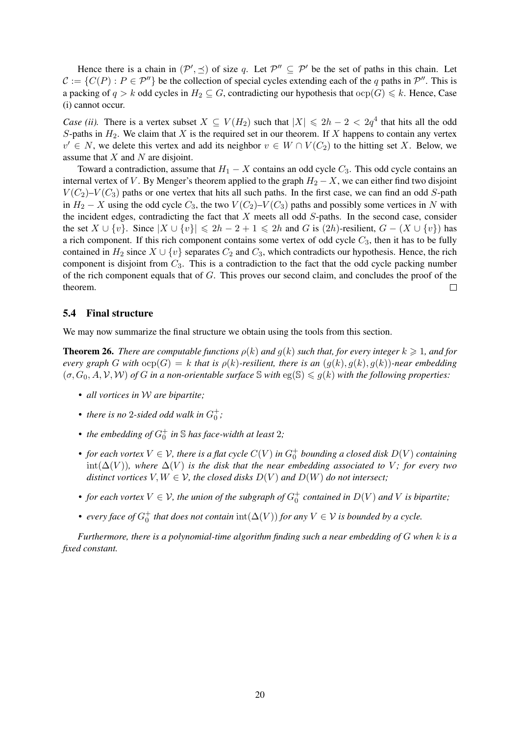Hence there is a chain in  $(\mathcal{P}', \preceq)$  of size q. Let  $\mathcal{P}'' \subseteq \mathcal{P}'$  be the set of paths in this chain. Let  $C := \{C(P) : P \in \mathcal{P}''\}$  be the collection of special cycles extending each of the q paths in  $\mathcal{P}''$ . This is a packing of  $q > k$  odd cycles in  $H_2 \subseteq G$ , contradicting our hypothesis that  $\text{ocp}(G) \leq k$ . Hence, Case (i) cannot occur.

*Case (ii).* There is a vertex subset  $X \subseteq V(H_2)$  such that  $|X| \leq 2h - 2 < 2q^4$  that hits all the odd S-paths in  $H_2$ . We claim that X is the required set in our theorem. If X happens to contain any vertex  $v' \in N$ , we delete this vertex and add its neighbor  $v \in W \cap V(C_2)$  to the hitting set X. Below, we assume that  $X$  and  $N$  are disjoint.

Toward a contradiction, assume that  $H_1 - X$  contains an odd cycle  $C_3$ . This odd cycle contains an internal vertex of V. By Menger's theorem applied to the graph  $H_2 - X$ , we can either find two disjoint  $V(C_2)-V(C_3)$  paths or one vertex that hits all such paths. In the first case, we can find an odd S-path in  $H_2 - X$  using the odd cycle  $C_3$ , the two  $V(C_2) - V(C_3)$  paths and possibly some vertices in N with the incident edges, contradicting the fact that  $X$  meets all odd  $S$ -paths. In the second case, consider the set  $X \cup \{v\}$ . Since  $|X \cup \{v\}| \le 2h - 2 + 1 \le 2h$  and G is  $(2h)$ -resilient,  $G - (X \cup \{v\})$  has a rich component. If this rich component contains some vertex of odd cycle  $C_3$ , then it has to be fully contained in  $H_2$  since  $X \cup \{v\}$  separates  $C_2$  and  $C_3$ , which contradicts our hypothesis. Hence, the rich component is disjoint from  $C_3$ . This is a contradiction to the fact that the odd cycle packing number of the rich component equals that of  $G$ . This proves our second claim, and concludes the proof of the theorem.  $\Box$ 

#### 5.4 Final structure

<span id="page-19-0"></span>We may now summarize the final structure we obtain using the tools from this section.

**Theorem 26.** *There are computable functions*  $\rho(k)$  *and*  $q(k)$  *such that, for every integer*  $k \geq 1$ *, and for every graph* G with  $ocp(G) = k$  *that is*  $p(k)$ *-resilient, there is an*  $(q(k), q(k), q(k))$ *-near embedding*  $(\sigma, G_0, A, V, W)$  *of* G *in a non-orientable surface* S *with* eg(S)  $\leq g(k)$  *with the following properties:* 

- *all vortices in* W *are bipartite;*
- *there is no* 2-sided odd walk in  $G_0^+$ ;
- *the embedding of*  $G_0^+$  *in*  $\mathbb S$  *has face-width at least* 2*;*
- *for each vortex*  $V \in V$ , there is a flat cycle  $C(V)$  in  $G_0^+$  bounding a closed disk  $D(V)$  containing  $int(\Delta(V))$ *, where*  $\Delta(V)$  *is the disk that the near embedding associated to V; for every two distinct vortices*  $V, W \in V$ *, the closed disks*  $D(V)$  *and*  $D(W)$  *do not intersect*;
- for each vortex  $V \in V$ , the union of the subgraph of  $G_0^+$  contained in  $D(V)$  and  $V$  is bipartite;
- *every face of*  $G_0^+$  *that does not contain*  $\text{int}(\Delta(V))$  *for any*  $V \in \mathcal{V}$  *is bounded by a cycle.*

*Furthermore, there is a polynomial-time algorithm finding such a near embedding of* G *when* k *is a fixed constant.*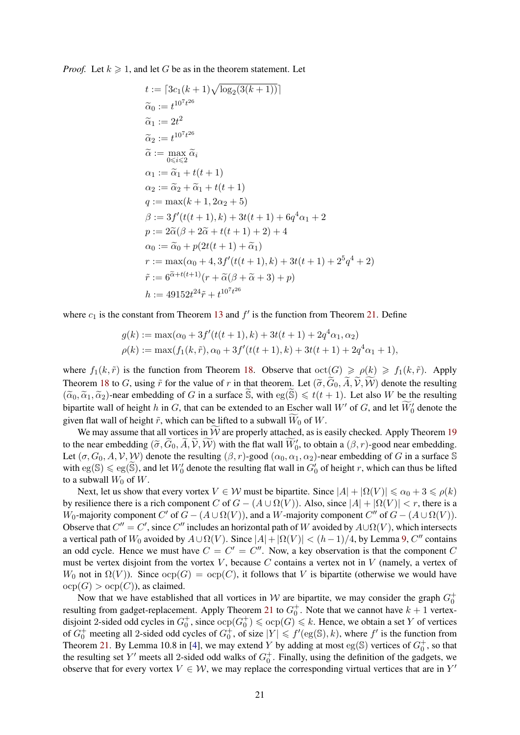*Proof.* Let  $k \geq 1$ , and let G be as in the theorem statement. Let

$$
t := [3c_1(k+1)\sqrt{\log_2(3(k+1))}]
$$
  
\n
$$
\tilde{\alpha}_0 := t^{10^7 t^{26}}
$$
  
\n
$$
\tilde{\alpha}_1 := 2t^2
$$
  
\n
$$
\tilde{\alpha}_2 := t^{10^7 t^{26}}
$$
  
\n
$$
\tilde{\alpha} := \max_{0 \le i \le 2} \tilde{\alpha}_i
$$
  
\n
$$
\alpha_1 := \tilde{\alpha}_1 + t(t+1)
$$
  
\n
$$
\alpha_2 := \tilde{\alpha}_2 + \tilde{\alpha}_1 + t(t+1)
$$
  
\n
$$
q := \max(k+1, 2\alpha_2 + 5)
$$
  
\n
$$
\beta := 3f'(t(t+1), k) + 3t(t+1) + 6q^4 \alpha_1 + 2
$$
  
\n
$$
p := 2\tilde{\alpha}(\beta + 2\tilde{\alpha} + t(t+1) + 2) + 4
$$
  
\n
$$
\alpha_0 := \tilde{\alpha}_0 + p(2t(t+1) + \tilde{\alpha}_1)
$$
  
\n
$$
r := \max(\alpha_0 + 4, 3f'(t(t+1), k) + 3t(t+1) + 2^5 q^4 + 2)
$$
  
\n
$$
\tilde{r} := 6^{\tilde{\alpha} + t(t+1)}(r + \tilde{\alpha}(\beta + \tilde{\alpha} + 3) + p)
$$
  
\n
$$
h := 49152t^{24} \tilde{r} + t^{10^7 t^{26}}
$$

where  $c_1$  is the constant from Theorem [13](#page-11-1) and  $f'$  is the function from Theorem [21.](#page-15-3) Define

$$
g(k) := \max(\alpha_0 + 3f'(t(t+1), k) + 3t(t+1) + 2q^4\alpha_1, \alpha_2)
$$
  

$$
\rho(k) := \max(f_1(k, \tilde{r}), \alpha_0 + 3f'(t(t+1), k) + 3t(t+1) + 2q^4\alpha_1 + 1),
$$

where  $f_1(k, \tilde{r})$  is the function from Theorem [18.](#page-13-0) Observe that  $\cot(G) \geq \rho(k) \geq f_1(k, \tilde{r})$ . Apply Theorem [18](#page-13-0) to G, using  $\tilde{r}$  for the value of r in that theorem. Let  $(\tilde{\sigma}, \tilde{G}_0, \tilde{A}, \tilde{V}, \tilde{W})$  denote the resulting  $(\tilde{\alpha}_0, \tilde{\alpha}_1, \tilde{\alpha}_2)$ -near embedding of G in a surface  $\tilde{\mathbb{S}}$ , with  $eg(\tilde{\mathbb{S}}) \leq t(t + 1)$ . Let also W be the resulting bipartite wall of height h in G, that can be extended to an Escher wall  $W'$  of G, and let  $\widetilde{W}'_0$  denote the given flat wall of height  $\tilde{r}$ , which can be lifted to a subwall  $\tilde{W}_0$  of W.

We may assume that all vortices in  $\widetilde{W}$  are properly attached, as is easily checked. Apply Theorem [19](#page-15-1) to the near embedding  $(\tilde{\sigma}, \tilde{G}_0, \tilde{A}, \tilde{V}, \tilde{W})$  with the flat wall  $\tilde{W}'_0$ , to obtain a  $(\beta, r)$ -good near embedding. Let  $(\sigma, G_0, A, V, W)$  denote the resulting  $(\beta, r)$ -good  $(\alpha_0, \alpha_1, \alpha_2)$ -near embedding of G in a surface S with  $eg(S) \le eg(S)$ , and let  $W'_0$  denote the resulting flat wall in  $G'_0$  of height r, which can thus be lifted to a subwall  $W_0$  of  $W$ .

Next, let us show that every vortex  $V \in \mathcal{W}$  must be bipartite. Since  $|A| + |\Omega(V)| \le \alpha_0 + 3 \le \rho(k)$ by resilience there is a rich component C of  $G - (A \cup \Omega(V))$ . Also, since  $|A| + |\Omega(V)| < r$ , there is a W<sub>0</sub>-majority component C' of  $G - (A \cup \Omega(V))$ , and a W-majority component C'' of  $G - (A \cup \Omega(V))$ . Observe that  $C'' = C'$ , since  $C''$  includes an horizontal path of W avoided by  $A \cup \Omega(V)$ , which intersects a vertical path of  $W_0$  avoided by  $A \cup \Omega(V)$ . Since  $|A| + |\Omega(V)| < (h-1)/4$ , by Lemma [9,](#page-10-1) C'' contains an odd cycle. Hence we must have  $C = C' = C''$ . Now, a key observation is that the component C must be vertex disjoint from the vortex V, because C contains a vertex not in V (namely, a vertex of W<sub>0</sub> not in  $\Omega(V)$ ). Since  $\operatorname{ocp}(G) = \operatorname{ocp}(C)$ , it follows that V is bipartite (otherwise we would have  $ocp(G) > ocp(C)$ , as claimed.

Now that we have established that all vortices in W are bipartite, we may consider the graph  $G_0^+$ resulting from gadget-replacement. Apply Theorem [21](#page-15-3) to  $G_0^+$ . Note that we cannot have  $k + 1$  vertexdisjoint 2-sided odd cycles in  $G_0^+$ , since  $\text{ocp}(G) \leq \text{ocp}(G) \leq k$ . Hence, we obtain a set Y of vertices of  $G_0^+$  meeting all 2-sided odd cycles of  $G_0^+$ , of size  $|Y| \leq f'(\text{eg}(\mathbb{S}), k)$ , where  $f'$  is the function from Theorem [21.](#page-15-3) By Lemma 10.8 in [\[4\]](#page-39-4), we may extend Y by adding at most eg(S) vertices of  $G_0^+$ , so that the resulting set Y' meets all 2-sided odd walks of  $G_0^+$ . Finally, using the definition of the gadgets, we observe that for every vortex  $V \in \mathcal{W}$ , we may replace the corresponding virtual vertices that are in  $Y'$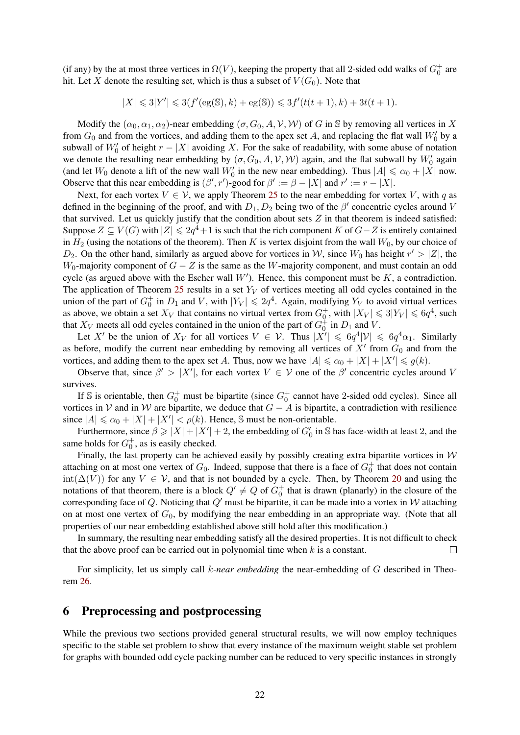(if any) by the at most three vertices in  $\Omega(V)$ , keeping the property that all 2-sided odd walks of  $G_0^+$  are hit. Let X denote the resulting set, which is thus a subset of  $V(G_0)$ . Note that

 $|X| \leq 3|Y'| \leq 3(f'(\text{eg}(\mathbb{S}), k) + \text{eg}(\mathbb{S})) \leq 3f'(t(t+1), k) + 3t(t+1).$ 

Modify the  $(\alpha_0, \alpha_1, \alpha_2)$ -near embedding  $(\sigma, G_0, A, V, W)$  of G in S by removing all vertices in X from  $G_0$  and from the vortices, and adding them to the apex set A, and replacing the flat wall  $W'_0$  by a subwall of  $W'_0$  of height  $r - |X|$  avoiding X. For the sake of readability, with some abuse of notation we denote the resulting near embedding by  $(\sigma, G_0, A, V, W)$  again, and the flat subwall by  $W'_0$  again (and let  $W_0$  denote a lift of the new wall  $W'_0$  in the new near embedding). Thus  $|A| \le \alpha_0 + |X|$  now. Observe that this near embedding is  $(\beta', r')$ -good for  $\beta' := \beta - |X|$  and  $r' := r - |X|$ .

Next, for each vortex  $V \in V$ , we apply Theorem [25](#page-17-0) to the near embedding for vortex V, with q as defined in the beginning of the proof, and with  $D_1, D_2$  being two of the  $\beta'$  concentric cycles around V that survived. Let us quickly justify that the condition about sets  $Z$  in that theorem is indeed satisfied: Suppose  $Z \subseteq V(G)$  with  $|Z| \leq 2q^4 + 1$  is such that the rich component K of  $G-Z$  is entirely contained in  $H_2$  (using the notations of the theorem). Then K is vertex disjoint from the wall  $W_0$ , by our choice of  $D_2$ . On the other hand, similarly as argued above for vortices in W, since  $W_0$  has height  $r' > |Z|$ , the W<sub>0</sub>-majority component of  $G - Z$  is the same as the W-majority component, and must contain an odd cycle (as argued above with the Escher wall  $W'$ ). Hence, this component must be  $K$ , a contradiction. The application of Theorem [25](#page-17-0) results in a set  $Y_V$  of vertices meeting all odd cycles contained in the union of the part of  $G_0^+$  in  $D_1$  and V, with  $|Y_V| \le 2q^4$ . Again, modifying  $Y_V$  to avoid virtual vertices as above, we obtain a set  $X_V$  that contains no virtual vertex from  $G_0^+$ , with  $|X_V| \le 3|Y_V| \le 6q^4$ , such that  $X_V$  meets all odd cycles contained in the union of the part of  $G_0^{\dagger}$  in  $D_1$  and V.

Let X' be the union of  $X_V$  for all vortices  $V \in \mathcal{V}$ . Thus  $|X'|\leq 6q^4|\mathcal{V}| \leq 6q^4\alpha_1$ . Similarly as before, modify the current near embedding by removing all vertices of  $X'$  from  $G_0$  and from the vortices, and adding them to the apex set A. Thus, now we have  $|A| \le \alpha_0 + |X| + |X'| \le g(k)$ .

Observe that, since  $\beta' > |X'|$ , for each vortex  $V \in V$  one of the  $\beta'$  concentric cycles around V survives.

If S is orientable, then  $G_0^+$  must be bipartite (since  $G_0^+$  cannot have 2-sided odd cycles). Since all vortices in V and in W are bipartite, we deduce that  $G - A$  is bipartite, a contradiction with resilience since  $|A| \le \alpha_0 + |X| + |X'| < \rho(k)$ . Hence, S must be non-orientable.

Furthermore, since  $\beta \ge |X| + |X'| + 2$ , the embedding of  $G'_0$  in S has face-width at least 2, and the same holds for  $G_0^+$ , as is easily checked.

Finally, the last property can be achieved easily by possibly creating extra bipartite vortices in  $W$ attaching on at most one vertex of  $G_0$ . Indeed, suppose that there is a face of  $G_0^+$  that does not contain  $int(\Delta(V))$  for any  $V \in V$ , and that is not bounded by a cycle. Then, by Theorem [20](#page-15-4) and using the notations of that theorem, there is a block  $Q' \neq Q$  of  $G_0^+$  that is drawn (planarly) in the closure of the corresponding face of Q. Noticing that  $Q'$  must be bipartite, it can be made into a vortex in W attaching on at most one vertex of  $G_0$ , by modifying the near embedding in an appropriate way. (Note that all properties of our near embedding established above still hold after this modification.)

In summary, the resulting near embedding satisfy all the desired properties. It is not difficult to check that the above proof can be carried out in polynomial time when  $k$  is a constant.  $\Box$ 

For simplicity, let us simply call k*-near embedding* the near-embedding of G described in Theorem [26.](#page-19-0)

# <span id="page-21-0"></span>6 Preprocessing and postprocessing

While the previous two sections provided general structural results, we will now employ techniques specific to the stable set problem to show that every instance of the maximum weight stable set problem for graphs with bounded odd cycle packing number can be reduced to very specific instances in strongly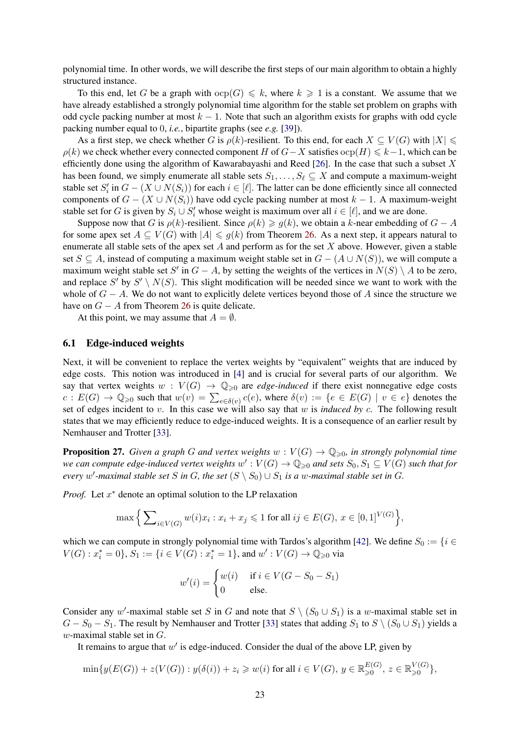polynomial time. In other words, we will describe the first steps of our main algorithm to obtain a highly structured instance.

To this end, let G be a graph with  $\text{ocp}(G) \leq k$ , where  $k \geq 1$  is a constant. We assume that we have already established a strongly polynomial time algorithm for the stable set problem on graphs with odd cycle packing number at most  $k - 1$ . Note that such an algorithm exists for graphs with odd cycle packing number equal to 0, *i.e.*, bipartite graphs (see *e.g.* [\[39\]](#page-41-3)).

As a first step, we check whether G is  $\rho(k)$ -resilient. To this end, for each  $X \subseteq V(G)$  with  $|X| \leq$  $\rho(k)$  we check whether every connected component H of  $G-X$  satisfies  $\text{ocp}(H) \leq k-1$ , which can be efficiently done using the algorithm of Kawarabayashi and Reed [\[26\]](#page-41-12). In the case that such a subset X has been found, we simply enumerate all stable sets  $S_1, \ldots, S_\ell \subseteq X$  and compute a maximum-weight stable set  $S_i'$  in  $G - (X \cup N(S_i))$  for each  $i \in [\ell]$ . The latter can be done efficiently since all connected components of  $G - (X \cup N(S_i))$  have odd cycle packing number at most  $k - 1$ . A maximum-weight stable set for G is given by  $S_i \cup S'_i$  whose weight is maximum over all  $i \in [\ell]$ , and we are done.

Suppose now that G is  $\rho(k)$ -resilient. Since  $\rho(k) \geq g(k)$ , we obtain a k-near embedding of  $G - A$ for some apex set  $A \subseteq V(G)$  with  $|A| \leq g(k)$  from Theorem [26.](#page-19-0) As a next step, it appears natural to enumerate all stable sets of the apex set A and perform as for the set X above. However, given a stable set  $S \subseteq A$ , instead of computing a maximum weight stable set in  $G - (A \cup N(S))$ , we will compute a maximum weight stable set S' in  $G - A$ , by setting the weights of the vertices in  $N(S) \setminus A$  to be zero, and replace S' by  $S' \setminus N(S)$ . This slight modification will be needed since we want to work with the whole of  $G - A$ . We do not want to explicitly delete vertices beyond those of A since the structure we have on  $G - A$  from Theorem [26](#page-19-0) is quite delicate.

At this point, we may assume that  $A = \emptyset$ .

#### 6.1 Edge-induced weights

Next, it will be convenient to replace the vertex weights by "equivalent" weights that are induced by edge costs. This notion was introduced in [\[4\]](#page-39-4) and is crucial for several parts of our algorithm. We say that vertex weights  $w : V(G) \to \mathbb{Q}_{\geq 0}$  are *edge-induced* if there exist nonnegative edge costs  $c: E(G) \to \mathbb{Q}_{\geq 0}$  such that  $w(v) = \sum_{e \in \delta(v)} c(e)$ , where  $\delta(v) := \{e \in E(G) \mid v \in e\}$  denotes the set of edges incident to v. In this case we will also say that w is *induced by* c. The following result states that we may efficiently reduce to edge-induced weights. It is a consequence of an earlier result by Nemhauser and Trotter [\[33\]](#page-41-17).

**Proposition 27.** *Given a graph G and vertex weights*  $w : V(G) \to \mathbb{Q}_{\geq 0}$ *, in strongly polynomial time* we can compute edge-induced vertex weights  $w': V(G) \to \mathbb{Q}_{\geqslant 0}$  and sets  $S_0, S_1 \subseteq V(G)$  such that for *every* w'-maximal stable set S in G, the set  $(S \setminus S_0) \cup S_1$  is a w-maximal stable set in G.

*Proof.* Let  $x^*$  denote an optimal solution to the LP relaxation

$$
\max \Big\{ \sum_{i \in V(G)} w(i)x_i : x_i + x_j \leq 1 \text{ for all } ij \in E(G), x \in [0,1]^{V(G)} \Big\},\
$$

which we can compute in strongly polynomial time with Tardos's algorithm [\[42\]](#page-42-0). We define  $S_0 := \{i \in$  $V(G) : x_i^* = 0$ ,  $S_1 := \{i \in V(G) : x_i^* = 1\}$ , and  $w' : V(G) \to \mathbb{Q}_{\geq 0}$  via

$$
w'(i) = \begin{cases} w(i) & \text{if } i \in V(G - S_0 - S_1) \\ 0 & \text{else.} \end{cases}
$$

Consider any w'-maximal stable set S in G and note that  $S \setminus (S_0 \cup S_1)$  is a w-maximal stable set in  $G - S_0 - S_1$ . The result by Nemhauser and Trotter [\[33\]](#page-41-17) states that adding  $S_1$  to  $S \setminus (S_0 \cup S_1)$  yields a  $w$ -maximal stable set in  $G$ .

It remains to argue that  $w'$  is edge-induced. Consider the dual of the above LP, given by

$$
\min\{y(E(G)) + z(V(G)) : y(\delta(i)) + z_i \ge w(i) \text{ for all } i \in V(G), y \in \mathbb{R}_{\geq 0}^{E(G)}, z \in \mathbb{R}_{\geq 0}^{V(G)}\},\
$$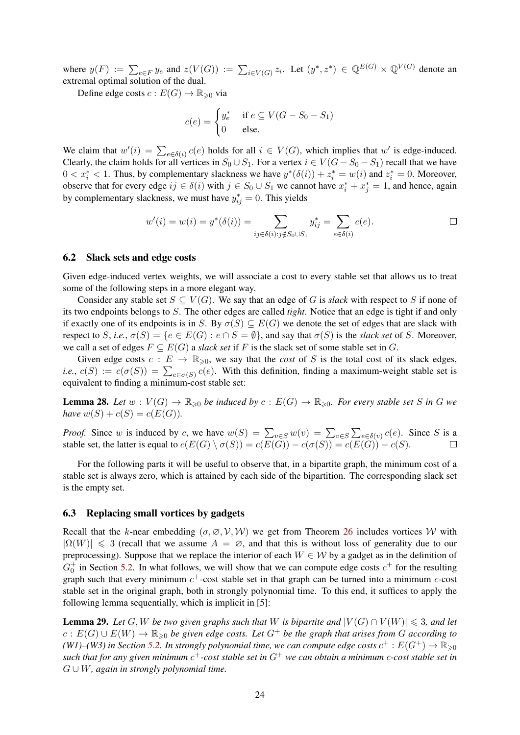where  $y(F) := \sum_{e \in F} y_e$  and  $z(V(G)) := \sum_{i \in V(G)} z_i$ . Let  $(y^*, z^*) \in \mathbb{Q}^{E(G)} \times \mathbb{Q}^{V(G)}$  denote an extremal optimal solution of the dual.

Define edge costs  $c: E(G) \to \mathbb{R}_{\geq 0}$  via

$$
c(e) = \begin{cases} y_e^* & \text{if } e \subseteq V(G - S_0 - S_1) \\ 0 & \text{else.} \end{cases}
$$

We claim that  $w'(i) = \sum_{e \in \delta(i)} c(e)$  holds for all  $i \in V(G)$ , which implies that w' is edge-induced. Clearly, the claim holds for all vertices in  $S_0 \cup S_1$ . For a vertex  $i \in V(G - S_0 - S_1)$  recall that we have  $0 < x_i^* < 1$ . Thus, by complementary slackness we have  $y^*(\delta(i)) + z_i^* = w(i)$  and  $z_i^* = 0$ . Moreover, observe that for every edge  $ij \in \delta(i)$  with  $j \in S_0 \cup S_1$  we cannot have  $x_i^* + x_j^* = 1$ , and hence, again by complementary slackness, we must have  $y_{ij}^* = 0$ . This yields

$$
w'(i) = w(i) = y^*(\delta(i)) = \sum_{ij \in \delta(i): j \notin S_0 \cup S_1} y^*_{ij} = \sum_{e \in \delta(i)} c(e).
$$

#### <span id="page-23-2"></span>6.2 Slack sets and edge costs

Given edge-induced vertex weights, we will associate a cost to every stable set that allows us to treat some of the following steps in a more elegant way.

Consider any stable set  $S \subseteq V(G)$ . We say that an edge of G is *slack* with respect to S if none of its two endpoints belongs to S. The other edges are called *tight*. Notice that an edge is tight if and only if exactly one of its endpoints is in S. By  $\sigma(S) \subseteq E(G)$  we denote the set of edges that are slack with respect to S, *i.e.*,  $\sigma(S) = \{e \in E(G) : e \cap S = \emptyset\}$ , and say that  $\sigma(S)$  is the *slack set* of S. Moreover, we call a set of edges  $F \subseteq E(G)$  a *slack set* if F is the slack set of some stable set in G.

Given edge costs  $c : E \to \mathbb{R}_{\geq 0}$ , we say that the *cost* of S is the total cost of its slack edges, *i.e.*,  $c(S) := c(\sigma(S)) = \sum_{e \in \sigma(S)} c(e)$ . With this definition, finding a maximum-weight stable set is equivalent to finding a minimum-cost stable set:

<span id="page-23-1"></span>**Lemma 28.** Let  $w: V(G) \to \mathbb{R}_{\geq 0}$  be induced by  $c: E(G) \to \mathbb{R}_{\geq 0}$ . For every stable set S in G we *have*  $w(S) + c(S) = c(E(G)).$ 

*Proof.* Since w is induced by c, we have  $w(S) = \sum_{v \in S} w(v) = \sum_{v \in S} \sum_{e \in \delta(v)} c(e)$ . Since S is a stable set, the latter is equal to  $c(E(G) \setminus \sigma(S)) = c(E(G)) - c(\sigma(S)) = c(E(G)) - c(S)$ .

For the following parts it will be useful to observe that, in a bipartite graph, the minimum cost of a stable set is always zero, which is attained by each side of the bipartition. The corresponding slack set is the empty set.

#### 6.3 Replacing small vortices by gadgets

Recall that the k-near embedding  $(\sigma, \emptyset, \mathcal{V}, \mathcal{W})$  we get from Theorem [26](#page-19-0) includes vortices W with  $|\Omega(W)| \leq 3$  (recall that we assume  $A = \emptyset$ , and that this is without loss of generality due to our preprocessing). Suppose that we replace the interior of each  $W \in W$  by a gadget as in the definition of  $G_0^+$  in Section [5.2.](#page-16-0) In what follows, we will show that we can compute edge costs  $c^+$  for the resulting graph such that every minimum  $c^+$ -cost stable set in that graph can be turned into a minimum  $c$ -cost stable set in the original graph, both in strongly polynomial time. To this end, it suffices to apply the following lemma sequentially, which is implicit in [\[5\]](#page-39-3):

<span id="page-23-0"></span>**Lemma 29.** Let G, W be two given graphs such that W is bipartite and  $|V(G) \cap V(W)| \leq 3$ , and let  $c: E(G) \cup E(W) \to \mathbb{R}_{\geq 0}$  *be given edge costs. Let*  $G^+$  *be the graph that arises from G according to* (W1)–(W3) in Section [5.2.](#page-16-0) In strongly polynomial time, we can compute edge costs  $c^+ : E(G^+) \to \mathbb{R}_{\geqslant 0}$ *such that for any given minimum* c <sup>+</sup>*-cost stable set in* G<sup>+</sup> *we can obtain a minimum* c*-cost stable set in* G ∪ W*, again in strongly polynomial time.*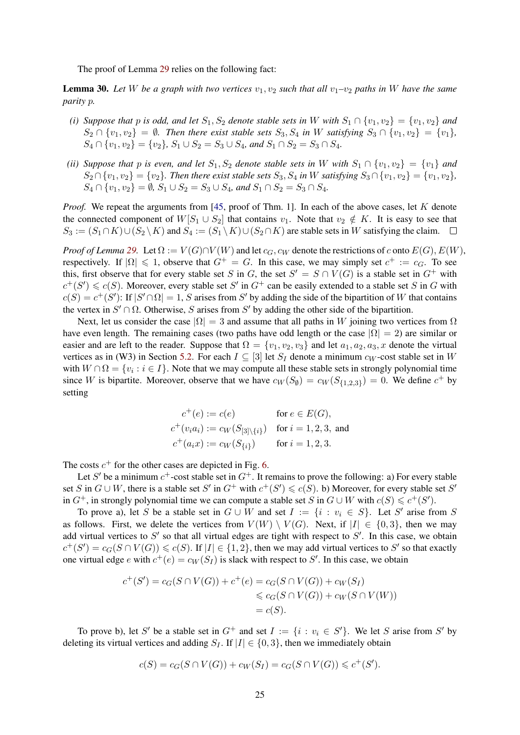The proof of Lemma [29](#page-23-0) relies on the following fact:

<span id="page-24-0"></span>**Lemma 30.** Let W be a graph with two vertices  $v_1, v_2$  such that all  $v_1$ – $v_2$  paths in W have the same *parity* p*.*

- *(i) Suppose that* p *is odd, and let*  $S_1$ ,  $S_2$  *denote stable sets in* W *with*  $S_1 \cap \{v_1, v_2\} = \{v_1, v_2\}$  *and*  $S_2 \cap \{v_1, v_2\} = \emptyset$ . Then there exist stable sets  $S_3, S_4$  in W satisfying  $S_3 \cap \{v_1, v_2\} = \{v_1\}$ ,  $S_4 \cap \{v_1, v_2\} = \{v_2\}, S_1 \cup S_2 = S_3 \cup S_4$ , and  $S_1 \cap S_2 = S_3 \cap S_4$ .
- *(ii) Suppose that* p *is even, and let*  $S_1, S_2$  *denote stable sets in* W *with*  $S_1 \cap \{v_1, v_2\} = \{v_1\}$  *and*  $S_2 \cap \{v_1, v_2\} = \{v_2\}$ . Then there exist stable sets  $S_3, S_4$  in W satisfying  $S_3 \cap \{v_1, v_2\} = \{v_1, v_2\}$ ,  $S_4 \cap \{v_1, v_2\} = \emptyset$ ,  $S_1 \cup S_2 = S_3 \cup S_4$ , and  $S_1 \cap S_2 = S_3 \cap S_4$ .

*Proof.* We repeat the arguments from [\[45,](#page-42-3) proof of Thm. 1]. In each of the above cases, let K denote the connected component of  $W[S_1 \cup S_2]$  that contains  $v_1$ . Note that  $v_2 \notin K$ . It is easy to see that  $S_3 := (S_1 \cap K) \cup (S_2 \setminus K)$  and  $S_4 := (S_1 \setminus K) \cup (S_2 \cap K)$  are stable sets in W satisfying the claim.  $\square$ 

*Proof of Lemma* [29.](#page-23-0) Let  $\Omega := V(G) \cap V(W)$  and let  $c_G$ ,  $c_W$  denote the restrictions of c onto  $E(G)$ ,  $E(W)$ , respectively. If  $|\Omega| \le 1$ , observe that  $G^+ = G$ . In this case, we may simply set  $c^+ := c_G$ . To see this, first observe that for every stable set S in G, the set  $S' = S \cap V(G)$  is a stable set in  $G^+$  with  $c^+(S') \leq c(S)$ . Moreover, every stable set S' in  $G^+$  can be easily extended to a stable set S in G with  $c(S) = c^+(S')$ : If  $|S' \cap \Omega| = 1$ , S arises from S' by adding the side of the bipartition of W that contains the vertex in  $S' \cap \Omega$ . Otherwise, S arises from S' by adding the other side of the bipartition.

Next, let us consider the case  $|\Omega| = 3$  and assume that all paths in W joining two vertices from  $\Omega$ have even length. The remaining cases (two paths have odd length or the case  $|\Omega| = 2$ ) are similar or easier and are left to the reader. Suppose that  $\Omega = \{v_1, v_2, v_3\}$  and let  $a_1, a_2, a_3, x$  denote the virtual vertices as in (W3) in Section [5.2.](#page-16-0) For each  $I \subseteq [3]$  let  $S_I$  denote a minimum  $c_W$ -cost stable set in W with  $W \cap \Omega = \{v_i : i \in I\}$ . Note that we may compute all these stable sets in strongly polynomial time since W is bipartite. Moreover, observe that we have  $c_W(S_\emptyset) = c_W(S_{\{1,2,3\}}) = 0$ . We define  $c^+$  by setting

$$
c^{+}(e) := c(e) \qquad \text{for } e \in E(G),
$$
  
\n
$$
c^{+}(v_{i}a_{i}) := c_{W}(S_{[3]\setminus\{i\}}) \quad \text{for } i = 1, 2, 3, \text{ and}
$$
  
\n
$$
c^{+}(a_{i}x) := c_{W}(S_{\{i\}}) \qquad \text{for } i = 1, 2, 3.
$$

The costs  $c^+$  for the other cases are depicted in Fig. [6.](#page-25-0)

Let S' be a minimum  $c^+$ -cost stable set in  $G^+$ . It remains to prove the following: a) For every stable set S in  $G \cup W$ , there is a stable set S' in  $G^+$  with  $c^+(S') \leq c(S)$ . b) Moreover, for every stable set S' in  $G^+$ , in strongly polynomial time we can compute a stable set S in  $G \cup W$  with  $c(S) \leq c^+(S')$ .

To prove a), let S be a stable set in  $G \cup W$  and set  $I := \{i : v_i \in S\}$ . Let S' arise from S as follows. First, we delete the vertices from  $V(W) \setminus V(G)$ . Next, if  $|I| \in \{0,3\}$ , then we may add virtual vertices to  $S'$  so that all virtual edges are tight with respect to  $S'$ . In this case, we obtain  $c^+(S') = c_G(S \cap V(G)) \leq c(S)$ . If  $|I| \in \{1,2\}$ , then we may add virtual vertices to S' so that exactly one virtual edge e with  $c^+(e) = c_W(S_I)$  is slack with respect to S'. In this case, we obtain

$$
c^{+}(S') = c_{G}(S \cap V(G)) + c^{+}(e) = c_{G}(S \cap V(G)) + c_{W}(S_{I})
$$
  
\$\leqslant c\_{G}(S \cap V(G)) + c\_{W}(S \cap V(W))\$  
= c(S).

To prove b), let S' be a stable set in  $G^+$  and set  $I := \{i : v_i \in S'\}$ . We let S arise from S' by deleting its virtual vertices and adding  $S_I$ . If  $|I| \in \{0, 3\}$ , then we immediately obtain

$$
c(S) = c_G(S \cap V(G)) + c_W(S_I) = c_G(S \cap V(G)) \leq c^+(S').
$$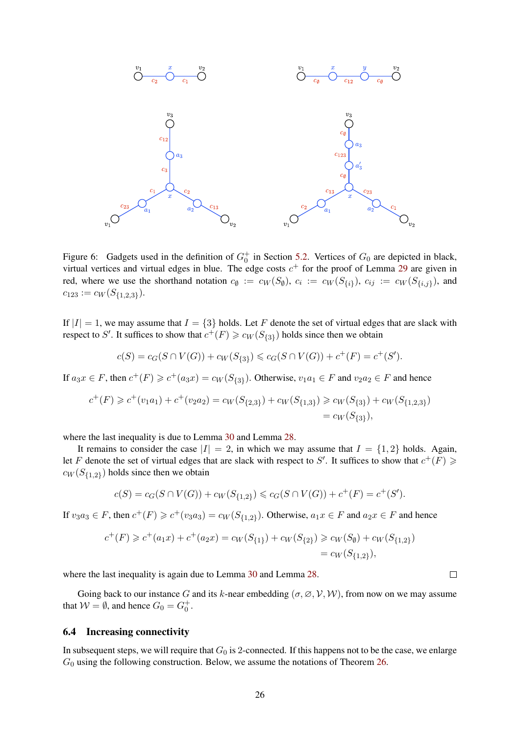

<span id="page-25-0"></span>Figure 6: Gadgets used in the definition of  $G_0^+$  in Section [5.2.](#page-16-0) Vertices of  $G_0$  are depicted in black, virtual vertices and virtual edges in blue. The edge costs  $c^+$  for the proof of Lemma [29](#page-23-0) are given in red, where we use the shorthand notation  $c_{\emptyset} := c_W(S_{\emptyset})$ ,  $c_i := c_W(S_{\{i\}})$ ,  $c_{ij} := c_W(S_{\{i,j\}})$ , and  $c_{123} := c_W(S_{\{1,2,3\}}).$ 

If  $|I| = 1$ , we may assume that  $I = \{3\}$  holds. Let F denote the set of virtual edges that are slack with respect to S'. It suffices to show that  $c^+(F) \geq c_W(S_{\{3\}})$  holds since then we obtain

$$
c(S) = c_G(S \cap V(G)) + c_W(S_{\{3\}}) \leqslant c_G(S \cap V(G)) + c^+(F) = c^+(S').
$$

If  $a_3x \in F$ , then  $c^+(F) \geq c^+(a_3x) = c_W(S_{\{3\}})$ . Otherwise,  $v_1a_1 \in F$  and  $v_2a_2 \in F$  and hence

$$
c^{+}(F) \geq c^{+}(v_{1}a_{1}) + c^{+}(v_{2}a_{2}) = c_{W}(S_{\{2,3\}}) + c_{W}(S_{\{1,3\}}) \geq c_{W}(S_{\{3\}}) + c_{W}(S_{\{1,2,3\}}) = c_{W}(S_{\{3\}}),
$$

where the last inequality is due to Lemma [30](#page-24-0) and Lemma [28.](#page-23-1)

It remains to consider the case  $|I| = 2$ , in which we may assume that  $I = \{1, 2\}$  holds. Again, let F denote the set of virtual edges that are slack with respect to S'. It suffices to show that  $c^+(F) \geq$  $c_W(S_{\{1,2\}})$  holds since then we obtain

$$
c(S) = c_G(S \cap V(G)) + c_W(S_{\{1,2\}}) \leqslant c_G(S \cap V(G)) + c^+(F) = c^+(S').
$$

If  $v_3a_3 \in F$ , then  $c^+(F) \geq c^+(v_3a_3) = c_W(S_{\{1,2\}})$ . Otherwise,  $a_1x \in F$  and  $a_2x \in F$  and hence

$$
c^{+}(F) \geq c^{+}(a_{1}x) + c^{+}(a_{2}x) = c_{W}(S_{\{1\}}) + c_{W}(S_{\{2\}}) \geq c_{W}(S_{\emptyset}) + c_{W}(S_{\{1,2\}}) = c_{W}(S_{\{1,2\}}),
$$

where the last inequality is again due to Lemma [30](#page-24-0) and Lemma [28.](#page-23-1)

Going back to our instance G and its k-near embedding  $(\sigma, \varnothing, \mathcal{V}, \mathcal{W})$ , from now on we may assume that  $W = \emptyset$ , and hence  $G_0 = G_0^+$ .

#### 6.4 Increasing connectivity

In subsequent steps, we will require that  $G_0$  is 2-connected. If this happens not to be the case, we enlarge  $G_0$  using the following construction. Below, we assume the notations of Theorem [26.](#page-19-0)

 $\Box$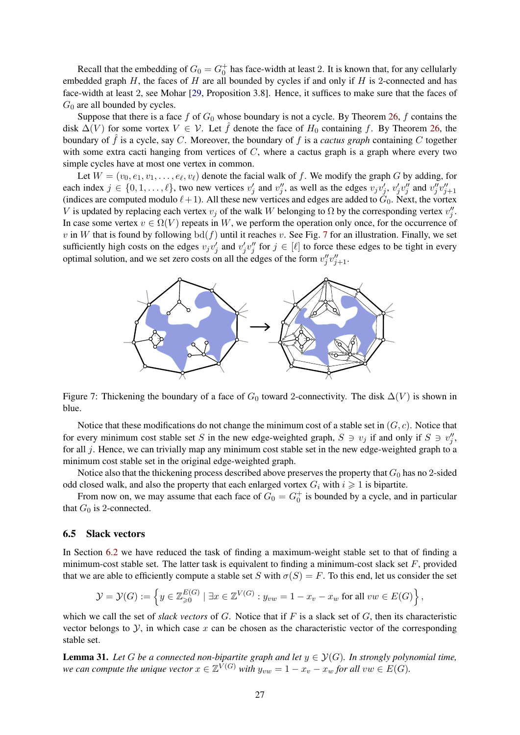Recall that the embedding of  $G_0 = G_0^+$  has face-width at least 2. It is known that, for any cellularly embedded graph  $H$ , the faces of  $H$  are all bounded by cycles if and only if  $H$  is 2-connected and has face-width at least 2, see Mohar [\[29,](#page-41-18) Proposition 3.8]. Hence, it suffices to make sure that the faces of  $G_0$  are all bounded by cycles.

Suppose that there is a face f of  $G_0$  whose boundary is not a cycle. By Theorem [26,](#page-19-0) f contains the disk  $\Delta(V)$  for some vortex  $V \in V$ . Let  $\hat{f}$  denote the face of  $H_0$  containing f. By Theorem [26,](#page-19-0) the boundary of  $\hat{f}$  is a cycle, say C. Moreover, the boundary of f is a *cactus graph* containing C together with some extra cacti hanging from vertices of  $C$ , where a cactus graph is a graph where every two simple cycles have at most one vertex in common.

Let  $W = (v_0, e_1, v_1, \dots, e_\ell, v_\ell)$  denote the facial walk of f. We modify the graph G by adding, for each index  $j \in \{0, 1, \ldots, \ell\}$ , two new vertices  $v'_j$  and  $v''_j$ , as well as the edges  $v_j v'_j$ ,  $v'_j v''_j$  and  $v''_j v''_{j+1}$ (indices are computed modulo  $\ell + 1$ ). All these new vertices and edges are added to  $\tilde{G}_0$ . Next, the vortex V is updated by replacing each vertex  $v_j$  of the walk W belonging to  $\Omega$  by the corresponding vertex  $v''_j$ . In case some vertex  $v \in \Omega(V)$  repeats in W, we perform the operation only once, for the occurrence of v in W that is found by following  $\text{bd}(f)$  until it reaches v. See Fig. [7](#page-26-0) for an illustration. Finally, we set sufficiently high costs on the edges  $v_jv'_j$  and  $v'_jv''_j$  for  $j \in [\ell]$  to force these edges to be tight in every optimal solution, and we set zero costs on all the edges of the form  $v''_j v''_{j+1}$ .



<span id="page-26-0"></span>Figure 7: Thickening the boundary of a face of  $G_0$  toward 2-connectivity. The disk  $\Delta(V)$  is shown in blue.

Notice that these modifications do not change the minimum cost of a stable set in  $(G, c)$ . Notice that for every minimum cost stable set S in the new edge-weighted graph,  $S \ni v_j$  if and only if  $S \ni v''_j$ , for all  $j$ . Hence, we can trivially map any minimum cost stable set in the new edge-weighted graph to a minimum cost stable set in the original edge-weighted graph.

Notice also that the thickening process described above preserves the property that  $G_0$  has no 2-sided odd closed walk, and also the property that each enlarged vortex  $G_i$  with  $i \geq 1$  is bipartite.

From now on, we may assume that each face of  $G_0 = G_0^+$  is bounded by a cycle, and in particular that  $G_0$  is 2-connected.

#### 6.5 Slack vectors

In Section [6.2](#page-23-2) we have reduced the task of finding a maximum-weight stable set to that of finding a minimum-cost stable set. The latter task is equivalent to finding a minimum-cost slack set  $F$ , provided that we are able to efficiently compute a stable set S with  $\sigma(S) = F$ . To this end, let us consider the set

$$
\mathcal{Y} = \mathcal{Y}(G) := \left\{ y \in \mathbb{Z}_{\geqslant 0}^{E(G)} \mid \exists x \in \mathbb{Z}^{V(G)} : y_{vw} = 1 - x_v - x_w \text{ for all } vw \in E(G) \right\},\
$$

which we call the set of *slack vectors* of G. Notice that if F is a slack set of G, then its characteristic vector belongs to  $\mathcal{Y}$ , in which case x can be chosen as the characteristic vector of the corresponding stable set.

<span id="page-26-1"></span>**Lemma 31.** Let G be a connected non-bipartite graph and let  $y \in \mathcal{Y}(G)$ . In strongly polynomial time, *we can compute the unique vector*  $x \in \mathbb{Z}^{V(G)}$  *with*  $y_{vw} = 1 - x_v - x_w$  *for all*  $vw \in E(G)$ *.*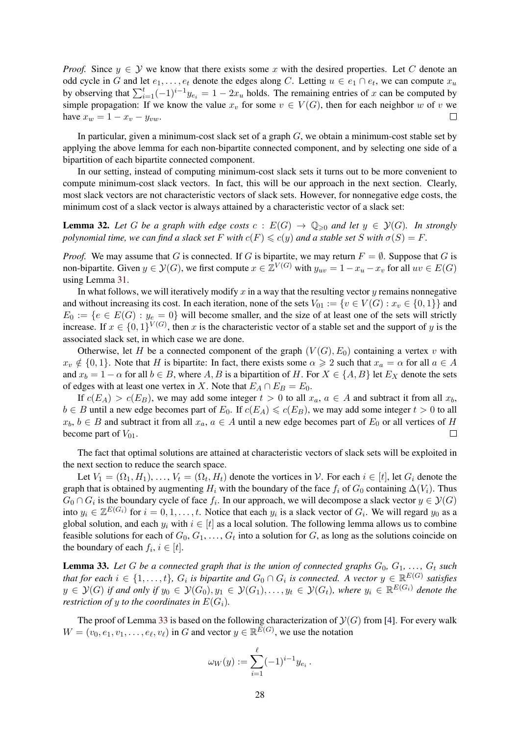*Proof.* Since  $y \in Y$  we know that there exists some x with the desired properties. Let C denote an odd cycle in G and let  $e_1, \ldots, e_t$  denote the edges along C. Letting  $u \in e_1 \cap e_t$ , we can compute  $x_u$ by observing that  $\sum_{i=1}^{t}(-1)^{i-1}y_{e_i} = 1 - 2x_u$  holds. The remaining entries of x can be computed by simple propagation: If we know the value  $x_v$  for some  $v \in V(G)$ , then for each neighbor w of v we have  $x_w = 1 - x_v - y_{vw}$ .  $\Box$ 

In particular, given a minimum-cost slack set of a graph  $G$ , we obtain a minimum-cost stable set by applying the above lemma for each non-bipartite connected component, and by selecting one side of a bipartition of each bipartite connected component.

In our setting, instead of computing minimum-cost slack sets it turns out to be more convenient to compute minimum-cost slack vectors. In fact, this will be our approach in the next section. Clearly, most slack vectors are not characteristic vectors of slack sets. However, for nonnegative edge costs, the minimum cost of a slack vector is always attained by a characteristic vector of a slack set:

<span id="page-27-2"></span>**Lemma 32.** Let G be a graph with edge costs  $c : E(G) \to \mathbb{Q}_{\geq 0}$  and let  $y \in \mathcal{Y}(G)$ . In strongly *polynomial time, we can find a slack set* F *with*  $c(F) \leq c(y)$  *and a stable set* S *with*  $\sigma(S) = F$ .

*Proof.* We may assume that G is connected. If G is bipartite, we may return  $F = \emptyset$ . Suppose that G is non-bipartite. Given  $y \in \mathcal{Y}(G)$ , we first compute  $x \in \mathbb{Z}^{V(G)}$  with  $y_{uv} = 1 - x_u - x_v$  for all  $uv \in E(G)$ using Lemma [31.](#page-26-1)

In what follows, we will iteratively modify x in a way that the resulting vector y remains nonnegative and without increasing its cost. In each iteration, none of the sets  $V_{01} := \{v \in V(G) : x_v \in \{0, 1\}\}\$ and  $E_0 := \{e \in E(G) : y_e = 0\}$  will become smaller, and the size of at least one of the sets will strictly increase. If  $x \in \{0,1\}^{V(G)}$ , then x is the characteristic vector of a stable set and the support of y is the associated slack set, in which case we are done.

Otherwise, let H be a connected component of the graph  $(V(G), E_0)$  containing a vertex v with  $x_v \notin \{0, 1\}$ . Note that H is bipartite: In fact, there exists some  $\alpha \geq 2$  such that  $x_a = \alpha$  for all  $a \in A$ and  $x_b = 1 - \alpha$  for all  $b \in B$ , where A, B is a bipartition of H. For  $X \in \{A, B\}$  let  $E_X$  denote the sets of edges with at least one vertex in X. Note that  $E_A \cap E_B = E_0$ .

If  $c(E_A) > c(E_B)$ , we may add some integer  $t > 0$  to all  $x_a, a \in A$  and subtract it from all  $x_b$ ,  $b \in B$  until a new edge becomes part of  $E_0$ . If  $c(E_A) \leq c(E_B)$ , we may add some integer  $t > 0$  to all  $x_b, b \in B$  and subtract it from all  $x_a, a \in A$  until a new edge becomes part of  $E_0$  or all vertices of H become part of  $V_{01}$ .  $\Box$ 

The fact that optimal solutions are attained at characteristic vectors of slack sets will be exploited in the next section to reduce the search space.

Let  $V_1 = (\Omega_1, H_1), \ldots, V_t = (\Omega_t, H_t)$  denote the vortices in  $\mathcal{V}$ . For each  $i \in [t]$ , let  $G_i$  denote the graph that is obtained by augmenting  $H_i$  with the boundary of the face  $f_i$  of  $G_0$  containing  $\Delta(V_i)$ . Thus  $G_0 \cap G_i$  is the boundary cycle of face  $f_i$ . In our approach, we will decompose a slack vector  $y \in \mathcal{Y}(G)$ into  $y_i \in \mathbb{Z}^{E(G_i)}$  for  $i = 0, 1, \ldots, t$ . Notice that each  $y_i$  is a slack vector of  $G_i$ . We will regard  $y_0$  as a global solution, and each  $y_i$  with  $i \in [t]$  as a local solution. The following lemma allows us to combine feasible solutions for each of  $G_0, G_1, \ldots, G_t$  into a solution for G, as long as the solutions coincide on the boundary of each  $f_i$ ,  $i \in [t]$ .

<span id="page-27-0"></span>**Lemma 33.** Let G be a connected graph that is the union of connected graphs  $G_0, G_1, \ldots, G_t$  such that for each  $i \in \{1,\ldots,t\}$ ,  $G_i$  is bipartite and  $G_0 \cap G_i$  is connected. A vector  $y \in \mathbb{R}^{E(G)}$  satisfies  $y \in \mathcal{Y}(G)$  if and only if  $y_0 \in \mathcal{Y}(G_0), y_1 \in \mathcal{Y}(G_1), \ldots, y_t \in \mathcal{Y}(G_t)$ , where  $y_i \in \mathbb{R}^{E(G_i)}$  denote the *restriction of y to the coordinates in*  $E(G_i)$ *.* 

<span id="page-27-1"></span>The proof of Lemma [33](#page-27-0) is based on the following characterization of  $\mathcal{Y}(G)$  from [\[4\]](#page-39-4). For every walk  $W = (v_0, e_1, v_1, \dots, e_\ell, v_\ell)$  in G and vector  $y \in \mathbb{R}^{E(G)}$ , we use the notation

$$
\omega_W(y) := \sum_{i=1}^{\ell} (-1)^{i-1} y_{e_i}.
$$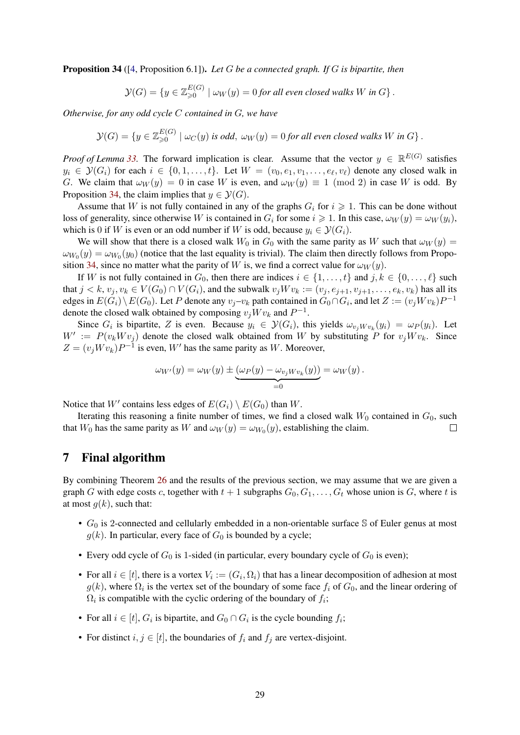Proposition 34 ([\[4,](#page-39-4) Proposition 6.1]). *Let* G *be a connected graph. If* G *is bipartite, then*

$$
\mathcal{Y}(G) = \{ y \in \mathbb{Z}_{\geqslant 0}^{E(G)} \mid \omega_W(y) = 0 \text{ for all even closed walks } W \text{ in } G \}.
$$

*Otherwise, for any odd cycle* C *contained in* G*, we have*

$$
\mathcal{Y}(G) = \{ y \in \mathbb{Z}_{\geqslant 0}^{E(G)} \mid \omega_C(y) \text{ is odd}, \ \omega_W(y) = 0 \text{ for all even closed walks } W \text{ in } G \}.
$$

*Proof of Lemma [33.](#page-27-0)* The forward implication is clear. Assume that the vector  $y \in \mathbb{R}^{E(G)}$  satisfies  $y_i \in \mathcal{Y}(G_i)$  for each  $i \in \{0, 1, \ldots, t\}$ . Let  $W = (v_0, e_1, v_1, \ldots, e_\ell, v_\ell)$  denote any closed walk in G. We claim that  $\omega_W(y) = 0$  in case W is even, and  $\omega_W(y) \equiv 1 \pmod{2}$  in case W is odd. By Proposition [34,](#page-27-1) the claim implies that  $y \in \mathcal{Y}(G)$ .

Assume that W is not fully contained in any of the graphs  $G_i$  for  $i \geq 1$ . This can be done without loss of generality, since otherwise W is contained in  $G_i$  for some  $i \geq 1$ . In this case,  $\omega_W(y) = \omega_W(y_i)$ , which is 0 if W is even or an odd number if W is odd, because  $y_i \in \mathcal{Y}(G_i)$ .

We will show that there is a closed walk  $W_0$  in  $G_0$  with the same parity as W such that  $\omega_W(y)$  =  $\omega_{W_0}(y) = \omega_{W_0}(y_0)$  (notice that the last equality is trivial). The claim then directly follows from Propo-sition [34,](#page-27-1) since no matter what the parity of W is, we find a correct value for  $\omega_W(y)$ .

If W is not fully contained in  $G_0$ , then there are indices  $i \in \{1, \ldots, t\}$  and  $j, k \in \{0, \ldots, \ell\}$  such that  $j < k$ ,  $v_j, v_k \in V(G_0) \cap V(G_i)$ , and the subwalk  $v_j W v_k := (v_j, e_{j+1}, v_{j+1}, \ldots, e_k, v_k)$  has all its edges in  $E(G_i) \setminus E(G_0)$ . Let P denote any  $v_j - v_k$  path contained in  $G_0 \cap G_i$ , and let  $Z := (v_j W v_k)P^{-1}$ denote the closed walk obtained by composing  $v_jWv_k$  and  $P^{-1}$ .

Since  $G_i$  is bipartite, Z is even. Because  $y_i \in \mathcal{Y}(G_i)$ , this yields  $\omega_{v_j W v_k}(y_i) = \omega_P(y_i)$ . Let  $W' := P(v_k W v_j)$  denote the closed walk obtained from W by substituting P for  $v_j W v_k$ . Since  $Z = (v_j W v_k) P^{-1}$  is even, W' has the same parity as W. Moreover,

$$
\omega_{W'}(y) = \omega_W(y) \pm \underbrace{(\omega_P(y) - \omega_{v_j W v_k}(y))}_{=0} = \omega_W(y).
$$

Notice that  $W'$  contains less edges of  $E(G_i) \setminus E(G_0)$  than  $W$ .

Iterating this reasoning a finite number of times, we find a closed walk  $W_0$  contained in  $G_0$ , such that  $W_0$  has the same parity as W and  $\omega_W(y) = \omega_{W_0}(y)$ , establishing the claim.  $\Box$ 

# <span id="page-28-0"></span>7 Final algorithm

By combining Theorem [26](#page-19-0) and the results of the previous section, we may assume that we are given a graph G with edge costs c, together with  $t + 1$  subgraphs  $G_0, G_1, \ldots, G_t$  whose union is G, where t is at most  $g(k)$ , such that:

- $G_0$  is 2-connected and cellularly embedded in a non-orientable surface S of Euler genus at most  $g(k)$ . In particular, every face of  $G_0$  is bounded by a cycle;
- Every odd cycle of  $G_0$  is 1-sided (in particular, every boundary cycle of  $G_0$  is even);
- For all  $i \in [t]$ , there is a vortex  $V_i := (G_i, \Omega_i)$  that has a linear decomposition of adhesion at most  $g(k)$ , where  $\Omega_i$  is the vertex set of the boundary of some face  $f_i$  of  $G_0$ , and the linear ordering of  $\Omega_i$  is compatible with the cyclic ordering of the boundary of  $f_i$ ;
- For all  $i \in [t]$ ,  $G_i$  is bipartite, and  $G_0 \cap G_i$  is the cycle bounding  $f_i$ ;
- For distinct  $i, j \in [t]$ , the boundaries of  $f_i$  and  $f_j$  are vertex-disjoint.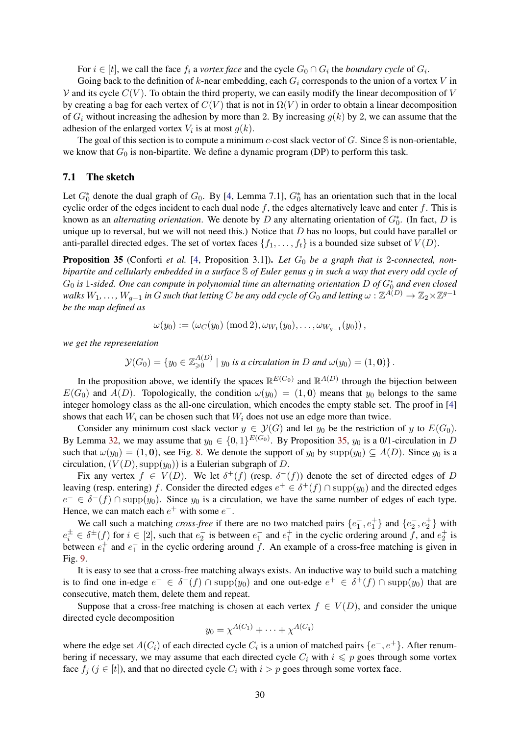For  $i \in [t]$ , we call the face  $f_i$  a *vortex face* and the cycle  $G_0 \cap G_i$  the *boundary cycle* of  $G_i$ .

Going back to the definition of k-near embedding, each  $G_i$  corresponds to the union of a vortex V in  $V$  and its cycle  $C(V)$ . To obtain the third property, we can easily modify the linear decomposition of V by creating a bag for each vertex of  $C(V)$  that is not in  $\Omega(V)$  in order to obtain a linear decomposition of  $G_i$  without increasing the adhesion by more than 2. By increasing  $g(k)$  by 2, we can assume that the adhesion of the enlarged vortex  $V_i$  is at most  $g(k)$ .

The goal of this section is to compute a minimum  $c$ -cost slack vector of  $G$ . Since  $S$  is non-orientable, we know that  $G_0$  is non-bipartite. We define a dynamic program (DP) to perform this task.

#### 7.1 The sketch

Let  $G_0^*$  denote the dual graph of  $G_0$ . By [\[4,](#page-39-4) Lemma 7.1],  $G_0^*$  has an orientation such that in the local cyclic order of the edges incident to each dual node  $f$ , the edges alternatively leave and enter  $f$ . This is known as an *alternating orientation*. We denote by D any alternating orientation of  $G_0^*$ . (In fact, D is unique up to reversal, but we will not need this.) Notice that  $D$  has no loops, but could have parallel or anti-parallel directed edges. The set of vortex faces  $\{f_1, \ldots, f_t\}$  is a bounded size subset of  $V(D)$ .

<span id="page-29-0"></span>**Proposition 35** (Conforti *et al.* [\[4,](#page-39-4) Proposition 3.1]). Let  $G_0$  be a graph that is 2-connected, non*bipartite and cellularly embedded in a surface* S *of Euler genus* g *in such a way that every odd cycle of*  $G_0$  is 1-sided. One can compute in polynomial time an alternating orientation D of  $G_0^*$  and even closed  $w$ alks  $W_1,\ldots,W_{g-1}$  in  $G$  such that letting  $C$  be any odd cycle of  $G_0$  and letting  $\omega: \Z^{A(D)}\to \Z_2\times \Z^{g-1}$ *be the map defined as*

 $\omega(y_0):=(\omega_C(y_0)\ (\text{mod}\ 2), \omega_{W_1}(y_0),\ldots,\omega_{W_{g-1}}(y_0))\,,$ 

*we get the representation*

 $\mathcal{Y}(G_0) = \{y_0 \in \mathbb{Z}_{\geqslant 0}^{A(D)} \mid y_0 \text{ is a circulation in } D \text{ and } \omega(y_0) = (1, \mathbf{0})\}$ .

In the proposition above, we identify the spaces  $\mathbb{R}^{E(G_0)}$  and  $\mathbb{R}^{A(D)}$  through the bijection between  $E(G_0)$  and  $A(D)$ . Topologically, the condition  $\omega(y_0) = (1, 0)$  means that  $y_0$  belongs to the same integer homology class as the all-one circulation, which encodes the empty stable set. The proof in [\[4\]](#page-39-4) shows that each  $W_i$  can be chosen such that  $W_i$  does not use an edge more than twice.

Consider any minimum cost slack vector  $y \in \mathcal{Y}(G)$  and let  $y_0$  be the restriction of y to  $E(G_0)$ . By Lemma [32,](#page-27-2) we may assume that  $y_0 \in \{0,1\}^{E(G_0)}$ . By Proposition [35,](#page-29-0)  $y_0$  is a 0/1-circulation in D such that  $\omega(y_0) = (1, 0)$ , see Fig. [8.](#page-30-0) We denote the support of  $y_0$  by  $\text{supp}(y_0) \subseteq A(D)$ . Since  $y_0$  is a circulation,  $(V(D), \text{supp}(y_0))$  is a Eulerian subgraph of D.

Fix any vertex  $f \in V(D)$ . We let  $\delta^+(f)$  (resp.  $\delta^-(f)$ ) denote the set of directed edges of D leaving (resp. entering) f. Consider the directed edges  $e^+ \in \delta^+(f) \cap \text{supp}(y_0)$  and the directed edges  $e^- \in \delta^-(f) \cap \text{supp}(y_0)$ . Since  $y_0$  is a circulation, we have the same number of edges of each type. Hence, we can match each  $e^+$  with some  $e^-$ .

We call such a matching *cross-free* if there are no two matched pairs  $\{e_1^-, e_1^+\}$  and  $\{e_2^-, e_2^+\}$  with  $e_i^{\pm} \in \delta^{\pm}(f)$  for  $i \in [2]$ , such that  $e_2^-$  is between  $e_1^-$  and  $e_1^+$  in the cyclic ordering around  $\bar{f}$ , and  $e_2^+$  is between  $e_1^+$  and  $e_1^-$  in the cyclic ordering around f. An example of a cross-free matching is given in Fig. [9.](#page-30-1)

It is easy to see that a cross-free matching always exists. An inductive way to build such a matching is to find one in-edge  $e^- \in \delta^-(f) \cap \text{supp}(y_0)$  and one out-edge  $e^+ \in \delta^+(f) \cap \text{supp}(y_0)$  that are consecutive, match them, delete them and repeat.

Suppose that a cross-free matching is chosen at each vertex  $f \in V(D)$ , and consider the unique directed cycle decomposition

$$
y_0 = \chi^{A(C_1)} + \cdots + \chi^{A(C_q)}
$$

where the edge set  $A(C_i)$  of each directed cycle  $C_i$  is a union of matched pairs  $\{e^-, e^+\}$ . After renumbering if necessary, we may assume that each directed cycle  $C_i$  with  $i \leq p$  goes through some vortex face  $f_j$  ( $j \in [t]$ ), and that no directed cycle  $C_i$  with  $i > p$  goes through some vortex face.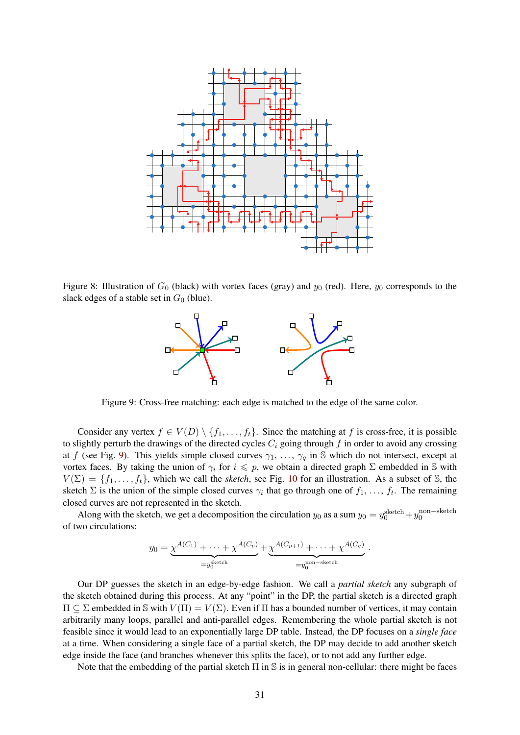

<span id="page-30-0"></span>Figure 8: Illustration of  $G_0$  (black) with vortex faces (gray) and  $y_0$  (red). Here,  $y_0$  corresponds to the slack edges of a stable set in  $G_0$  (blue).



<span id="page-30-1"></span>Figure 9: Cross-free matching: each edge is matched to the edge of the same color.

Consider any vertex  $f \in V(D) \setminus \{f_1, \ldots, f_t\}$ . Since the matching at f is cross-free, it is possible to slightly perturb the drawings of the directed cycles  $C_i$  going through f in order to avoid any crossing at f (see Fig. [9\)](#page-30-1). This yields simple closed curves  $\gamma_1, \ldots, \gamma_q$  in S which do not intersect, except at vortex faces. By taking the union of  $\gamma_i$  for  $i \leq p$ , we obtain a directed graph  $\Sigma$  embedded in S with  $V(\Sigma) = \{f_1, \ldots, f_t\}$ , which we call the *sketch*, see Fig. [10](#page-31-0) for an illustration. As a subset of S, the sketch  $\Sigma$  is the union of the simple closed curves  $\gamma_i$  that go through one of  $f_1, \ldots, f_t$ . The remaining closed curves are not represented in the sketch.

Along with the sketch, we get a decomposition the circulation  $y_0$  as a sum  $y_0 = y_0^{\text{sketch}} + y_0^{\text{non-sketch}}$ of two circulations:

$$
y_0 = \underbrace{\chi^{A(C_1)} + \dots + \chi^{A(C_p)}}_{=y_0^{\text{sketch}}} + \underbrace{\chi^{A(C_{p+1})} + \dots + \chi^{A(C_q)}}_{=y_0^{\text{non-sketch}}}
$$

.

Our DP guesses the sketch in an edge-by-edge fashion. We call a *partial sketch* any subgraph of the sketch obtained during this process. At any "point" in the DP, the partial sketch is a directed graph  $\Pi \subseteq \Sigma$  embedded in S with  $V(\Pi) = V(\Sigma)$ . Even if  $\Pi$  has a bounded number of vertices, it may contain arbitrarily many loops, parallel and anti-parallel edges. Remembering the whole partial sketch is not feasible since it would lead to an exponentially large DP table. Instead, the DP focuses on a *single face* at a time. When considering a single face of a partial sketch, the DP may decide to add another sketch edge inside the face (and branches whenever this splits the face), or to not add any further edge.

Note that the embedding of the partial sketch  $\Pi$  in  $\mathbb S$  is in general non-cellular: there might be faces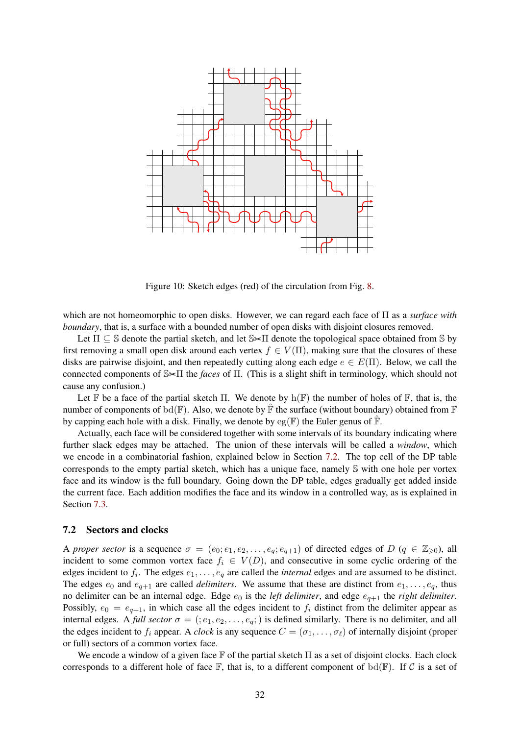

<span id="page-31-0"></span>Figure 10: Sketch edges (red) of the circulation from Fig. [8.](#page-30-0)

which are not homeomorphic to open disks. However, we can regard each face of Π as a *surface with boundary*, that is, a surface with a bounded number of open disks with disjoint closures removed.

Let  $\Pi \subseteq \mathbb{S}$  denote the partial sketch, and let  $\mathbb{S} \times \Pi$  denote the topological space obtained from  $\mathbb{S}$  by first removing a small open disk around each vertex  $f \in V(\Pi)$ , making sure that the closures of these disks are pairwise disjoint, and then repeatedly cutting along each edge  $e \in E(\Pi)$ . Below, we call the connected components of S<sup>\*</sup>II the *faces* of Π. (This is a slight shift in terminology, which should not cause any confusion.)

Let F be a face of the partial sketch Π. We denote by  $h(\mathbb{F})$  the number of holes of F, that is, the number of components of bd( $F$ ). Also, we denote by  $\overline{F}$  the surface (without boundary) obtained from  $F$ by capping each hole with a disk. Finally, we denote by  $eg(\mathbb{F})$  the Euler genus of  $\mathbb{F}$ .

Actually, each face will be considered together with some intervals of its boundary indicating where further slack edges may be attached. The union of these intervals will be called a *window*, which we encode in a combinatorial fashion, explained below in Section [7.2.](#page-31-1) The top cell of the DP table corresponds to the empty partial sketch, which has a unique face, namely S with one hole per vortex face and its window is the full boundary. Going down the DP table, edges gradually get added inside the current face. Each addition modifies the face and its window in a controlled way, as is explained in Section [7.3.](#page-32-0)

#### <span id="page-31-1"></span>7.2 Sectors and clocks

A *proper sector* is a sequence  $\sigma = (e_0; e_1, e_2, \ldots, e_q; e_{q+1})$  of directed edges of D ( $q \in \mathbb{Z}_{\geq 0}$ ), all incident to some common vortex face  $f_i \in V(D)$ , and consecutive in some cyclic ordering of the edges incident to  $f_i$ . The edges  $e_1, \ldots, e_q$  are called the *internal* edges and are assumed to be distinct. The edges  $e_0$  and  $e_{q+1}$  are called *delimiters*. We assume that these are distinct from  $e_1, \ldots, e_q$ , thus no delimiter can be an internal edge. Edge  $e_0$  is the *left delimiter*, and edge  $e_{q+1}$  the *right delimiter*. Possibly,  $e_0 = e_{q+1}$ , in which case all the edges incident to  $f_i$  distinct from the delimiter appear as internal edges. A *full sector*  $\sigma = (; e_1, e_2, \dots, e_q; )$  is defined similarly. There is no delimiter, and all the edges incident to  $f_i$  appear. A *clock* is any sequence  $C = (\sigma_1, \dots, \sigma_\ell)$  of internally disjoint (proper or full) sectors of a common vortex face.

We encode a window of a given face  $\mathbb F$  of the partial sketch  $\Pi$  as a set of disjoint clocks. Each clock corresponds to a different hole of face  $\mathbb F$ , that is, to a different component of bd( $\mathbb F$ ). If C is a set of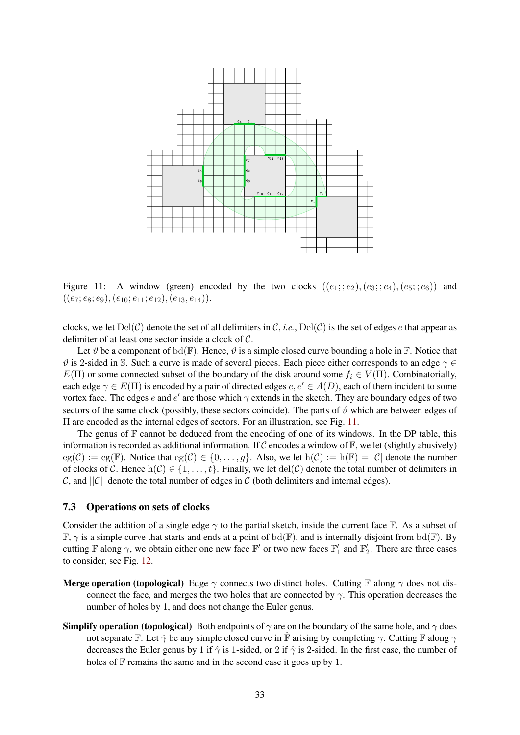

<span id="page-32-1"></span>Figure 11: A window (green) encoded by the two clocks  $((e_1; e_2), (e_3; e_4), (e_5; e_6))$  and  $((e_7; e_8; e_9), (e_{10}; e_{11}; e_{12}), (e_{13}, e_{14})).$ 

clocks, we let  $Del(\mathcal{C})$  denote the set of all delimiters in C, *i.e.*,  $Del(\mathcal{C})$  is the set of edges e that appear as delimiter of at least one sector inside a clock of C.

Let  $\vartheta$  be a component of bd(F). Hence,  $\vartheta$  is a simple closed curve bounding a hole in F. Notice that  $\vartheta$  is 2-sided in S. Such a curve is made of several pieces. Each piece either corresponds to an edge  $\gamma \in$  $E(\Pi)$  or some connected subset of the boundary of the disk around some  $f_i \in V(\Pi)$ . Combinatorially, each edge  $\gamma \in E(\Pi)$  is encoded by a pair of directed edges  $e, e' \in A(D)$ , each of them incident to some vortex face. The edges e and e' are those which  $\gamma$  extends in the sketch. They are boundary edges of two sectors of the same clock (possibly, these sectors coincide). The parts of  $\vartheta$  which are between edges of Π are encoded as the internal edges of sectors. For an illustration, see Fig. [11.](#page-32-1)

The genus of  $\mathbb F$  cannot be deduced from the encoding of one of its windows. In the DP table, this information is recorded as additional information. If C encodes a window of  $\mathbb{F}$ , we let (slightly abusively)  $eg(\mathcal{C}) := eg(\mathbb{F})$ . Notice that  $eg(\mathcal{C}) \in \{0, \ldots, q\}$ . Also, we let  $h(\mathcal{C}) := h(\mathbb{F}) = |\mathcal{C}|$  denote the number of clocks of C. Hence  $h(C) \in \{1, \ldots, t\}$ . Finally, we let  $del(C)$  denote the total number of delimiters in C, and  $||C||$  denote the total number of edges in C (both delimiters and internal edges).

#### <span id="page-32-0"></span>7.3 Operations on sets of clocks

Consider the addition of a single edge  $\gamma$  to the partial sketch, inside the current face  $\mathbb{F}$ . As a subset of  $\mathbb{F}, \gamma$  is a simple curve that starts and ends at a point of  $\text{bd}(\mathbb{F})$ , and is internally disjoint from  $\text{bd}(\mathbb{F})$ . By cutting  $\mathbb F$  along  $\gamma$ , we obtain either one new face  $\mathbb F'$  or two new faces  $\mathbb F'_1$  and  $\mathbb F'_2$ . There are three cases to consider, see Fig. [12.](#page-33-0)

- **Merge operation (topological)** Edge  $\gamma$  connects two distinct holes. Cutting F along  $\gamma$  does not disconnect the face, and merges the two holes that are connected by  $\gamma$ . This operation decreases the number of holes by 1, and does not change the Euler genus.
- **Simplify operation (topological)** Both endpoints of  $\gamma$  are on the boundary of the same hole, and  $\gamma$  does not separate F. Let  $\hat{\gamma}$  be any simple closed curve in  $\hat{F}$  arising by completing  $\gamma$ . Cutting F along  $\gamma$ decreases the Euler genus by 1 if  $\hat{\gamma}$  is 1-sided, or 2 if  $\hat{\gamma}$  is 2-sided. In the first case, the number of holes of  $F$  remains the same and in the second case it goes up by 1.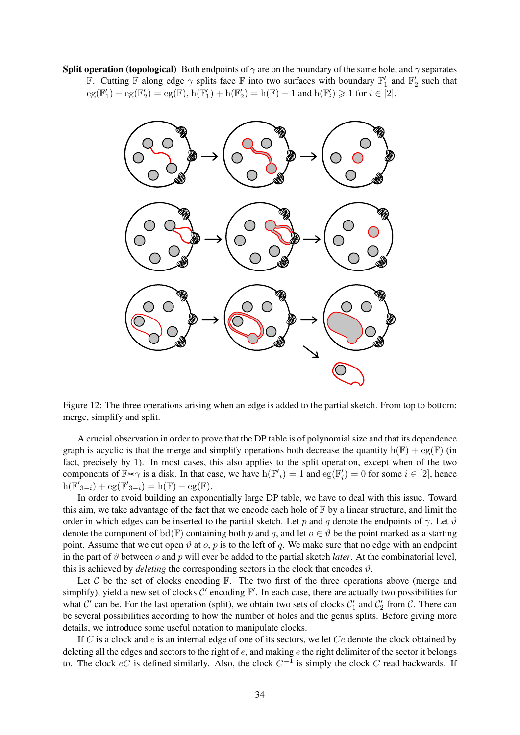**Split operation (topological)** Both endpoints of  $\gamma$  are on the boundary of the same hole, and  $\gamma$  separates F. Cutting F along edge  $\gamma$  splits face F into two surfaces with boundary  $\mathbb{F}'_1$  and  $\mathbb{F}'_2$  such that  $eg(\mathbb{F}_1') + eg(\mathbb{F}_2') = eg(\mathbb{F}), h(\mathbb{F}_1') + h(\mathbb{F}_2') = h(\mathbb{F}) + 1$  and  $h(\mathbb{F}_i') \geq 1$  for  $i \in [2]$ .



<span id="page-33-0"></span>Figure 12: The three operations arising when an edge is added to the partial sketch. From top to bottom: merge, simplify and split.

A crucial observation in order to prove that the DP table is of polynomial size and that its dependence graph is acyclic is that the merge and simplify operations both decrease the quantity  $h(\mathbb{F}) + \mathrm{eg}(\mathbb{F})$  (in fact, precisely by 1). In most cases, this also applies to the split operation, except when of the two components of  $\mathbb{F} \times \gamma$  is a disk. In that case, we have  $h(\mathbb{F'}_i) = 1$  and  $eg(\mathbb{F}'_i) = 0$  for some  $i \in [2]$ , hence  $h(\mathbb{F}'_{3-i}) + eg(\mathbb{F}'_{3-i}) = h(\mathbb{F}) + eg(\mathbb{F}).$ 

In order to avoid building an exponentially large DP table, we have to deal with this issue. Toward this aim, we take advantage of the fact that we encode each hole of  $\mathbb F$  by a linear structure, and limit the order in which edges can be inserted to the partial sketch. Let p and q denote the endpoints of  $\gamma$ . Let  $\vartheta$ denote the component of bd(F) containing both p and q, and let  $o \in \vartheta$  be the point marked as a starting point. Assume that we cut open  $\vartheta$  at  $\varphi$ ,  $p$  is to the left of q. We make sure that no edge with an endpoint in the part of  $\vartheta$  between  $o$  and  $p$  will ever be added to the partial sketch *later*. At the combinatorial level, this is achieved by *deleting* the corresponding sectors in the clock that encodes  $\vartheta$ .

Let C be the set of clocks encoding  $\mathbb F$ . The two first of the three operations above (merge and simplify), yield a new set of clocks  $C'$  encoding  $\mathbb{F}'$ . In each case, there are actually two possibilities for what  $C'$  can be. For the last operation (split), we obtain two sets of clocks  $C'_1$  and  $C'_2$  from  $C$ . There can be several possibilities according to how the number of holes and the genus splits. Before giving more details, we introduce some useful notation to manipulate clocks.

If C is a clock and  $e$  is an internal edge of one of its sectors, we let  $Ce$  denote the clock obtained by deleting all the edges and sectors to the right of  $e$ , and making  $e$  the right delimiter of the sector it belongs to. The clock  $eC$  is defined similarly. Also, the clock  $C^{-1}$  is simply the clock C read backwards. If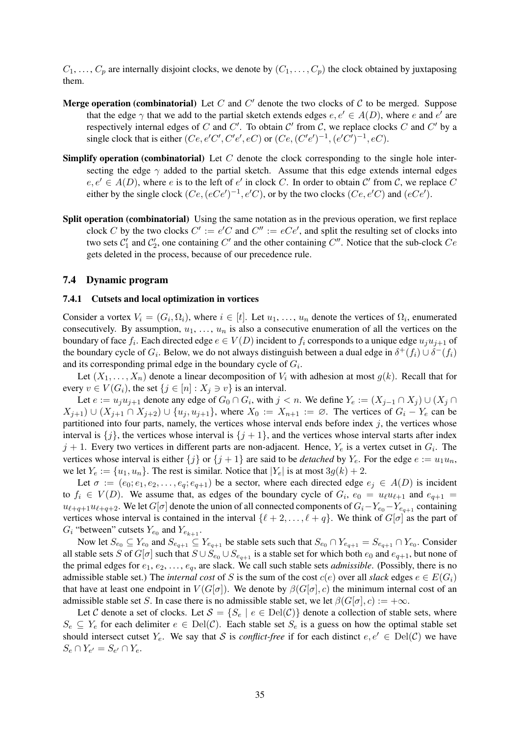$C_1, \ldots, C_p$  are internally disjoint clocks, we denote by  $(C_1, \ldots, C_p)$  the clock obtained by juxtaposing them.

- Merge operation (combinatorial) Let C and C' denote the two clocks of C to be merged. Suppose that the edge  $\gamma$  that we add to the partial sketch extends edges  $e, e' \in A(D)$ , where e and e' are respectively internal edges of C and C'. To obtain C' from C, we replace clocks C and C' by a single clock that is either  $(Ce, e'C', C'e', eC)$  or  $(Ce, (C'e')^{-1}, (e'C')^{-1}, eC)$ .
- **Simplify operation (combinatorial)** Let C denote the clock corresponding to the single hole intersecting the edge  $\gamma$  added to the partial sketch. Assume that this edge extends internal edges  $e, e' \in A(D)$ , where e is to the left of e' in clock C. In order to obtain C' from C, we replace C either by the single clock  $(Ce, (eCe')^{-1}, e'C)$ , or by the two clocks  $(Ce, e'C)$  and  $(eCe')$ .
- Split operation (combinatorial) Using the same notation as in the previous operation, we first replace clock C by the two clocks  $C' := e'C$  and  $C'' := eCe'$ , and split the resulting set of clocks into two sets  $C'_1$  and  $C'_2$ , one containing  $C'$  and the other containing  $C''$ . Notice that the sub-clock  $Ce$ gets deleted in the process, because of our precedence rule.

#### 7.4 Dynamic program

#### 7.4.1 Cutsets and local optimization in vortices

Consider a vortex  $V_i = (G_i, \Omega_i)$ , where  $i \in [t]$ . Let  $u_1, \ldots, u_n$  denote the vertices of  $\Omega_i$ , enumerated consecutively. By assumption,  $u_1, \ldots, u_n$  is also a consecutive enumeration of all the vertices on the boundary of face  $f_i$ . Each directed edge  $e \in V(D)$  incident to  $f_i$  corresponds to a unique edge  $u_ju_{j+1}$  of the boundary cycle of  $G_i$ . Below, we do not always distinguish between a dual edge in  $\delta^+(f_i) \cup \delta^-(f_i)$ and its corresponding primal edge in the boundary cycle of  $G_i$ .

Let  $(X_1, \ldots, X_n)$  denote a linear decomposition of  $V_i$  with adhesion at most  $g(k)$ . Recall that for every  $v \in V(G_i)$ , the set  $\{j \in [n] : X_j \ni v\}$  is an interval.

Let  $e := u_j u_{j+1}$  denote any edge of  $G_0 \cap G_i$ , with  $j < n$ . We define  $Y_e := (X_{j-1} \cap X_j) \cup (X_j \cap G_i)$  $(X_{j+1}) \cup (X_{j+1} \cap X_{j+2}) \cup \{u_j, u_{j+1}\}\$ , where  $X_0 := X_{n+1} := \emptyset$ . The vertices of  $G_i - Y_e$  can be partitioned into four parts, namely, the vertices whose interval ends before index  $j$ , the vertices whose interval is  $\{j\}$ , the vertices whose interval is  $\{j+1\}$ , and the vertices whose interval starts after index  $j + 1$ . Every two vertices in different parts are non-adjacent. Hence,  $Y_e$  is a vertex cutset in  $G_i$ . The vertices whose interval is either  $\{j\}$  or  $\{j+1\}$  are said to be *detached* by  $Y_e$ . For the edge  $e := u_1u_n$ , we let  $Y_e := \{u_1, u_n\}$ . The rest is similar. Notice that  $|Y_e|$  is at most  $3g(k) + 2$ .

Let  $\sigma := (e_0; e_1, e_2, \ldots, e_a; e_{a+1})$  be a sector, where each directed edge  $e_i \in A(D)$  is incident to  $f_i \in V(D)$ . We assume that, as edges of the boundary cycle of  $G_i$ ,  $e_0 = u_\ell u_{\ell+1}$  and  $e_{q+1} =$  $u_{\ell+q+1}u_{\ell+q+2}$ . We let  $G[\sigma]$  denote the union of all connected components of  $G_i-Y_{e_0}-Y_{e_{q+1}}$  containing vertices whose interval is contained in the interval  $\{\ell + 2, \ldots, \ell + q\}$ . We think of  $G[\sigma]$  as the part of  $G_i$  "between" cutsets  $Y_{e_0}$  and  $Y_{e_{k+1}}$ .

Now let  $S_{e_0} \subseteq Y_{e_0}$  and  $S_{e_{q+1}} \subseteq Y_{e_{q+1}}$  be stable sets such that  $S_{e_0} \cap Y_{e_{q+1}} = S_{e_{q+1}} \cap Y_{e_0}$ . Consider all stable sets S of  $G[\sigma]$  such that  $S \cup S_{e_0} \cup S_{e_{q+1}}$  is a stable set for which both  $e_0$  and  $e_{q+1}$ , but none of the primal edges for  $e_1, e_2, \ldots, e_q$ , are slack. We call such stable sets *admissible*. (Possibly, there is no admissible stable set.) The *internal cost* of S is the sum of the cost  $c(e)$  over all *slack* edges  $e \in E(G_i)$ that have at least one endpoint in  $V(G[\sigma])$ . We denote by  $\beta(G[\sigma], c)$  the minimum internal cost of an admissible stable set S. In case there is no admissible stable set, we let  $\beta(G[\sigma], c) := +\infty$ .

Let C denote a set of clocks. Let  $S = \{S_e \mid e \in \text{Del}(\mathcal{C})\}$  denote a collection of stable sets, where  $S_e \subseteq Y_e$  for each delimiter  $e \in \text{Del}(\mathcal{C})$ . Each stable set  $S_e$  is a guess on how the optimal stable set should intersect cutset  $Y_e$ . We say that S is *conflict-free* if for each distinct  $e, e' \in \text{Del}(\mathcal{C})$  we have  $S_e \cap Y_{e'} = S_{e'} \cap Y_{e}.$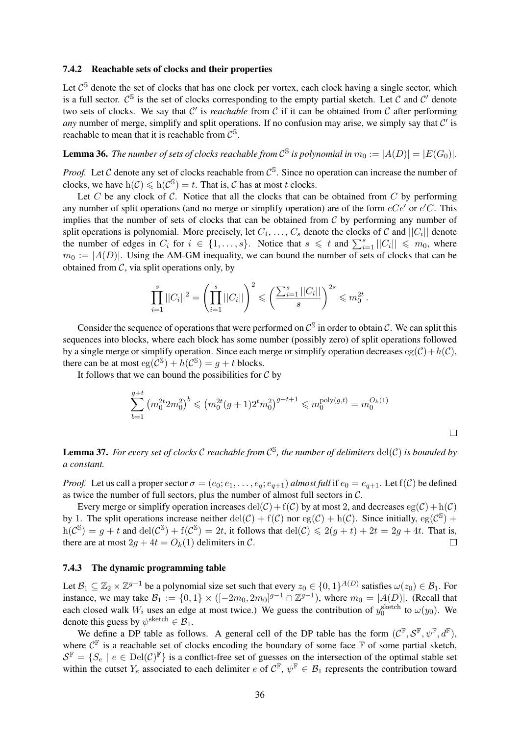#### 7.4.2 Reachable sets of clocks and their properties

Let  $C^{\mathbb{S}}$  denote the set of clocks that has one clock per vortex, each clock having a single sector, which is a full sector.  $C^{\mathbb{S}}$  is the set of clocks corresponding to the empty partial sketch. Let C and C' denote two sets of clocks. We say that  $C'$  is *reachable* from  $C$  if it can be obtained from  $C$  after performing any number of merge, simplify and split operations. If no confusion may arise, we simply say that  $\mathcal{C}'$  is reachable to mean that it is reachable from  $\mathcal{C}^{\mathbb{S}}$ .

# <span id="page-35-0"></span>**Lemma 36.** The number of sets of clocks reachable from  $\mathcal{C}^{\mathbb{S}}$  is polynomial in  $m_0 := |A(D)| = |E(G_0)|$ .

*Proof.* Let C denote any set of clocks reachable from  $C^{\mathbb{S}}$ . Since no operation can increase the number of clocks, we have  $h(C) \leq h(C^{s}) = t$ . That is, C has at most t clocks.

Let C be any clock of C. Notice that all the clocks that can be obtained from C by performing any number of split operations (and no merge or simplify operation) are of the form  $eCe'$  or  $e'C$ . This implies that the number of sets of clocks that can be obtained from  $C$  by performing any number of split operations is polynomial. More precisely, let  $C_1, \ldots, C_s$  denote the clocks of C and  $||C_i||$  denote the number of edges in  $C_i$  for  $i \in \{1, \ldots, s\}$ . Notice that  $s \leq t$  and  $\sum_{i=1}^s ||C_i|| \leq m_0$ , where  $m_0 := |A(D)|$ . Using the AM-GM inequality, we can bound the number of sets of clocks that can be obtained from  $C$ , via split operations only, by

$$
\prod_{i=1}^s ||C_i||^2 = \left(\prod_{i=1}^s ||C_i||\right)^2 \leqslant \left(\frac{\sum_{i=1}^s ||C_i||}{s}\right)^{2s} \leqslant m_0^{2t}.
$$

Consider the sequence of operations that were performed on  $\mathcal{C}^{\mathbb{S}}$  in order to obtain  $\mathcal{C}$ . We can split this sequences into blocks, where each block has some number (possibly zero) of split operations followed by a single merge or simplify operation. Since each merge or simplify operation decreases  $eg(\mathcal{C})+h(\mathcal{C})$ , there can be at most  $eg(\mathcal{C}^{\mathbb{S}}) + h(\mathcal{C}^{\mathbb{S}}) = g + t$  blocks.

It follows that we can bound the possibilities for  $C$  by

$$
\sum_{b=1}^{g+t} \left( m_0^{2t} 2m_0^2 \right)^b \leqslant \left( m_0^{2t} (g+1) 2^t m_0^2 \right)^{g+t+1} \leqslant m_0^{\text{poly}(g,t)} = m_0^{O_k(1)}
$$

 $\Box$ 

Lemma 37. *For every set of clocks* C *reachable from* C S *, the number of delimiters* del(C) *is bounded by a constant.*

*Proof.* Let us call a proper sector  $\sigma = (e_0; e_1, \ldots, e_q; e_{q+1})$  *almost full* if  $e_0 = e_{q+1}$ . Let  $f(\mathcal{C})$  be defined as twice the number of full sectors, plus the number of almost full sectors in C.

Every merge or simplify operation increases  $del(C) + f(C)$  by at most 2, and decreases  $eg(C) + h(C)$ by 1. The split operations increase neither del(C) + f(C) nor eg(C) + h(C). Since initially, eg(C<sup>S</sup>) +  $h(\mathcal{C}^{\mathcal{S}}) = g + t$  and  $del(\mathcal{C}^{\mathcal{S}}) + f(\mathcal{C}^{\mathcal{S}}) = 2t$ , it follows that  $del(\mathcal{C}) \leqslant 2(g + t) + 2t = 2g + 4t$ . That is, there are at most  $2q + 4t = O_k(1)$  delimiters in C.  $\Box$ 

#### 7.4.3 The dynamic programming table

Let  $B_1 \subseteq \mathbb{Z}_2 \times \mathbb{Z}^{g-1}$  be a polynomial size set such that every  $z_0 \in \{0,1\}^{A(D)}$  satisfies  $\omega(z_0) \in \mathcal{B}_1$ . For instance, we may take  $B_1 := \{0, 1\} \times \left([-2m_0, 2m_0]^{g-1} \cap \mathbb{Z}^{g-1}\right)$ , where  $m_0 = |A(D)|$ . (Recall that each closed walk  $W_i$  uses an edge at most twice.) We guess the contribution of  $y_0^{\text{sketch}}$  to  $\omega(y_0)$ . We denote this guess by  $\psi^{\text{sketch}} \in \mathcal{B}_1$ .

We define a DP table as follows. A general cell of the DP table has the form  $(C^{\mathbb{F}}, S^{\mathbb{F}}, \psi^{\mathbb{F}}, d^{\mathbb{F}})$ , where  $\mathcal{C}^{\mathbb{F}}$  is a reachable set of clocks encoding the boundary of some face  $\mathbb{F}$  of some partial sketch,  $\mathcal{S}^{\mathbb{F}} = \{S_e \mid e \in \text{Del}(\mathcal{C})^{\mathbb{F}}\}$  is a conflict-free set of guesses on the intersection of the optimal stable set within the cutset  $Y_e$  associated to each delimiter  $e$  of  $C^{\mathbb{F}}$ ,  $\psi^{\mathbb{F}} \in \mathcal{B}_1$  represents the contribution toward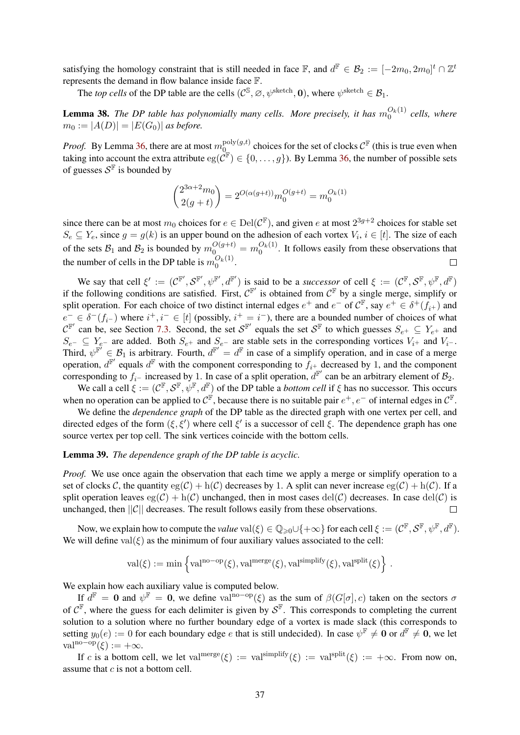satisfying the homology constraint that is still needed in face  $\mathbb{F}$ , and  $d^{\mathbb{F}} \in \mathcal{B}_2 := [-2m_0, 2m_0]^t \cap \mathbb{Z}^t$ represents the demand in flow balance inside face F.

The *top cells* of the DP table are the cells  $(C^{\mathbb{S}}, \emptyset, \psi^{\text{sketch}}, 0)$ , where  $\psi^{\text{sketch}} \in \mathcal{B}_1$ .

<span id="page-36-0"></span>**Lemma 38.** The DP table has polynomially many cells. More precisely, it has  $m_0^{O_k(1)}$  cells, where  $m_0 := |A(D)| = |E(G_0)|$  *as before.* 

*Proof.* By Lemma [36,](#page-35-0) there are at most  $m_0^{\text{poly}(g,t)}$  $\mathcal{O}_{\mathcal{Q}_{\text{out}}}^{\text{poly}(g,t)}$  choices for the set of clocks  $\mathcal{C}^{\mathbb{F}}$  (this is true even when taking into account the extra attribute  $eg(\check{C}^{\mathbb{F}}) \in \{0,\ldots,g\}$ ). By Lemma [36,](#page-35-0) the number of possible sets of guesses  $S^{\mathbb{F}}$  is bounded by

$$
\binom{2^{3\alpha+2}m_0}{2(g+t)} = 2^{O(\alpha(g+t))} m_0^{O(g+t)} = m_0^{O_k(1)}
$$

since there can be at most  $m_0$  choices for  $e \in \text{Del}(\mathcal{C}^{\mathbb{F}})$ , and given e at most  $2^{3g+2}$  choices for stable set  $S_e \subseteq Y_e$ , since  $g = g(k)$  is an upper bound on the adhesion of each vortex  $V_i$ ,  $i \in [t]$ . The size of each of the sets  $B_1$  and  $B_2$  is bounded by  $m_0^{O(g+t)} = m_0^{O_k(1)}$ . It follows easily from these observations that the number of cells in the DP table is  $m_0^{O_k(1)}$ .

We say that cell  $\xi' := (\mathcal{C}^{\mathbb{F}'}, \mathcal{S}^{\mathbb{F}'}, \psi^{\mathbb{F}'}, d^{\mathbb{F}'})$  is said to be a *successor* of cell  $\xi := (\mathcal{C}^{\mathbb{F}}, \mathcal{S}^{\mathbb{F}}, \psi^{\mathbb{F}}, d^{\mathbb{F}})$ if the following conditions are satisfied. First,  $C^{\mathbb{F}'}$  is obtained from  $C^{\mathbb{F}}$  by a single merge, simplify or split operation. For each choice of two distinct internal edges  $e^+$  and  $e^-$  of  $C^{\mathbb{F}}$ , say  $e^+ \in \delta^+(f_{i^+})$  and  $e^- \in \delta^-(f_{i^-})$  where  $i^+, i^- \in [t]$  (possibly,  $i^+ = i^-$ ), there are a bounded number of choices of what  $\mathcal{C}^{\mathbb{F}'}$  can be, see Section [7.3.](#page-32-0) Second, the set  $\mathcal{S}^{\mathbb{F}'}$  equals the set  $\mathcal{S}^{\mathbb{F}}$  to which guesses  $S_{e^+} \subseteq Y_{e^+}$  and  $S_{e^-} \subseteq Y_{e^-}$  are added. Both  $S_{e^+}$  and  $S_{e^-}$  are stable sets in the corresponding vortices  $V_{i^+}$  and  $V_{i^-}$ . Third,  $\psi^{\mathbb{F}'} \in \mathcal{B}_1$  is arbitrary. Fourth,  $d^{\mathbb{F}'} = d^{\mathbb{F}}$  in case of a simplify operation, and in case of a merge operation,  $d^{\mathbb{F}}$  equals  $d^{\mathbb{F}}$  with the component corresponding to  $f_{i^+}$  decreased by 1, and the component corresponding to  $f_{i-}$  increased by 1. In case of a split operation,  $d^{\mathbb{F}'}$  can be an arbitrary element of  $\mathcal{B}_2$ .

We call a cell  $\xi := (\mathcal{C}^{\mathbb{F}}, \mathcal{S}^{\mathbb{F}}, \psi^{\mathbb{F}}, d^{\mathbb{F}})$  of the DP table a *bottom cell* if  $\xi$  has no successor. This occurs when no operation can be applied to  $\mathcal{C}^{\mathbb{F}}$ , because there is no suitable pair  $e^+, e^-$  of internal edges in  $\mathcal{C}^{\mathbb{F}}$ .

We define the *dependence graph* of the DP table as the directed graph with one vertex per cell, and directed edges of the form  $(\xi, \xi')$  where cell  $\xi'$  is a successor of cell  $\xi$ . The dependence graph has one source vertex per top cell. The sink vertices coincide with the bottom cells.

#### <span id="page-36-1"></span>Lemma 39. *The dependence graph of the DP table is acyclic.*

*Proof.* We use once again the observation that each time we apply a merge or simplify operation to a set of clocks C, the quantity  $eg(C) + h(C)$  decreases by 1. A split can never increase  $eg(C) + h(C)$ . If a split operation leaves  $eg(C) + h(C)$  unchanged, then in most cases  $del(C)$  decreases. In case  $del(C)$  is unchanged, then  $||C||$  decreases. The result follows easily from these observations.  $\Box$ 

Now, we explain how to compute the *value*  $\text{val}(\xi) \in \mathbb{Q}_{\geq 0} \cup \{+\infty\}$  for each cell  $\xi := (\mathcal{C}^{\mathbb{F}}, \mathcal{S}^{\mathbb{F}}, \psi^{\mathbb{F}}, d^{\mathbb{F}})$ . We will define  $val(\xi)$  as the minimum of four auxiliary values associated to the cell:

$$
\mathrm{val}(\xi) := \min \left\{ \mathrm{val}^{\mathrm{no-op}}(\xi), \mathrm{val}^{\mathrm{merge}}(\xi), \mathrm{val}^{\mathrm{simplify}}(\xi), \mathrm{val}^{\mathrm{split}}(\xi) \right\} \, .
$$

We explain how each auxiliary value is computed below.

If  $d^F = 0$  and  $\psi^F = 0$ , we define val<sup>no-op</sup>( $\xi$ ) as the sum of  $\beta(G[\sigma], c)$  taken on the sectors  $\sigma$ of  $C^{\mathbb{F}}$ , where the guess for each delimiter is given by  $S^{\mathbb{F}}$ . This corresponds to completing the current solution to a solution where no further boundary edge of a vortex is made slack (this corresponds to setting  $y_0(e) := 0$  for each boundary edge e that is still undecided). In case  $\psi^{\mathbb{F}} \neq \mathbf{0}$  or  $d^{\mathbb{F}} \neq \mathbf{0}$ , we let val<sup>no−op</sup> $(\xi) := +\infty$ .

If c is a bottom cell, we let val<sup>merge</sup> $(\xi) := \text{val}^{\text{simplify}}(\xi) := \text{val}^{\text{split}}(\xi) := +\infty$ . From now on, assume that  $c$  is not a bottom cell.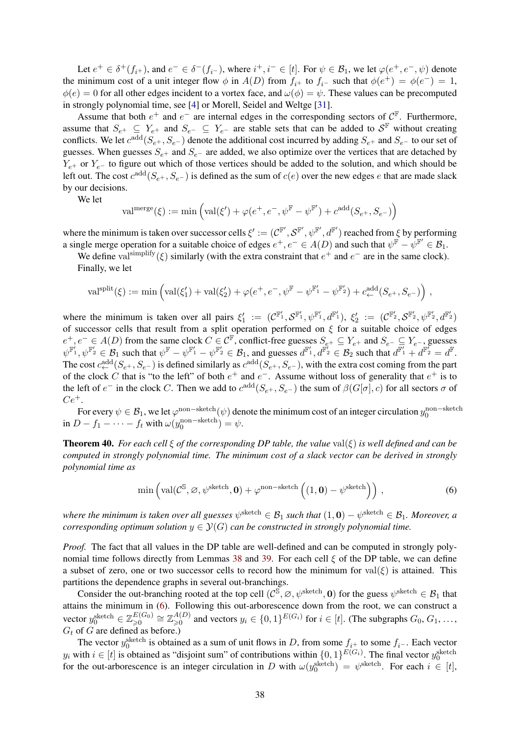Let  $e^+ \in \delta^+(f_{i^+})$ , and  $e^- \in \delta^-(f_{i^-})$ , where  $i^+, i^- \in [t]$ . For  $\psi \in \mathcal{B}_1$ , we let  $\varphi(e^+, e^-, \psi)$  denote the minimum cost of a unit integer flow  $\phi$  in  $A(D)$  from  $f_{i^+}$  to  $f_{i^-}$  such that  $\phi(e^+) = \phi(e^-) = 1$ ,  $\phi(e) = 0$  for all other edges incident to a vortex face, and  $\omega(\phi) = \psi$ . These values can be precomputed in strongly polynomial time, see [\[4\]](#page-39-4) or Morell, Seidel and Weltge [\[31\]](#page-41-11).

Assume that both  $e^+$  and  $e^-$  are internal edges in the corresponding sectors of  $\mathcal{C}^{\mathbb{F}}$ . Furthermore, assume that  $S_{e^+} \subseteq Y_{e^+}$  and  $S_{e^-} \subseteq Y_{e^-}$  are stable sets that can be added to  $S^{\mathbb{F}}$  without creating conflicts. We let  $c^{\text{add}}(S_{e^+}, S_{e^-})$  denote the additional cost incurred by adding  $S_{e^+}$  and  $S_{e^-}$  to our set of guesses. When guesses  $S_{e^+}$  and  $S_{e^-}$  are added, we also optimize over the vertices that are detached by  $Y_{e+}$  or  $Y_{e-}$  to figure out which of those vertices should be added to the solution, and which should be left out. The cost  $c^{\text{add}}(S_{e^+}, S_{e^-})$  is defined as the sum of  $c(e)$  over the new edges e that are made slack by our decisions.

We let

$$
\text{val}^{\text{merge}}(\xi) := \min\left(\text{val}(\xi') + \varphi(e^+, e^-, \psi^{\mathbb{F}} - \psi^{\mathbb{F}'}) + c^{\text{add}}(S_{e^+}, S_{e^-})\right)
$$

where the minimum is taken over successor cells  $\xi' := (\mathcal{C}^{\mathbb{F}'}, \mathcal{S}^{\mathbb{F}'}, \psi^{\mathbb{F}'}, d^{\mathbb{F}'})$  reached from  $\xi$  by performing a single merge operation for a suitable choice of edges  $e^+, e^- \in A(D)$  and such that  $\psi^{\vec{F}} - \psi^{\vec{F}'} \in \mathcal{B}_1$ .

We define val<sup>simplify</sup> $(\xi)$  similarly (with the extra constraint that  $e^+$  and  $e^-$  are in the same clock). Finally, we let

$$
\mathrm{val}^{\mathrm{split}}(\xi) := \min\left(\mathrm{val}(\xi_1') + \mathrm{val}(\xi_2') + \varphi(e^+, e^-, \psi^{\mathbb{F}} - \psi^{\mathbb{F}_1'} - \psi^{\mathbb{F}_2'}) + c^{\mathrm{add}}_{\leftarrow}(S_{e^+}, S_{e^-})\right),\,
$$

where the minimum is taken over all pairs  $\xi_1' := (\mathcal{C}^{\mathbb{F}_1'}, \mathcal{S}^{\mathbb{F}_1'}, \psi^{\mathbb{F}_1'}, \mathcal{d}^{\mathbb{F}_1'}), \xi_2' := (\mathcal{C}^{\mathbb{F}_2'}, \mathcal{S}^{\mathbb{F}_2'}, \psi^{\mathbb{F}_2'}, \mathcal{d}^{\mathbb{F}_2'})$ of successor cells that result from a split operation performed on  $\xi$  for a suitable choice of edges  $e^+, e^- \in A(D)$  from the same clock  $C \in \mathcal{C}^{\mathbb{F}}$ , conflict-free guesses  $S_{e^+} \subseteq Y_{e^+}$  and  $S_{e^-} \subseteq Y_{e^-}$ , guesses  $\psi^{\mathbb{F}_1'}, \psi^{\mathbb{F}_2'} \in \mathcal{B}_1$  such that  $\psi^{\mathbb{F}} - \psi^{\mathbb{F}_1'} - \psi^{\mathbb{F}_2'} \in \mathcal{B}_1$ , and guesses  $d^{\mathbb{F}_1'}, d^{\mathbb{F}_2'} \in \mathcal{B}_2$  such that  $d^{\mathbb{F}_1'} + d^{\mathbb{F}_2'} = d^{\mathbb{F}}$ . The cost  $c_{\leftarrow}^{\text{add}}(S_{e+}, S_{e-})$  is defined similarly as  $c^{\text{add}}(S_{e+}, S_{e-})$ , with the extra cost coming from the part of the clock C that is "to the left" of both  $e^+$  and  $e^-$ . Assume without loss of generality that  $e^+$  is to the left of  $e^-$  in the clock C. Then we add to  $c^{\text{add}}(S_{e^+}, S_{e^-})$  the sum of  $\beta(G[\sigma], c)$  for all sectors  $\sigma$  of  $Ce^{+}$ .

For every  $\psi \in \mathcal{B}_1$ , we let  $\varphi$ <sup>non–sketch</sup> $(\psi)$  denote the minimum cost of an integer circulation  $y_0^{\text{non-sketch}}$ in  $D - f_1 - \cdots - f_t$  with  $\omega(y_0^{\text{non-sketch}}) = \psi$ .

<span id="page-37-0"></span>Theorem 40. *For each cell* ξ *of the corresponding DP table, the value* val(ξ) *is well defined and can be computed in strongly polynomial time. The minimum cost of a slack vector can be derived in strongly polynomial time as*

<span id="page-37-1"></span>
$$
\min\left(\text{val}(\mathcal{C}^{\mathbb{S}}, \varnothing, \psi^{\text{sketch}}, \mathbf{0}) + \varphi^{\text{non-sketch}}\left((1, \mathbf{0}) - \psi^{\text{sketch}}\right)\right),\tag{6}
$$

where the minimum is taken over all guesses  $\psi^{\rm sketch}\in\mathcal{B}_1$  such that  $(1,\mathbf{0})-\psi^{\rm sketch}\in\mathcal{B}_1.$  Moreover, a *corresponding optimum solution*  $y \in \mathcal{Y}(G)$  *can be constructed in strongly polynomial time.* 

*Proof.* The fact that all values in the DP table are well-defined and can be computed in strongly poly-nomial time follows directly from Lemmas [38](#page-36-0) and [39.](#page-36-1) For each cell  $\xi$  of the DP table, we can define a subset of zero, one or two successor cells to record how the minimum for val( $\xi$ ) is attained. This partitions the dependence graphs in several out-branchings.

Consider the out-branching rooted at the top cell  $(C^{\mathcal{S}}, \emptyset, \psi^{\text{sketch}}, 0)$  for the guess  $\psi^{\text{sketch}} \in \mathcal{B}_1$  that attains the minimum in [\(6\)](#page-37-1). Following this out-arborescence down from the root, we can construct a vector  $y_0^{\text{sketch}} \in \mathbb{Z}_{\geqslant 0}^{E(G_0)} \cong \mathbb{Z}_{\geqslant 0}^{A(D)}$  and vectors  $y_i \in \{0,1\}^{E(G_i)}$  for  $i \in [t]$ . (The subgraphs  $G_0, G_1, \ldots$ ,  $G_t$  of G are defined as before.)

The vector  $y_0^{\text{sketch}}$  is obtained as a sum of unit flows in D, from some  $f_{i^+}$  to some  $f_{i^-}$ . Each vector y<sub>i</sub> with  $i \in [t]$  is obtained as "disjoint sum" of contributions within  $\{0,1\}^{E(G_i)}$ . The final vector  $y_0^{\text{sketch}}$ for the out-arborescence is an integer circulation in D with  $\omega(y_0^{\text{sketch}}) = \psi^{\text{sketch}}$ . For each  $i \in [t]$ ,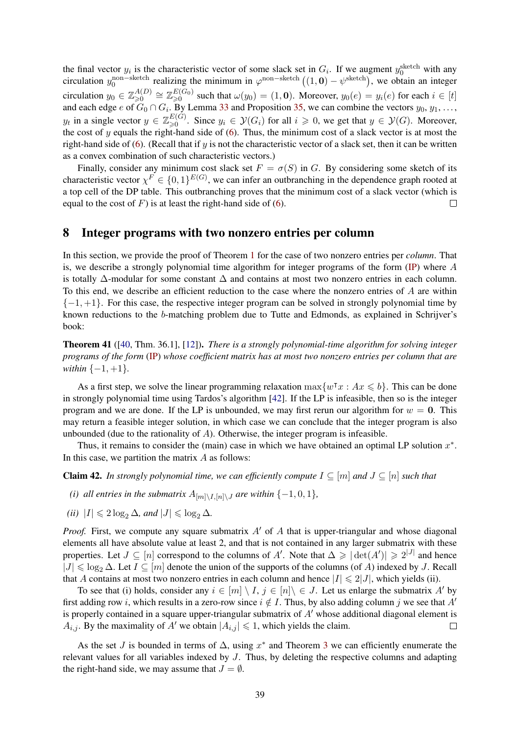the final vector  $y_i$  is the characteristic vector of some slack set in  $G_i$ . If we augment  $y_0^{\text{sketch}}$  with any circulation  $y_0^{\text{non-sketch}}$  realizing the minimum in  $\varphi^{\text{non-sketch}}((1,0) - \psi^{\text{sketch}})$ , we obtain an integer circulation  $y_0 \in \mathbb{Z}_{\geqslant 0}^{A(D)} \cong \mathbb{Z}_{\geqslant 0}^{E(G_0)}$  such that  $\omega(y_0) = (1, 0)$ . Moreover,  $y_0(e) = y_i(e)$  for each  $i \in [t]$ and each edge e of  $G_0 \cap G_i$ . By Lemma [33](#page-27-0) and Proposition [35,](#page-29-0) we can combine the vectors  $y_0, y_1, \ldots$  $y_t$  in a single vector  $y \in \mathbb{Z}_{\geqslant 0}^{E(G)}$ . Since  $y_i \in \mathcal{Y}(G_i)$  for all  $i \geqslant 0$ , we get that  $y \in \mathcal{Y}(G)$ . Moreover, the cost of y equals the right-hand side of  $(6)$ . Thus, the minimum cost of a slack vector is at most the right-hand side of [\(6\)](#page-37-1). (Recall that if  $y$  is not the characteristic vector of a slack set, then it can be written as a convex combination of such characteristic vectors.)

Finally, consider any minimum cost slack set  $F = \sigma(S)$  in G. By considering some sketch of its characteristic vector  $\chi^F \in \{0,1\}^{E(G)}$ , we can infer an outbranching in the dependence graph rooted at a top cell of the DP table. This outbranching proves that the minimum cost of a slack vector (which is equal to the cost of  $F$ ) is at least the right-hand side of [\(6\)](#page-37-1).  $\Box$ 

# <span id="page-38-0"></span>8 Integer programs with two nonzero entries per column

In this section, we provide the proof of Theorem [1](#page-1-0) for the case of two nonzero entries per *column*. That is, we describe a strongly polynomial time algorithm for integer programs of the form [\(IP\)](#page-0-0) where A is totally  $\Delta$ -modular for some constant  $\Delta$  and contains at most two nonzero entries in each column. To this end, we describe an efficient reduction to the case where the nonzero entries of A are within  $\{-1, +1\}$ . For this case, the respective integer program can be solved in strongly polynomial time by known reductions to the b-matching problem due to Tutte and Edmonds, as explained in Schrijver's book:

<span id="page-38-1"></span>Theorem 41 ([\[40,](#page-41-4) Thm. 36.1], [\[12\]](#page-40-16)). *There is a strongly polynomial-time algorithm for solving integer programs of the form* [\(IP\)](#page-0-0) *whose coefficient matrix has at most two nonzero entries per column that are within*  $\{-1, +1\}$ *.* 

As a first step, we solve the linear programming relaxation  $\max\{w^\intercal x : Ax \leq b\}$ . This can be done in strongly polynomial time using Tardos's algorithm [\[42\]](#page-42-0). If the LP is infeasible, then so is the integer program and we are done. If the LP is unbounded, we may first rerun our algorithm for  $w = 0$ . This may return a feasible integer solution, in which case we can conclude that the integer program is also unbounded (due to the rationality of  $A$ ). Otherwise, the integer program is infeasible.

Thus, it remains to consider the (main) case in which we have obtained an optimal LP solution  $x^*$ . In this case, we partition the matrix  $A$  as follows:

**Claim 42.** In strongly polynomial time, we can efficiently compute  $I \subseteq [m]$  and  $J \subseteq [n]$  such that

- *(i) all entries in the submatrix*  $A_{[m]\setminus I,[n]\setminus J}$  *are within*  $\{-1,0,1\}$ *,*
- *(ii)*  $|I| \leq 2 \log_2 \Delta$ *, and*  $|J| \leq \log_2 \Delta$ *.*

*Proof.* First, we compute any square submatrix  $A'$  of A that is upper-triangular and whose diagonal elements all have absolute value at least 2, and that is not contained in any larger submatrix with these properties. Let  $J \subseteq [n]$  correspond to the columns of A'. Note that  $\Delta \ge |\det(A')| \ge 2^{|J|}$  and hence  $|J| \leq \log_2 \Delta$ . Let  $I \subseteq [m]$  denote the union of the supports of the columns (of A) indexed by J. Recall that A contains at most two nonzero entries in each column and hence  $|I| \leq 2|J|$ , which yields (ii).

To see that (i) holds, consider any  $i \in [m] \setminus I$ ,  $j \in [n] \setminus \in J$ . Let us enlarge the submatrix A' by first adding row i, which results in a zero-row since  $i \notin I$ . Thus, by also adding column j we see that A' is properly contained in a square upper-triangular submatrix of  $A<sup>'</sup>$  whose additional diagonal element is  $A_{i,j}$ . By the maximality of A' we obtain  $|A_{i,j}| \leq 1$ , which yields the claim.  $\Box$ 

As the set J is bounded in terms of  $\Delta$ , using  $x^*$  and Theorem [3](#page-5-0) we can efficiently enumerate the relevant values for all variables indexed by  $J$ . Thus, by deleting the respective columns and adapting the right-hand side, we may assume that  $J = \emptyset$ .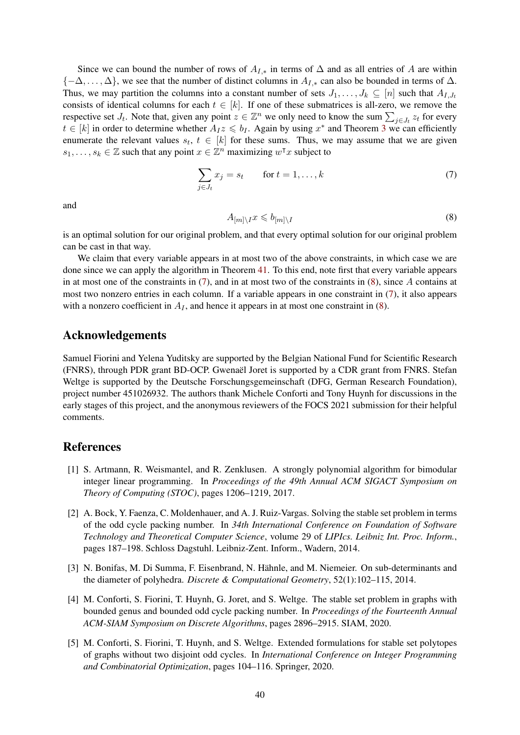Since we can bound the number of rows of  $A_{I,*}$  in terms of  $\Delta$  and as all entries of A are within  ${-\Delta, \ldots, \Delta}$ , we see that the number of distinct columns in  $A_{I,*}$  can also be bounded in terms of  $\Delta$ . Thus, we may partition the columns into a constant number of sets  $J_1, \ldots, J_k \subseteq [n]$  such that  $A_{I,J_t}$ consists of identical columns for each  $t \in [k]$ . If one of these submatrices is all-zero, we remove the respective set  $J_t$ . Note that, given any point  $z \in \mathbb{Z}^n$  we only need to know the sum  $\sum_{j \in J_t} z_t$  for every  $t \in [k]$  in order to determine whether  $A_I z \leq b_I$ . Again by using  $x^*$  and Theorem [3](#page-5-0) we can efficiently enumerate the relevant values  $s_t$ ,  $t \in [k]$  for these sums. Thus, we may assume that we are given  $s_1, \ldots, s_k \in \mathbb{Z}$  such that any point  $x \in \mathbb{Z}^n$  maximizing  $w^\intercal x$  subject to

<span id="page-39-5"></span>
$$
\sum_{j \in J_t} x_j = s_t \qquad \text{for } t = 1, \dots, k \tag{7}
$$

and

<span id="page-39-6"></span>
$$
A_{[m]\setminus I}x \leqslant b_{[m]\setminus I} \tag{8}
$$

is an optimal solution for our original problem, and that every optimal solution for our original problem can be cast in that way.

We claim that every variable appears in at most two of the above constraints, in which case we are done since we can apply the algorithm in Theorem [41.](#page-38-1) To this end, note first that every variable appears in at most one of the constraints in  $(7)$ , and in at most two of the constraints in  $(8)$ , since A contains at most two nonzero entries in each column. If a variable appears in one constraint in [\(7\)](#page-39-5), it also appears with a nonzero coefficient in  $A_I$ , and hence it appears in at most one constraint in [\(8\)](#page-39-6).

# Acknowledgements

Samuel Fiorini and Yelena Yuditsky are supported by the Belgian National Fund for Scientific Research (FNRS), through PDR grant BD-OCP. Gwenaël Joret is supported by a CDR grant from FNRS. Stefan Weltge is supported by the Deutsche Forschungsgemeinschaft (DFG, German Research Foundation), project number 451026932. The authors thank Michele Conforti and Tony Huynh for discussions in the early stages of this project, and the anonymous reviewers of the FOCS 2021 submission for their helpful comments.

### References

- <span id="page-39-0"></span>[1] S. Artmann, R. Weismantel, and R. Zenklusen. A strongly polynomial algorithm for bimodular integer linear programming. In *Proceedings of the 49th Annual ACM SIGACT Symposium on Theory of Computing (STOC)*, pages 1206–1219, 2017.
- <span id="page-39-2"></span>[2] A. Bock, Y. Faenza, C. Moldenhauer, and A. J. Ruiz-Vargas. Solving the stable set problem in terms of the odd cycle packing number. In *34th International Conference on Foundation of Software Technology and Theoretical Computer Science*, volume 29 of *LIPIcs. Leibniz Int. Proc. Inform.*, pages 187–198. Schloss Dagstuhl. Leibniz-Zent. Inform., Wadern, 2014.
- <span id="page-39-1"></span>[3] N. Bonifas, M. Di Summa, F. Eisenbrand, N. Hähnle, and M. Niemeier. On sub-determinants and the diameter of polyhedra. *Discrete & Computational Geometry*, 52(1):102–115, 2014.
- <span id="page-39-4"></span>[4] M. Conforti, S. Fiorini, T. Huynh, G. Joret, and S. Weltge. The stable set problem in graphs with bounded genus and bounded odd cycle packing number. In *Proceedings of the Fourteenth Annual ACM-SIAM Symposium on Discrete Algorithms*, pages 2896–2915. SIAM, 2020.
- <span id="page-39-3"></span>[5] M. Conforti, S. Fiorini, T. Huynh, and S. Weltge. Extended formulations for stable set polytopes of graphs without two disjoint odd cycles. In *International Conference on Integer Programming and Combinatorial Optimization*, pages 104–116. Springer, 2020.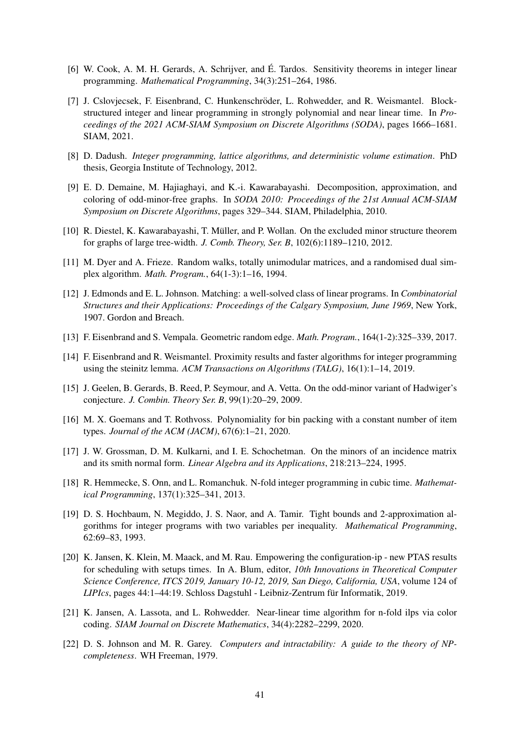- <span id="page-40-12"></span>[6] W. Cook, A. M. H. Gerards, A. Schrijver, and É. Tardos. Sensitivity theorems in integer linear programming. *Mathematical Programming*, 34(3):251–264, 1986.
- <span id="page-40-4"></span>[7] J. Cslovjecsek, F. Eisenbrand, C. Hunkenschröder, L. Rohwedder, and R. Weismantel. Blockstructured integer and linear programming in strongly polynomial and near linear time. In *Proceedings of the 2021 ACM-SIAM Symposium on Discrete Algorithms (SODA)*, pages 1666–1681. SIAM, 2021.
- <span id="page-40-1"></span>[8] D. Dadush. *Integer programming, lattice algorithms, and deterministic volume estimation*. PhD thesis, Georgia Institute of Technology, 2012.
- <span id="page-40-11"></span>[9] E. D. Demaine, M. Hajiaghayi, and K.-i. Kawarabayashi. Decomposition, approximation, and coloring of odd-minor-free graphs. In *SODA 2010: Proceedings of the 21st Annual ACM-SIAM Symposium on Discrete Algorithms*, pages 329–344. SIAM, Philadelphia, 2010.
- <span id="page-40-14"></span>[10] R. Diestel, K. Kawarabayashi, T. Müller, and P. Wollan. On the excluded minor structure theorem for graphs of large tree-width. *J. Comb. Theory, Ser. B*, 102(6):1189–1210, 2012.
- <span id="page-40-7"></span>[11] M. Dyer and A. Frieze. Random walks, totally unimodular matrices, and a randomised dual simplex algorithm. *Math. Program.*, 64(1-3):1–16, 1994.
- <span id="page-40-16"></span>[12] J. Edmonds and E. L. Johnson. Matching: a well-solved class of linear programs. In *Combinatorial Structures and their Applications: Proceedings of the Calgary Symposium, June 1969*, New York, 1907. Gordon and Breach.
- <span id="page-40-8"></span>[13] F. Eisenbrand and S. Vempala. Geometric random edge. *Math. Program.*, 164(1-2):325–339, 2017.
- <span id="page-40-0"></span>[14] F. Eisenbrand and R. Weismantel. Proximity results and faster algorithms for integer programming using the steinitz lemma. *ACM Transactions on Algorithms (TALG)*, 16(1):1–14, 2019.
- <span id="page-40-13"></span>[15] J. Geelen, B. Gerards, B. Reed, P. Seymour, and A. Vetta. On the odd-minor variant of Hadwiger's conjecture. *J. Combin. Theory Ser. B*, 99(1):20–29, 2009.
- <span id="page-40-5"></span>[16] M. X. Goemans and T. Rothvoss. Polynomiality for bin packing with a constant number of item types. *Journal of the ACM (JACM)*, 67(6):1–21, 2020.
- <span id="page-40-10"></span>[17] J. W. Grossman, D. M. Kulkarni, and I. E. Schochetman. On the minors of an incidence matrix and its smith normal form. *Linear Algebra and its Applications*, 218:213–224, 1995.
- <span id="page-40-2"></span>[18] R. Hemmecke, S. Onn, and L. Romanchuk. N-fold integer programming in cubic time. *Mathematical Programming*, 137(1):325–341, 2013.
- <span id="page-40-15"></span>[19] D. S. Hochbaum, N. Megiddo, J. S. Naor, and A. Tamir. Tight bounds and 2-approximation algorithms for integer programs with two variables per inequality. *Mathematical Programming*, 62:69–83, 1993.
- <span id="page-40-6"></span>[20] K. Jansen, K. Klein, M. Maack, and M. Rau. Empowering the configuration-ip - new PTAS results for scheduling with setups times. In A. Blum, editor, *10th Innovations in Theoretical Computer Science Conference, ITCS 2019, January 10-12, 2019, San Diego, California, USA*, volume 124 of *LIPIcs*, pages 44:1–44:19. Schloss Dagstuhl - Leibniz-Zentrum für Informatik, 2019.
- <span id="page-40-3"></span>[21] K. Jansen, A. Lassota, and L. Rohwedder. Near-linear time algorithm for n-fold ilps via color coding. *SIAM Journal on Discrete Mathematics*, 34(4):2282–2299, 2020.
- <span id="page-40-9"></span>[22] D. S. Johnson and M. R. Garey. *Computers and intractability: A guide to the theory of NPcompleteness*. WH Freeman, 1979.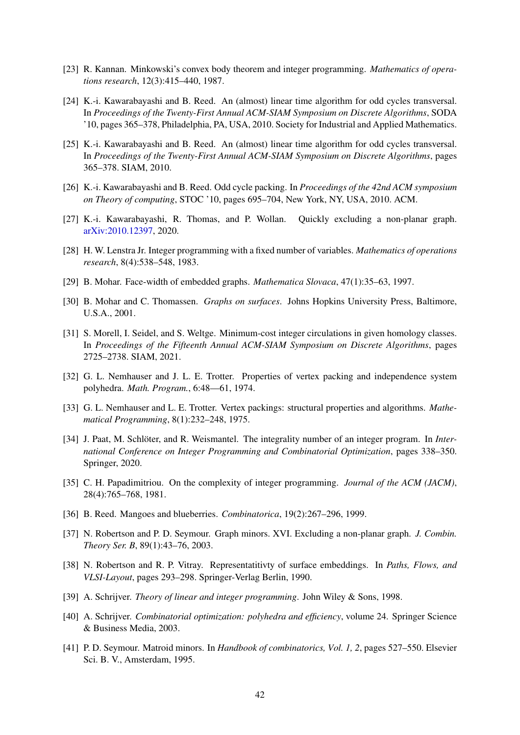- <span id="page-41-2"></span>[23] R. Kannan. Minkowski's convex body theorem and integer programming. *Mathematics of operations research*, 12(3):415–440, 1987.
- <span id="page-41-10"></span>[24] K.-i. Kawarabayashi and B. Reed. An (almost) linear time algorithm for odd cycles transversal. In *Proceedings of the Twenty-First Annual ACM-SIAM Symposium on Discrete Algorithms*, SODA '10, pages 365–378, Philadelphia, PA, USA, 2010. Society for Industrial and Applied Mathematics.
- <span id="page-41-13"></span>[25] K.-i. Kawarabayashi and B. Reed. An (almost) linear time algorithm for odd cycles transversal. In *Proceedings of the Twenty-First Annual ACM-SIAM Symposium on Discrete Algorithms*, pages 365–378. SIAM, 2010.
- <span id="page-41-12"></span>[26] K.-i. Kawarabayashi and B. Reed. Odd cycle packing. In *Proceedings of the 42nd ACM symposium on Theory of computing*, STOC '10, pages 695–704, New York, NY, USA, 2010. ACM.
- <span id="page-41-9"></span>[27] K.-i. Kawarabayashi, R. Thomas, and P. Wollan. Quickly excluding a non-planar graph. [arXiv:2010.12397,](https://arxiv.org/abs/2010.12397) 2020.
- <span id="page-41-1"></span>[28] H. W. Lenstra Jr. Integer programming with a fixed number of variables. *Mathematics of operations research*, 8(4):538–548, 1983.
- <span id="page-41-18"></span>[29] B. Mohar. Face-width of embedded graphs. *Mathematica Slovaca*, 47(1):35–63, 1997.
- <span id="page-41-15"></span>[30] B. Mohar and C. Thomassen. *Graphs on surfaces*. Johns Hopkins University Press, Baltimore, U.S.A., 2001.
- <span id="page-41-11"></span>[31] S. Morell, I. Seidel, and S. Weltge. Minimum-cost integer circulations in given homology classes. In *Proceedings of the Fifteenth Annual ACM-SIAM Symposium on Discrete Algorithms*, pages 2725–2738. SIAM, 2021.
- <span id="page-41-14"></span>[32] G. L. Nemhauser and J. L. E. Trotter. Properties of vertex packing and independence system polyhedra. *Math. Program.*, 6:48—61, 1974.
- <span id="page-41-17"></span>[33] G. L. Nemhauser and L. E. Trotter. Vertex packings: structural properties and algorithms. *Mathematical Programming*, 8(1):232–248, 1975.
- <span id="page-41-5"></span>[34] J. Paat, M. Schlöter, and R. Weismantel. The integrality number of an integer program. In *International Conference on Integer Programming and Combinatorial Optimization*, pages 338–350. Springer, 2020.
- <span id="page-41-0"></span>[35] C. H. Papadimitriou. On the complexity of integer programming. *Journal of the ACM (JACM)*, 28(4):765–768, 1981.
- <span id="page-41-7"></span>[36] B. Reed. Mangoes and blueberries. *Combinatorica*, 19(2):267–296, 1999.
- <span id="page-41-8"></span>[37] N. Robertson and P. D. Seymour. Graph minors. XVI. Excluding a non-planar graph. *J. Combin. Theory Ser. B*, 89(1):43–76, 2003.
- <span id="page-41-16"></span>[38] N. Robertson and R. P. Vitray. Representatitivty of surface embeddings. In *Paths, Flows, and VLSI-Layout*, pages 293–298. Springer-Verlag Berlin, 1990.
- <span id="page-41-3"></span>[39] A. Schrijver. *Theory of linear and integer programming*. John Wiley & Sons, 1998.
- <span id="page-41-4"></span>[40] A. Schrijver. *Combinatorial optimization: polyhedra and efficiency*, volume 24. Springer Science & Business Media, 2003.
- <span id="page-41-6"></span>[41] P. D. Seymour. Matroid minors. In *Handbook of combinatorics, Vol. 1, 2*, pages 527–550. Elsevier Sci. B. V., Amsterdam, 1995.